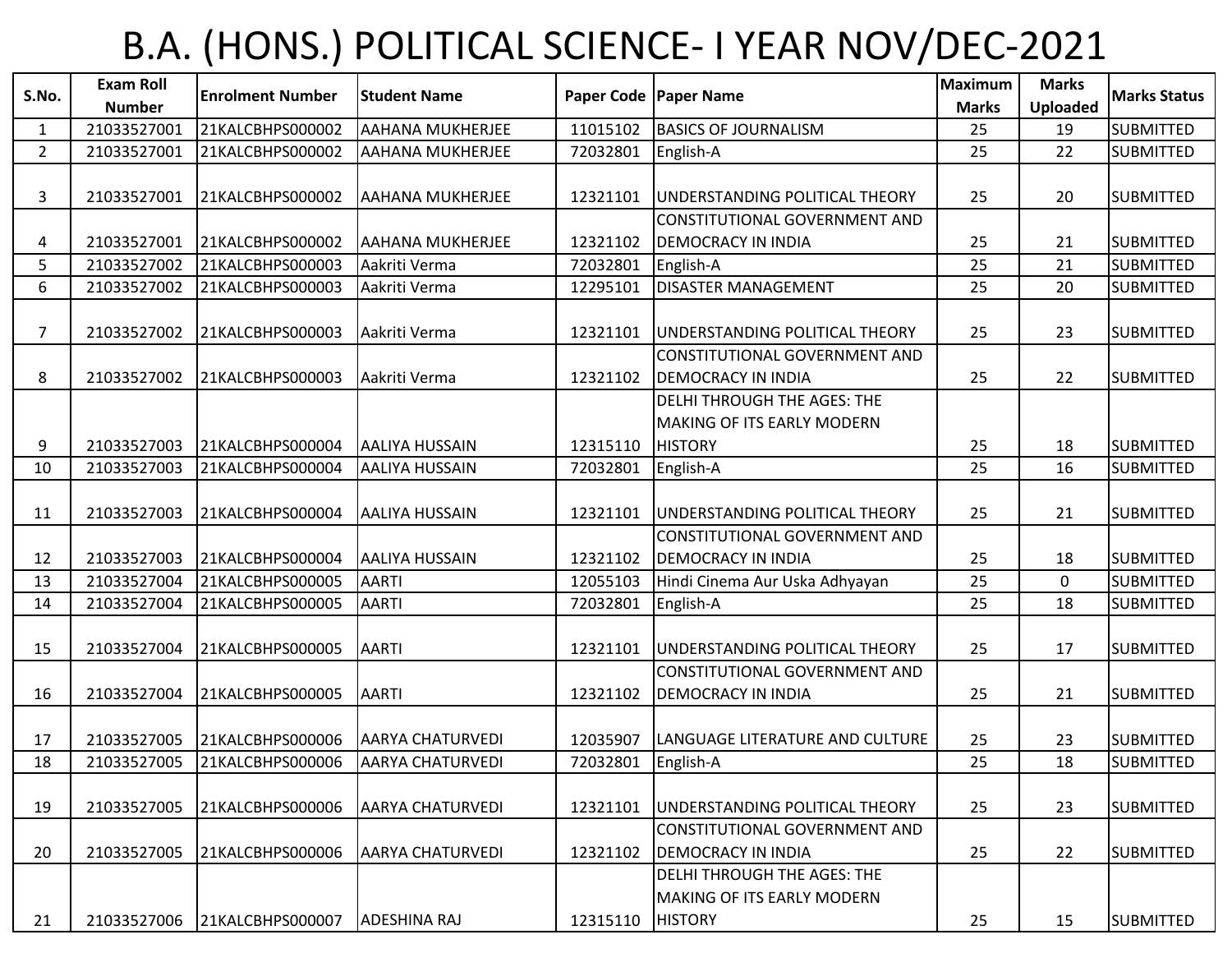## B.A. (HONS.) POLITICAL SCIENCE- I YEAR NOV/DEC-2021

|              | <b>Exam Roll</b> |                         |                         |          |                                        | <b>Maximum</b> | <b>Marks</b>    |                     |
|--------------|------------------|-------------------------|-------------------------|----------|----------------------------------------|----------------|-----------------|---------------------|
| S.No.        | <b>Number</b>    | <b>Enrolment Number</b> | <b>Student Name</b>     |          | Paper Code   Paper Name                | <b>Marks</b>   | <b>Uploaded</b> | <b>Marks Status</b> |
| $\mathbf{1}$ | 21033527001      | 21KALCBHPS000002        | <b>AAHANA MUKHERJEE</b> | 11015102 | <b>BASICS OF JOURNALISM</b>            | 25             | 19              | <b>SUBMITTED</b>    |
| $2^{\circ}$  | 21033527001      | 21KALCBHPS000002        | <b>AAHANA MUKHERJEE</b> | 72032801 | English-A                              | 25             | 22              | <b>SUBMITTED</b>    |
|              |                  |                         |                         |          |                                        |                |                 |                     |
| 3            | 21033527001      | 21KALCBHPS000002        | <b>AAHANA MUKHERJEE</b> | 12321101 | UNDERSTANDING POLITICAL THEORY         | 25             | 20              | <b>SUBMITTED</b>    |
|              |                  |                         |                         |          | CONSTITUTIONAL GOVERNMENT AND          |                |                 |                     |
| 4            | 21033527001      | 21KALCBHPS000002        | <b>AAHANA MUKHERJEE</b> | 12321102 | <b>DEMOCRACY IN INDIA</b>              | 25             | 21              | <b>SUBMITTED</b>    |
| 5            | 21033527002      | 21KALCBHPS000003        | Aakriti Verma           | 72032801 | English-A                              | 25             | 21              | <b>SUBMITTED</b>    |
| 6            | 21033527002      | 21KALCBHPS000003        | Aakriti Verma           | 12295101 | <b>DISASTER MANAGEMENT</b>             | 25             | 20              | <b>SUBMITTED</b>    |
|              |                  |                         |                         |          |                                        |                |                 |                     |
| 7            | 21033527002      | 21KALCBHPS000003        | Aakriti Verma           | 12321101 | UNDERSTANDING POLITICAL THEORY         | 25             | 23              | <b>SUBMITTED</b>    |
|              |                  |                         |                         |          | CONSTITUTIONAL GOVERNMENT AND          |                |                 |                     |
| 8            | 21033527002      | 21KALCBHPS000003        | Aakriti Verma           | 12321102 | <b>DEMOCRACY IN INDIA</b>              | 25             | 22              | <b>SUBMITTED</b>    |
|              |                  |                         |                         |          | DELHI THROUGH THE AGES: THE            |                |                 |                     |
|              |                  |                         |                         |          | <b>MAKING OF ITS EARLY MODERN</b>      |                |                 |                     |
| 9            | 21033527003      | 21KALCBHPS000004        | <b>AALIYA HUSSAIN</b>   | 12315110 | <b>HISTORY</b>                         | 25             | 18              | <b>SUBMITTED</b>    |
| 10           | 21033527003      | 21KALCBHPS000004        | <b>AALIYA HUSSAIN</b>   | 72032801 | English-A                              | 25             | 16              | <b>SUBMITTED</b>    |
|              |                  |                         |                         |          |                                        |                |                 |                     |
| 11           | 21033527003      | 21KALCBHPS000004        | <b>AALIYA HUSSAIN</b>   | 12321101 | <b>JUNDERSTANDING POLITICAL THEORY</b> | 25             | 21              | <b>SUBMITTED</b>    |
|              |                  |                         |                         |          | CONSTITUTIONAL GOVERNMENT AND          |                |                 |                     |
| 12           | 21033527003      | 21KALCBHPS000004        | <b>AALIYA HUSSAIN</b>   | 12321102 | <b>DEMOCRACY IN INDIA</b>              | 25             | 18              | <b>SUBMITTED</b>    |
| 13           | 21033527004      | 21KALCBHPS000005        | <b>AARTI</b>            | 12055103 | Hindi Cinema Aur Uska Adhyayan         | 25             | $\mathbf 0$     | <b>SUBMITTED</b>    |
| 14           | 21033527004      | 21KALCBHPS000005        | <b>AARTI</b>            | 72032801 | English-A                              | 25             | 18              | <b>SUBMITTED</b>    |
|              |                  |                         |                         |          |                                        |                |                 |                     |
| 15           | 21033527004      | 21KALCBHPS000005        | <b>AARTI</b>            | 12321101 | UNDERSTANDING POLITICAL THEORY         | 25             | 17              | <b>SUBMITTED</b>    |
|              |                  |                         |                         |          | CONSTITUTIONAL GOVERNMENT AND          |                |                 |                     |
| 16           | 21033527004      | 21KALCBHPS000005        | <b>AARTI</b>            | 12321102 | <b>DEMOCRACY IN INDIA</b>              | 25             | 21              | <b>SUBMITTED</b>    |
|              |                  |                         |                         |          |                                        |                |                 |                     |
| 17           | 21033527005      | 21KALCBHPS000006        | <b>AARYA CHATURVEDI</b> | 12035907 | LANGUAGE LITERATURE AND CULTURE        | 25             | 23              | <b>SUBMITTED</b>    |
| 18           | 21033527005      | 21KALCBHPS000006        | <b>AARYA CHATURVEDI</b> | 72032801 | English-A                              | 25             | 18              | <b>SUBMITTED</b>    |
|              |                  |                         |                         |          |                                        |                |                 |                     |
| 19           | 21033527005      | 21KALCBHPS000006        | <b>AARYA CHATURVEDI</b> | 12321101 | UNDERSTANDING POLITICAL THEORY         | 25             | 23              | <b>SUBMITTED</b>    |
|              |                  |                         |                         |          | CONSTITUTIONAL GOVERNMENT AND          |                |                 |                     |
| 20           | 21033527005      | 21KALCBHPS000006        | <b>AARYA CHATURVEDI</b> | 12321102 | <b>DEMOCRACY IN INDIA</b>              | 25             | 22              | <b>SUBMITTED</b>    |
|              |                  |                         |                         |          | <b>DELHI THROUGH THE AGES: THE</b>     |                |                 |                     |
|              |                  |                         |                         |          | <b>MAKING OF ITS EARLY MODERN</b>      |                |                 |                     |
| 21           | 21033527006      | 21KALCBHPS000007        | ADESHINA RAJ            | 12315110 | <b>HISTORY</b>                         | 25             | 15              | <b>SUBMITTED</b>    |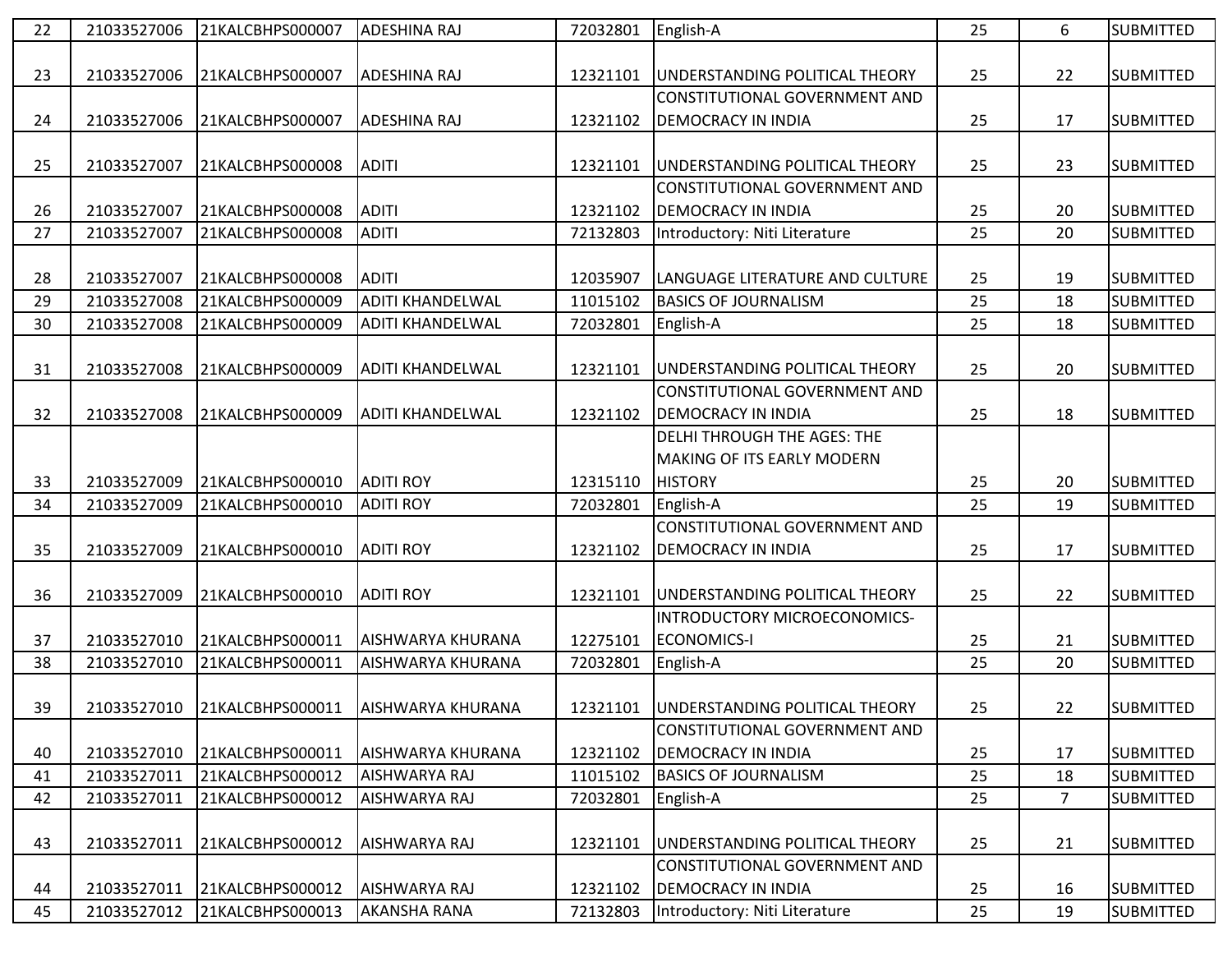| 22 | 21033527006 | 21KALCBHPS000007 | <b>ADESHINA RAJ</b>      | 72032801 | English-A                                 | 25 | 6              | <b>SUBMITTED</b> |
|----|-------------|------------------|--------------------------|----------|-------------------------------------------|----|----------------|------------------|
|    |             |                  |                          |          |                                           |    |                |                  |
| 23 | 21033527006 | 21KALCBHPS000007 | <b>ADESHINA RAJ</b>      | 12321101 | UNDERSTANDING POLITICAL THEORY            | 25 | 22             | <b>SUBMITTED</b> |
|    |             |                  |                          |          | CONSTITUTIONAL GOVERNMENT AND             |    |                |                  |
| 24 | 21033527006 | 21KALCBHPS000007 | <b>ADESHINA RAJ</b>      | 12321102 | <b>DEMOCRACY IN INDIA</b>                 | 25 | 17             | <b>SUBMITTED</b> |
|    |             |                  |                          |          |                                           |    |                |                  |
| 25 | 21033527007 | 21KALCBHPS000008 | <b>ADITI</b>             | 12321101 | UNDERSTANDING POLITICAL THEORY            | 25 | 23             | <b>SUBMITTED</b> |
|    |             |                  |                          |          | CONSTITUTIONAL GOVERNMENT AND             |    |                |                  |
| 26 | 21033527007 | 21KALCBHPS000008 | <b>ADITI</b>             | 12321102 | <b>DEMOCRACY IN INDIA</b>                 | 25 | 20             | <b>SUBMITTED</b> |
| 27 | 21033527007 | 21KALCBHPS000008 | <b>ADITI</b>             | 72132803 | Introductory: Niti Literature             | 25 | 20             | <b>SUBMITTED</b> |
|    |             |                  |                          |          |                                           |    |                |                  |
| 28 | 21033527007 | 21KALCBHPS000008 | <b>ADITI</b>             | 12035907 | LANGUAGE LITERATURE AND CULTURE           | 25 | 19             | <b>SUBMITTED</b> |
| 29 | 21033527008 | 21KALCBHPS000009 | <b>ADITI KHANDELWAL</b>  | 11015102 | <b>BASICS OF JOURNALISM</b>               | 25 | 18             | <b>SUBMITTED</b> |
| 30 | 21033527008 | 21KALCBHPS000009 | <b>ADITI KHANDELWAL</b>  | 72032801 | English-A                                 | 25 | 18             | <b>SUBMITTED</b> |
|    |             |                  |                          |          |                                           |    |                |                  |
| 31 | 21033527008 | 21KALCBHPS000009 | <b>ADITI KHANDELWAL</b>  | 12321101 | UNDERSTANDING POLITICAL THEORY            | 25 | 20             | <b>SUBMITTED</b> |
|    |             |                  |                          |          | CONSTITUTIONAL GOVERNMENT AND             |    |                |                  |
| 32 | 21033527008 | 21KALCBHPS000009 | <b>ADITI KHANDELWAL</b>  | 12321102 | <b>DEMOCRACY IN INDIA</b>                 | 25 | 18             | <b>SUBMITTED</b> |
|    |             |                  |                          |          | <b>DELHI THROUGH THE AGES: THE</b>        |    |                |                  |
|    |             |                  |                          |          | <b>MAKING OF ITS EARLY MODERN</b>         |    |                |                  |
| 33 | 21033527009 | 21KALCBHPS000010 | <b>ADITI ROY</b>         | 12315110 | <b>HISTORY</b>                            | 25 | 20             | <b>SUBMITTED</b> |
| 34 | 21033527009 | 21KALCBHPS000010 | <b>ADITI ROY</b>         | 72032801 | English-A                                 | 25 | 19             | <b>SUBMITTED</b> |
|    |             |                  |                          |          | CONSTITUTIONAL GOVERNMENT AND             |    |                |                  |
| 35 | 21033527009 | 21KALCBHPS000010 | <b>ADITI ROY</b>         | 12321102 | <b>DEMOCRACY IN INDIA</b>                 | 25 | 17             | <b>SUBMITTED</b> |
|    |             |                  |                          |          |                                           |    |                |                  |
| 36 | 21033527009 | 21KALCBHPS000010 | <b>ADITI ROY</b>         | 12321101 | UNDERSTANDING POLITICAL THEORY            | 25 | 22             | <b>SUBMITTED</b> |
|    |             |                  |                          |          | INTRODUCTORY MICROECONOMICS-              |    |                |                  |
| 37 | 21033527010 | 21KALCBHPS000011 | AISHWARYA KHURANA        | 12275101 | <b>ECONOMICS-I</b>                        | 25 | 21             | <b>SUBMITTED</b> |
| 38 | 21033527010 | 21KALCBHPS000011 | AISHWARYA KHURANA        | 72032801 | English-A                                 | 25 | 20             | <b>SUBMITTED</b> |
|    |             |                  |                          |          |                                           |    |                |                  |
| 39 | 21033527010 | 21KALCBHPS000011 | <b>AISHWARYA KHURANA</b> |          | 12321101   UNDERSTANDING POLITICAL THEORY | 25 | 22             | <b>SUBMITTED</b> |
|    |             |                  |                          |          | CONSTITUTIONAL GOVERNMENT AND             |    |                |                  |
| 40 | 21033527010 | 21KALCBHPS000011 | AISHWARYA KHURANA        | 12321102 | <b>DEMOCRACY IN INDIA</b>                 | 25 | 17             | <b>SUBMITTED</b> |
| 41 | 21033527011 | 21KALCBHPS000012 | AISHWARYA RAJ            | 11015102 | <b>BASICS OF JOURNALISM</b>               | 25 | 18             | <b>SUBMITTED</b> |
| 42 | 21033527011 | 21KALCBHPS000012 | AISHWARYA RAJ            | 72032801 | English-A                                 | 25 | $\overline{7}$ | <b>SUBMITTED</b> |
|    |             |                  |                          |          |                                           |    |                |                  |
| 43 | 21033527011 | 21KALCBHPS000012 | AISHWARYA RAJ            | 12321101 | UNDERSTANDING POLITICAL THEORY            | 25 | 21             | <b>SUBMITTED</b> |
|    |             |                  |                          |          | CONSTITUTIONAL GOVERNMENT AND             |    |                |                  |
| 44 | 21033527011 | 21KALCBHPS000012 | AISHWARYA RAJ            | 12321102 | <b>DEMOCRACY IN INDIA</b>                 | 25 | 16             | <b>SUBMITTED</b> |
| 45 | 21033527012 | 21KALCBHPS000013 | <b>AKANSHA RANA</b>      | 72132803 | Introductory: Niti Literature             | 25 | 19             | <b>SUBMITTED</b> |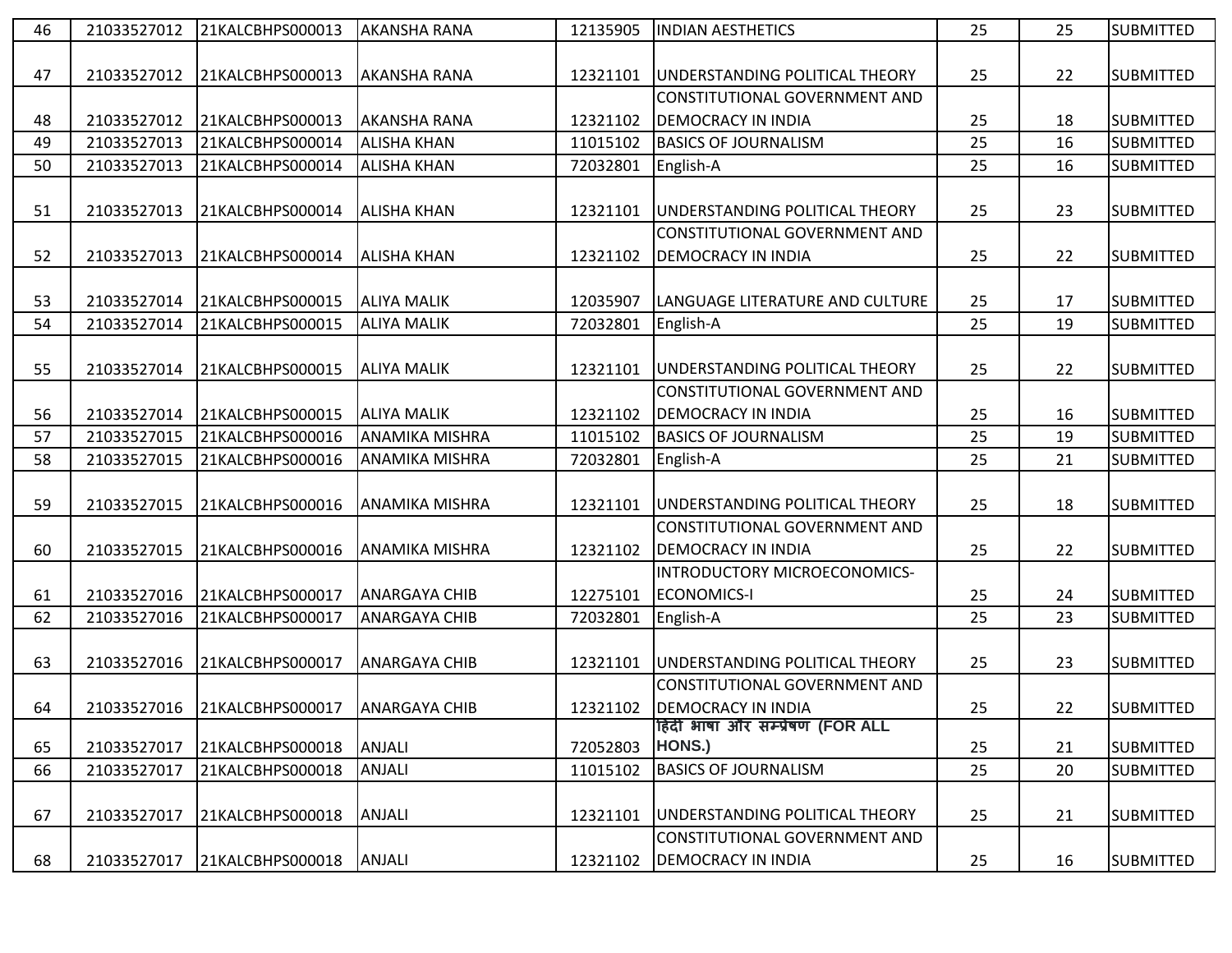| 46 | 21033527012 | 21KALCBHPS000013 | <b>AKANSHA RANA</b>   | 12135905 | <b>INDIAN AESTHETICS</b>             | 25 | 25 | <b>SUBMITTED</b> |
|----|-------------|------------------|-----------------------|----------|--------------------------------------|----|----|------------------|
|    |             |                  |                       |          |                                      |    |    |                  |
| 47 | 21033527012 | 21KALCBHPS000013 | <b>AKANSHA RANA</b>   | 12321101 | UNDERSTANDING POLITICAL THEORY       | 25 | 22 | <b>SUBMITTED</b> |
|    |             |                  |                       |          | CONSTITUTIONAL GOVERNMENT AND        |    |    |                  |
| 48 | 21033527012 | 21KALCBHPS000013 | <b>AKANSHA RANA</b>   | 12321102 | <b>DEMOCRACY IN INDIA</b>            | 25 | 18 | <b>SUBMITTED</b> |
| 49 | 21033527013 | 21KALCBHPS000014 | <b>ALISHA KHAN</b>    | 11015102 | <b>BASICS OF JOURNALISM</b>          | 25 | 16 | <b>SUBMITTED</b> |
| 50 | 21033527013 | 21KALCBHPS000014 | <b>ALISHA KHAN</b>    | 72032801 | English-A                            | 25 | 16 | <b>SUBMITTED</b> |
|    |             |                  |                       |          |                                      |    |    |                  |
| 51 | 21033527013 | 21KALCBHPS000014 | <b>ALISHA KHAN</b>    | 12321101 | UNDERSTANDING POLITICAL THEORY       | 25 | 23 | <b>SUBMITTED</b> |
|    |             |                  |                       |          | <b>CONSTITUTIONAL GOVERNMENT AND</b> |    |    |                  |
| 52 | 21033527013 | 21KALCBHPS000014 | <b>ALISHA KHAN</b>    | 12321102 | <b>DEMOCRACY IN INDIA</b>            | 25 | 22 | <b>SUBMITTED</b> |
|    |             |                  |                       |          |                                      |    |    |                  |
| 53 | 21033527014 | 21KALCBHPS000015 | <b>ALIYA MALIK</b>    | 12035907 | LANGUAGE LITERATURE AND CULTURE      | 25 | 17 | <b>SUBMITTED</b> |
| 54 | 21033527014 | 21KALCBHPS000015 | <b>ALIYA MALIK</b>    | 72032801 | English-A                            | 25 | 19 | <b>SUBMITTED</b> |
|    |             |                  |                       |          |                                      |    |    |                  |
| 55 | 21033527014 | 21KALCBHPS000015 | <b>ALIYA MALIK</b>    | 12321101 | UNDERSTANDING POLITICAL THEORY       | 25 | 22 | <b>SUBMITTED</b> |
|    |             |                  |                       |          | CONSTITUTIONAL GOVERNMENT AND        |    |    |                  |
| 56 | 21033527014 | 21KALCBHPS000015 | <b>ALIYA MALIK</b>    | 12321102 | <b>DEMOCRACY IN INDIA</b>            | 25 | 16 | <b>SUBMITTED</b> |
| 57 | 21033527015 | 21KALCBHPS000016 | <b>ANAMIKA MISHRA</b> | 11015102 | <b>BASICS OF JOURNALISM</b>          | 25 | 19 | <b>SUBMITTED</b> |
| 58 | 21033527015 | 21KALCBHPS000016 | <b>ANAMIKA MISHRA</b> | 72032801 | English-A                            | 25 | 21 | <b>SUBMITTED</b> |
|    |             |                  |                       |          |                                      |    |    |                  |
| 59 | 21033527015 | 21KALCBHPS000016 | <b>ANAMIKA MISHRA</b> | 12321101 | UNDERSTANDING POLITICAL THEORY       | 25 | 18 | <b>SUBMITTED</b> |
|    |             |                  |                       |          | CONSTITUTIONAL GOVERNMENT AND        |    |    |                  |
| 60 | 21033527015 | 21KALCBHPS000016 | <b>ANAMIKA MISHRA</b> | 12321102 | <b>DEMOCRACY IN INDIA</b>            | 25 | 22 | <b>SUBMITTED</b> |
|    |             |                  |                       |          | INTRODUCTORY MICROECONOMICS-         |    |    |                  |
| 61 | 21033527016 | 21KALCBHPS000017 | <b>ANARGAYA CHIB</b>  | 12275101 | <b>ECONOMICS-I</b>                   | 25 | 24 | <b>SUBMITTED</b> |
| 62 | 21033527016 | 21KALCBHPS000017 | <b>ANARGAYA CHIB</b>  | 72032801 | English-A                            | 25 | 23 | <b>SUBMITTED</b> |
|    |             |                  |                       |          |                                      |    |    |                  |
| 63 | 21033527016 | 21KALCBHPS000017 | <b>ANARGAYA CHIB</b>  | 12321101 | UNDERSTANDING POLITICAL THEORY       | 25 | 23 | <b>SUBMITTED</b> |
|    |             |                  |                       |          | CONSTITUTIONAL GOVERNMENT AND        |    |    |                  |
| 64 | 21033527016 | 21KALCBHPS000017 | <b>ANARGAYA CHIB</b>  | 12321102 | <b>DEMOCRACY IN INDIA</b>            | 25 | 22 | <b>SUBMITTED</b> |
|    |             |                  |                       |          | हिंदी भाषा और सम्प्रेषण (FOR ALL     |    |    |                  |
| 65 | 21033527017 | 21KALCBHPS000018 | ANJALI                | 72052803 | HONS.)                               | 25 | 21 | <b>SUBMITTED</b> |
| 66 | 21033527017 | 21KALCBHPS000018 | <b>ANJALI</b>         | 11015102 | <b>BASICS OF JOURNALISM</b>          | 25 | 20 | <b>SUBMITTED</b> |
|    |             |                  |                       |          |                                      |    |    |                  |
| 67 | 21033527017 | 21KALCBHPS000018 | ANJALI                | 12321101 | UNDERSTANDING POLITICAL THEORY       | 25 | 21 | <b>SUBMITTED</b> |
|    |             |                  |                       |          | CONSTITUTIONAL GOVERNMENT AND        |    |    |                  |
| 68 | 21033527017 | 21KALCBHPS000018 | ANJALI                | 12321102 | <b>DEMOCRACY IN INDIA</b>            | 25 | 16 | <b>SUBMITTED</b> |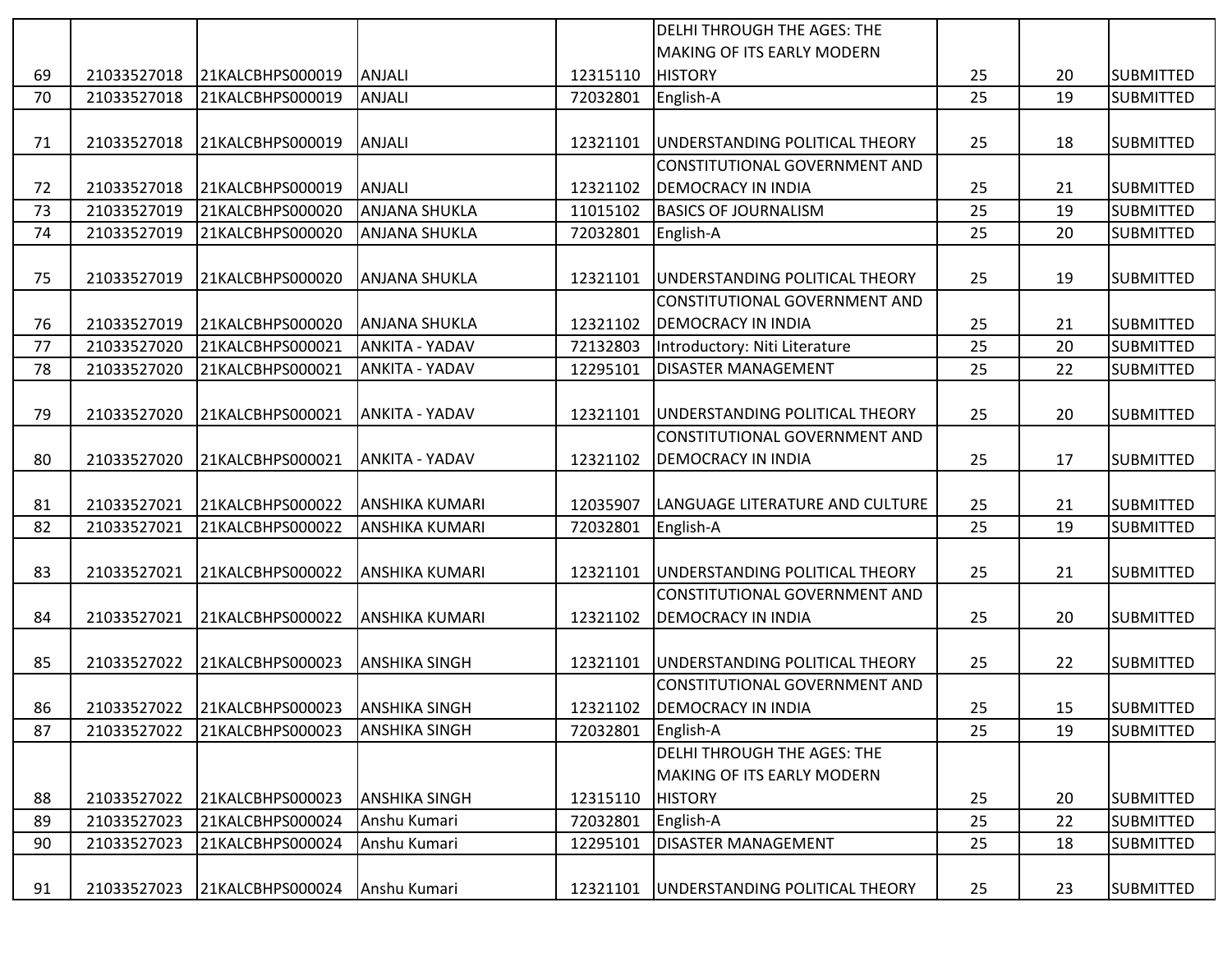|    |             |                  |                       |          | <b>DELHI THROUGH THE AGES: THE</b>   |    |    |                  |
|----|-------------|------------------|-----------------------|----------|--------------------------------------|----|----|------------------|
|    |             |                  |                       |          | <b>MAKING OF ITS EARLY MODERN</b>    |    |    |                  |
| 69 | 21033527018 | 21KALCBHPS000019 | ANJALI                | 12315110 | <b>HISTORY</b>                       | 25 | 20 | <b>SUBMITTED</b> |
| 70 | 21033527018 | 21KALCBHPS000019 | <b>ANJALI</b>         | 72032801 | English-A                            | 25 | 19 | <b>SUBMITTED</b> |
|    |             |                  |                       |          |                                      |    |    |                  |
| 71 | 21033527018 | 21KALCBHPS000019 | ANJALI                | 12321101 | UNDERSTANDING POLITICAL THEORY       | 25 | 18 | <b>SUBMITTED</b> |
|    |             |                  |                       |          | CONSTITUTIONAL GOVERNMENT AND        |    |    |                  |
| 72 | 21033527018 | 21KALCBHPS000019 | ANJALI                | 12321102 | <b>DEMOCRACY IN INDIA</b>            | 25 | 21 | <b>SUBMITTED</b> |
| 73 | 21033527019 | 21KALCBHPS000020 | <b>ANJANA SHUKLA</b>  | 11015102 | <b>BASICS OF JOURNALISM</b>          | 25 | 19 | <b>SUBMITTED</b> |
| 74 | 21033527019 | 21KALCBHPS000020 | <b>ANJANA SHUKLA</b>  | 72032801 | English-A                            | 25 | 20 | <b>SUBMITTED</b> |
|    |             |                  |                       |          |                                      |    |    |                  |
| 75 | 21033527019 | 21KALCBHPS000020 | <b>ANJANA SHUKLA</b>  | 12321101 | UNDERSTANDING POLITICAL THEORY       | 25 | 19 | <b>SUBMITTED</b> |
|    |             |                  |                       |          | CONSTITUTIONAL GOVERNMENT AND        |    |    |                  |
| 76 | 21033527019 | 21KALCBHPS000020 | <b>ANJANA SHUKLA</b>  | 12321102 | <b>DEMOCRACY IN INDIA</b>            | 25 | 21 | <b>SUBMITTED</b> |
| 77 | 21033527020 | 21KALCBHPS000021 | <b>ANKITA - YADAV</b> | 72132803 | Introductory: Niti Literature        | 25 | 20 | <b>SUBMITTED</b> |
| 78 | 21033527020 | 21KALCBHPS000021 | <b>ANKITA - YADAV</b> | 12295101 | <b>DISASTER MANAGEMENT</b>           | 25 | 22 | <b>SUBMITTED</b> |
|    |             |                  |                       |          |                                      |    |    |                  |
| 79 | 21033527020 | 21KALCBHPS000021 | <b>ANKITA - YADAV</b> | 12321101 | UNDERSTANDING POLITICAL THEORY       | 25 | 20 | <b>SUBMITTED</b> |
|    |             |                  |                       |          | <b>CONSTITUTIONAL GOVERNMENT AND</b> |    |    |                  |
| 80 | 21033527020 | 21KALCBHPS000021 | <b>ANKITA - YADAV</b> | 12321102 | <b>DEMOCRACY IN INDIA</b>            | 25 | 17 | <b>SUBMITTED</b> |
|    |             |                  |                       |          |                                      |    |    |                  |
| 81 | 21033527021 | 21KALCBHPS000022 | <b>ANSHIKA KUMARI</b> | 12035907 | LANGUAGE LITERATURE AND CULTURE      | 25 | 21 | <b>SUBMITTED</b> |
| 82 | 21033527021 | 21KALCBHPS000022 | <b>ANSHIKA KUMARI</b> | 72032801 | English-A                            | 25 | 19 | <b>SUBMITTED</b> |
|    |             |                  |                       |          |                                      |    |    |                  |
| 83 | 21033527021 | 21KALCBHPS000022 | <b>ANSHIKA KUMARI</b> | 12321101 | UNDERSTANDING POLITICAL THEORY       | 25 | 21 | <b>SUBMITTED</b> |
|    |             |                  |                       |          | CONSTITUTIONAL GOVERNMENT AND        |    |    |                  |
| 84 | 21033527021 | 21KALCBHPS000022 | <b>ANSHIKA KUMARI</b> | 12321102 | <b>DEMOCRACY IN INDIA</b>            | 25 | 20 | <b>SUBMITTED</b> |
|    |             |                  |                       |          |                                      |    |    |                  |
| 85 | 21033527022 | 21KALCBHPS000023 | <b>ANSHIKA SINGH</b>  | 12321101 | UNDERSTANDING POLITICAL THEORY       | 25 | 22 | <b>SUBMITTED</b> |
|    |             |                  |                       |          | CONSTITUTIONAL GOVERNMENT AND        |    |    |                  |
| 86 | 21033527022 | 21KALCBHPS000023 | <b>ANSHIKA SINGH</b>  | 12321102 | <b>DEMOCRACY IN INDIA</b>            | 25 | 15 | <b>SUBMITTED</b> |
| 87 | 21033527022 | 21KALCBHPS000023 | <b>ANSHIKA SINGH</b>  | 72032801 | English-A                            | 25 | 19 | <b>SUBMITTED</b> |
|    |             |                  |                       |          | <b>DELHI THROUGH THE AGES: THE</b>   |    |    |                  |
|    |             |                  |                       |          | <b>MAKING OF ITS EARLY MODERN</b>    |    |    |                  |
| 88 | 21033527022 | 21KALCBHPS000023 | <b>ANSHIKA SINGH</b>  | 12315110 | <b>HISTORY</b>                       | 25 | 20 | <b>SUBMITTED</b> |
| 89 | 21033527023 | 21KALCBHPS000024 | Anshu Kumari          | 72032801 | English-A                            | 25 | 22 | <b>SUBMITTED</b> |
| 90 | 21033527023 | 21KALCBHPS000024 | Anshu Kumari          | 12295101 | <b>DISASTER MANAGEMENT</b>           | 25 | 18 | <b>SUBMITTED</b> |
|    |             |                  |                       |          |                                      |    |    |                  |
| 91 | 21033527023 | 21KALCBHPS000024 | Anshu Kumari          | 12321101 | UNDERSTANDING POLITICAL THEORY       | 25 | 23 | <b>SUBMITTED</b> |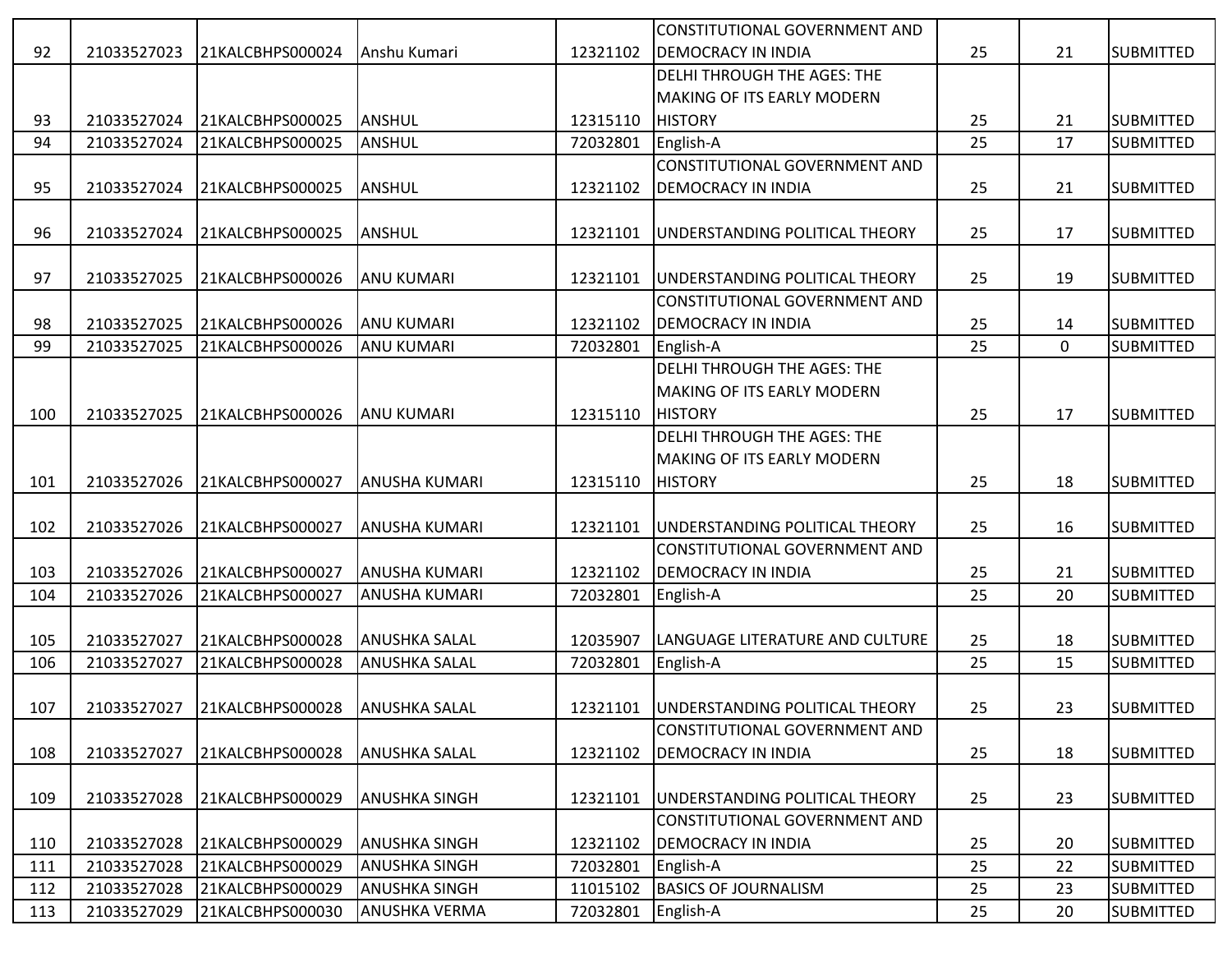|     |             |                  |                      |          | CONSTITUTIONAL GOVERNMENT AND             |    |          |                  |
|-----|-------------|------------------|----------------------|----------|-------------------------------------------|----|----------|------------------|
| 92  | 21033527023 | 21KALCBHPS000024 | Anshu Kumari         | 12321102 | <b>DEMOCRACY IN INDIA</b>                 | 25 | 21       | <b>SUBMITTED</b> |
|     |             |                  |                      |          | DELHI THROUGH THE AGES: THE               |    |          |                  |
|     |             |                  |                      |          | MAKING OF ITS EARLY MODERN                |    |          |                  |
| 93  | 21033527024 | 21KALCBHPS000025 | ANSHUL               | 12315110 | <b>HISTORY</b>                            | 25 | 21       | <b>SUBMITTED</b> |
| 94  | 21033527024 | 21KALCBHPS000025 | ANSHUL               | 72032801 | English-A                                 | 25 | 17       | <b>SUBMITTED</b> |
|     |             |                  |                      |          | CONSTITUTIONAL GOVERNMENT AND             |    |          |                  |
| 95  | 21033527024 | 21KALCBHPS000025 | ANSHUL               | 12321102 | <b>DEMOCRACY IN INDIA</b>                 | 25 | 21       | <b>SUBMITTED</b> |
|     |             |                  |                      |          |                                           |    |          |                  |
| 96  | 21033527024 | 21KALCBHPS000025 | ANSHUL               | 12321101 | UNDERSTANDING POLITICAL THEORY            | 25 | 17       | <b>SUBMITTED</b> |
|     |             |                  |                      |          |                                           |    |          |                  |
| 97  | 21033527025 | 21KALCBHPS000026 | <b>ANU KUMARI</b>    | 12321101 | UNDERSTANDING POLITICAL THEORY            | 25 | 19       | <b>SUBMITTED</b> |
|     |             |                  |                      |          | CONSTITUTIONAL GOVERNMENT AND             |    |          |                  |
| 98  | 21033527025 | 21KALCBHPS000026 | <b>ANU KUMARI</b>    | 12321102 | <b>DEMOCRACY IN INDIA</b>                 | 25 | 14       | <b>SUBMITTED</b> |
| 99  | 21033527025 | 21KALCBHPS000026 | <b>ANU KUMARI</b>    | 72032801 | English-A                                 | 25 | $\Omega$ | <b>SUBMITTED</b> |
|     |             |                  |                      |          | DELHI THROUGH THE AGES: THE               |    |          |                  |
|     |             |                  |                      |          | MAKING OF ITS EARLY MODERN                |    |          |                  |
| 100 | 21033527025 | 21KALCBHPS000026 | <b>ANU KUMARI</b>    | 12315110 | <b>HISTORY</b>                            | 25 | 17       | <b>SUBMITTED</b> |
|     |             |                  |                      |          | DELHI THROUGH THE AGES: THE               |    |          |                  |
|     |             |                  |                      |          | <b>MAKING OF ITS EARLY MODERN</b>         |    |          |                  |
| 101 | 21033527026 | 21KALCBHPS000027 | <b>ANUSHA KUMARI</b> | 12315110 | <b>HISTORY</b>                            | 25 | 18       | <b>SUBMITTED</b> |
|     |             |                  |                      |          |                                           |    |          |                  |
| 102 | 21033527026 | 21KALCBHPS000027 | <b>ANUSHA KUMARI</b> | 12321101 | UNDERSTANDING POLITICAL THEORY            | 25 | 16       | <b>SUBMITTED</b> |
|     |             |                  |                      |          | CONSTITUTIONAL GOVERNMENT AND             |    |          |                  |
| 103 | 21033527026 | 21KALCBHPS000027 | <b>ANUSHA KUMARI</b> | 12321102 | <b>DEMOCRACY IN INDIA</b>                 | 25 | 21       | <b>SUBMITTED</b> |
| 104 | 21033527026 | 21KALCBHPS000027 | <b>ANUSHA KUMARI</b> | 72032801 | English-A                                 | 25 | 20       | <b>SUBMITTED</b> |
|     |             |                  |                      |          |                                           |    |          |                  |
| 105 | 21033527027 | 21KALCBHPS000028 | <b>ANUSHKA SALAL</b> | 12035907 | LANGUAGE LITERATURE AND CULTURE           | 25 | 18       | <b>SUBMITTED</b> |
| 106 | 21033527027 | 21KALCBHPS000028 | <b>ANUSHKA SALAL</b> | 72032801 | English-A                                 | 25 | 15       | <b>SUBMITTED</b> |
|     |             |                  |                      |          |                                           |    |          |                  |
| 107 | 21033527027 | 21KALCBHPS000028 | <b>ANUSHKA SALAL</b> |          | 12321101   UNDERSTANDING POLITICAL THEORY | 25 | 23       | <b>SUBMITTED</b> |
|     |             |                  |                      |          | CONSTITUTIONAL GOVERNMENT AND             |    |          |                  |
| 108 | 21033527027 | 21KALCBHPS000028 | <b>ANUSHKA SALAL</b> | 12321102 | <b>DEMOCRACY IN INDIA</b>                 | 25 | 18       | <b>SUBMITTED</b> |
|     |             |                  |                      |          |                                           |    |          |                  |
| 109 | 21033527028 | 21KALCBHPS000029 | <b>ANUSHKA SINGH</b> | 12321101 | UNDERSTANDING POLITICAL THEORY            | 25 | 23       | <b>SUBMITTED</b> |
|     |             |                  |                      |          | CONSTITUTIONAL GOVERNMENT AND             |    |          |                  |
| 110 | 21033527028 | 21KALCBHPS000029 | <b>ANUSHKA SINGH</b> | 12321102 | <b>DEMOCRACY IN INDIA</b>                 | 25 | 20       | <b>SUBMITTED</b> |
| 111 | 21033527028 | 21KALCBHPS000029 | <b>ANUSHKA SINGH</b> | 72032801 | English-A                                 | 25 | 22       | <b>SUBMITTED</b> |
| 112 | 21033527028 | 21KALCBHPS000029 | <b>ANUSHKA SINGH</b> | 11015102 | <b>BASICS OF JOURNALISM</b>               | 25 | 23       | <b>SUBMITTED</b> |
| 113 | 21033527029 | 21KALCBHPS000030 | <b>ANUSHKA VERMA</b> | 72032801 | English-A                                 | 25 | 20       | <b>SUBMITTED</b> |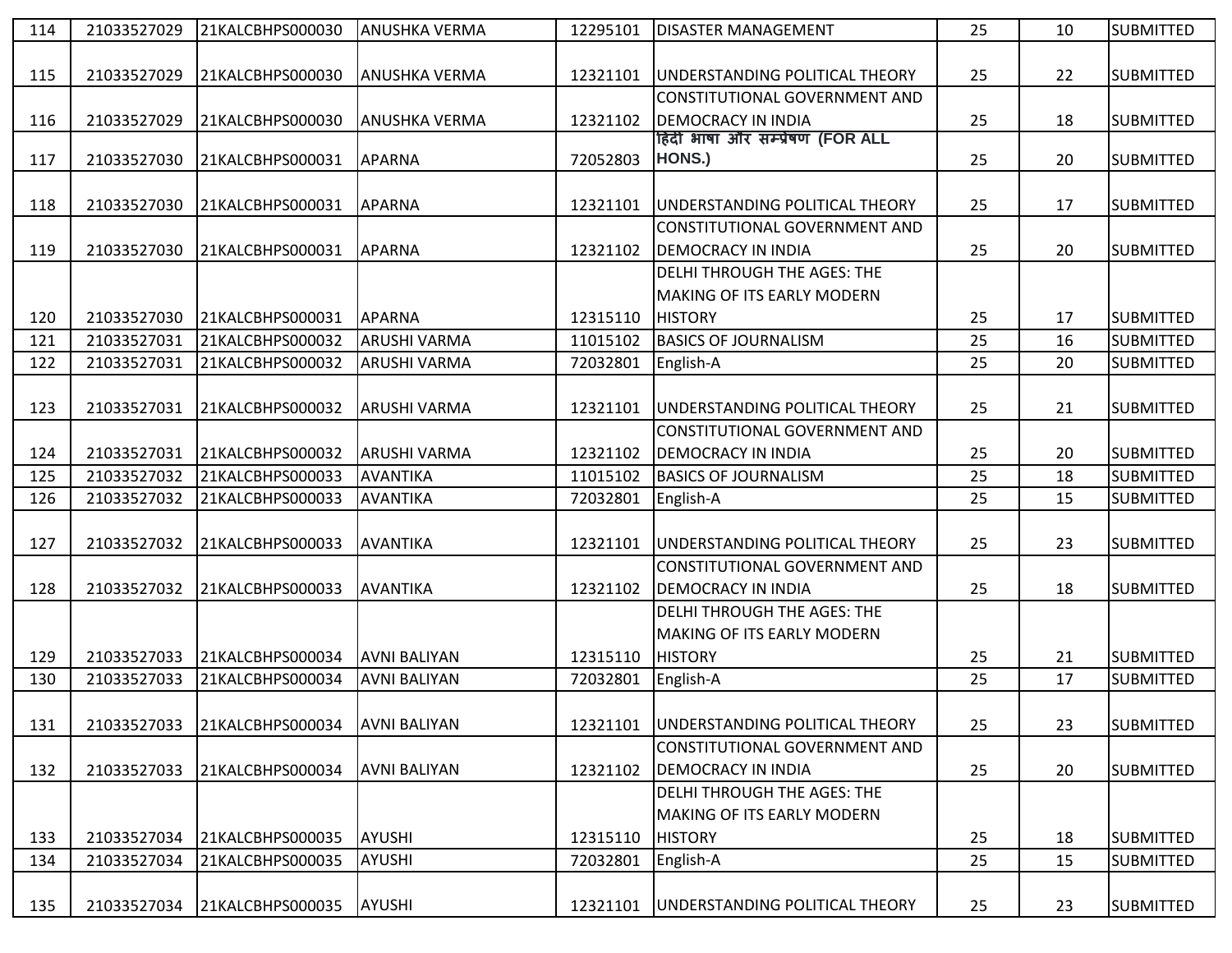| 114 | 21033527029 | 21KALCBHPS000030 | <b>ANUSHKA VERMA</b> | 12295101 | <b>DISASTER MANAGEMENT</b>         | 25 | 10 | <b>SUBMITTED</b> |
|-----|-------------|------------------|----------------------|----------|------------------------------------|----|----|------------------|
|     |             |                  |                      |          |                                    |    |    |                  |
| 115 | 21033527029 | 21KALCBHPS000030 | <b>ANUSHKA VERMA</b> | 12321101 | UNDERSTANDING POLITICAL THEORY     | 25 | 22 | <b>SUBMITTED</b> |
|     |             |                  |                      |          | CONSTITUTIONAL GOVERNMENT AND      |    |    |                  |
| 116 | 21033527029 | 21KALCBHPS000030 | <b>ANUSHKA VERMA</b> | 12321102 | <b>DEMOCRACY IN INDIA</b>          | 25 | 18 | <b>SUBMITTED</b> |
|     |             |                  |                      |          | हिंदी भाषा और सम्प्रेषण (FOR ALL   |    |    |                  |
| 117 | 21033527030 | 21KALCBHPS000031 | <b>APARNA</b>        | 72052803 | HONS.)                             | 25 | 20 | <b>SUBMITTED</b> |
|     |             |                  |                      |          |                                    |    |    |                  |
| 118 | 21033527030 | 21KALCBHPS000031 | APARNA               | 12321101 | UNDERSTANDING POLITICAL THEORY     | 25 | 17 | <b>SUBMITTED</b> |
|     |             |                  |                      |          | CONSTITUTIONAL GOVERNMENT AND      |    |    |                  |
| 119 | 21033527030 | 21KALCBHPS000031 | APARNA               | 12321102 | <b>DEMOCRACY IN INDIA</b>          | 25 | 20 | <b>SUBMITTED</b> |
|     |             |                  |                      |          | DELHI THROUGH THE AGES: THE        |    |    |                  |
|     |             |                  |                      |          | <b>MAKING OF ITS EARLY MODERN</b>  |    |    |                  |
| 120 | 21033527030 | 21KALCBHPS000031 | <b>APARNA</b>        | 12315110 | <b>HISTORY</b>                     | 25 | 17 | <b>SUBMITTED</b> |
| 121 | 21033527031 | 21KALCBHPS000032 | <b>ARUSHI VARMA</b>  | 11015102 | <b>BASICS OF JOURNALISM</b>        | 25 | 16 | <b>SUBMITTED</b> |
| 122 | 21033527031 | 21KALCBHPS000032 | <b>ARUSHI VARMA</b>  | 72032801 | English-A                          | 25 | 20 | <b>SUBMITTED</b> |
|     |             |                  |                      |          |                                    |    |    |                  |
| 123 | 21033527031 | 21KALCBHPS000032 | <b>ARUSHI VARMA</b>  | 12321101 | UNDERSTANDING POLITICAL THEORY     | 25 | 21 | <b>SUBMITTED</b> |
|     |             |                  |                      |          | CONSTITUTIONAL GOVERNMENT AND      |    |    |                  |
| 124 | 21033527031 | 21KALCBHPS000032 | <b>ARUSHI VARMA</b>  | 12321102 | <b>DEMOCRACY IN INDIA</b>          | 25 | 20 | <b>SUBMITTED</b> |
| 125 | 21033527032 | 21KALCBHPS000033 | AVANTIKA             | 11015102 | <b>BASICS OF JOURNALISM</b>        | 25 | 18 | <b>SUBMITTED</b> |
| 126 | 21033527032 | 21KALCBHPS000033 | AVANTIKA             | 72032801 | English-A                          | 25 | 15 | <b>SUBMITTED</b> |
|     |             |                  |                      |          |                                    |    |    |                  |
| 127 | 21033527032 | 21KALCBHPS000033 | AVANTIKA             | 12321101 | UNDERSTANDING POLITICAL THEORY     | 25 | 23 | <b>SUBMITTED</b> |
|     |             |                  |                      |          | CONSTITUTIONAL GOVERNMENT AND      |    |    |                  |
| 128 | 21033527032 | 21KALCBHPS000033 | AVANTIKA             | 12321102 | <b>DEMOCRACY IN INDIA</b>          | 25 | 18 | <b>SUBMITTED</b> |
|     |             |                  |                      |          | DELHI THROUGH THE AGES: THE        |    |    |                  |
|     |             |                  |                      |          | MAKING OF ITS EARLY MODERN         |    |    |                  |
| 129 | 21033527033 | 21KALCBHPS000034 | <b>AVNI BALIYAN</b>  | 12315110 | <b>HISTORY</b>                     | 25 | 21 | <b>SUBMITTED</b> |
| 130 | 21033527033 | 21KALCBHPS000034 | <b>AVNI BALIYAN</b>  | 72032801 | English-A                          | 25 | 17 | <b>SUBMITTED</b> |
|     |             |                  |                      |          |                                    |    |    |                  |
| 131 | 21033527033 | 21KALCBHPS000034 | <b>AVNI BALIYAN</b>  | 12321101 | UNDERSTANDING POLITICAL THEORY     | 25 | 23 | <b>SUBMITTED</b> |
|     |             |                  |                      |          | CONSTITUTIONAL GOVERNMENT AND      |    |    |                  |
| 132 | 21033527033 | 21KALCBHPS000034 | <b>AVNI BALIYAN</b>  | 12321102 | <b>DEMOCRACY IN INDIA</b>          | 25 | 20 | <b>SUBMITTED</b> |
|     |             |                  |                      |          | <b>DELHI THROUGH THE AGES: THE</b> |    |    |                  |
|     |             |                  |                      |          |                                    |    |    |                  |
|     |             |                  |                      |          | <b>MAKING OF ITS EARLY MODERN</b>  |    |    |                  |
| 133 | 21033527034 | 21KALCBHPS000035 | AYUSHI               | 12315110 | <b>HISTORY</b>                     | 25 | 18 | <b>SUBMITTED</b> |
| 134 | 21033527034 | 21KALCBHPS000035 | AYUSHI               | 72032801 | English-A                          | 25 | 15 | <b>SUBMITTED</b> |
|     |             |                  |                      |          |                                    |    |    |                  |
| 135 | 21033527034 | 21KALCBHPS000035 | <b>AYUSHI</b>        | 12321101 | UNDERSTANDING POLITICAL THEORY     | 25 | 23 | <b>SUBMITTED</b> |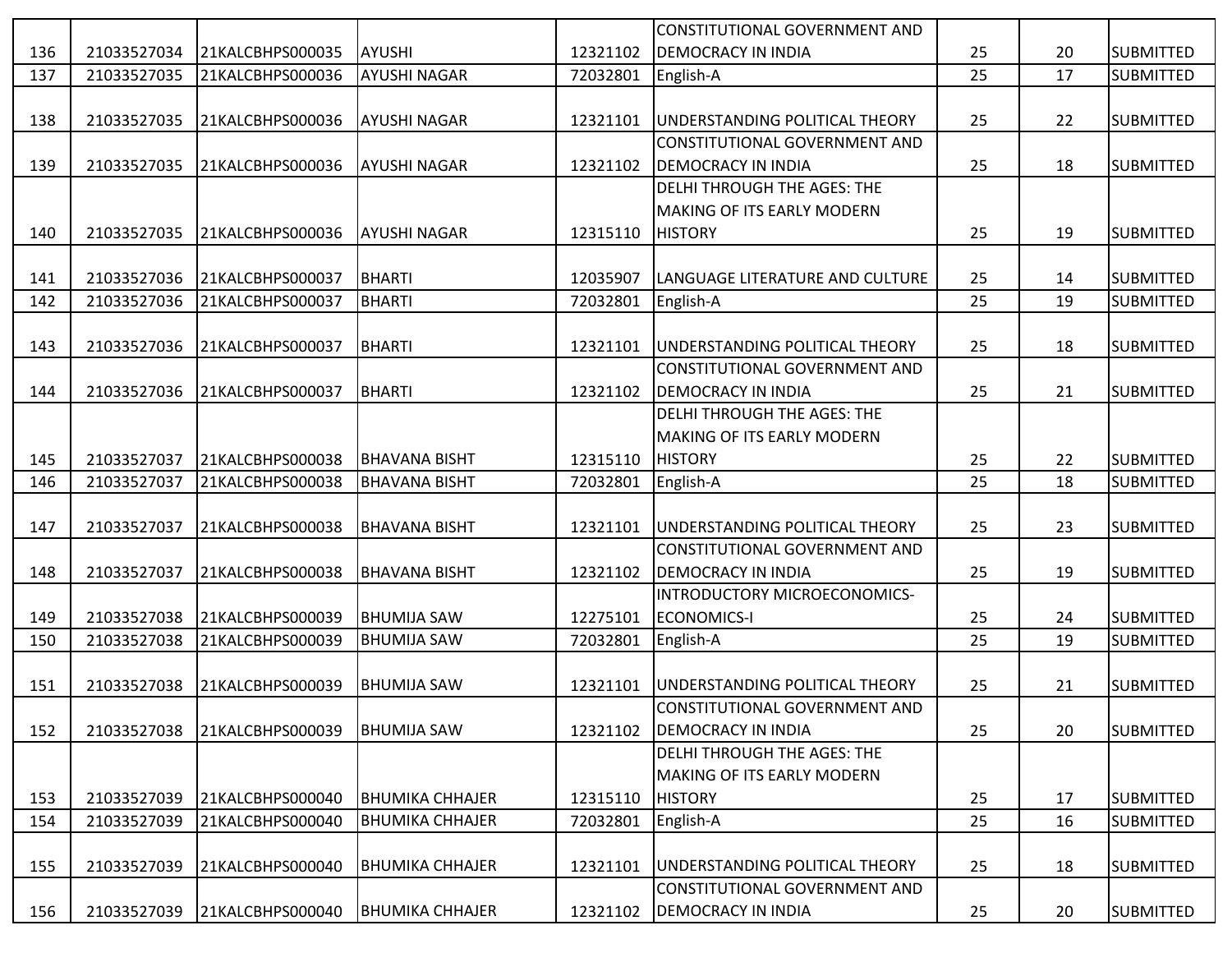|     |             |                  |                        |          | CONSTITUTIONAL GOVERNMENT AND          |    |    |                  |
|-----|-------------|------------------|------------------------|----------|----------------------------------------|----|----|------------------|
| 136 | 21033527034 | 21KALCBHPS000035 | AYUSHI                 | 12321102 | <b>DEMOCRACY IN INDIA</b>              | 25 | 20 | <b>SUBMITTED</b> |
| 137 | 21033527035 | 21KALCBHPS000036 | <b>AYUSHI NAGAR</b>    | 72032801 | English-A                              | 25 | 17 | <b>SUBMITTED</b> |
|     |             |                  |                        |          |                                        |    |    |                  |
| 138 | 21033527035 | 21KALCBHPS000036 | <b>AYUSHI NAGAR</b>    | 12321101 | <b>JUNDERSTANDING POLITICAL THEORY</b> | 25 | 22 | <b>SUBMITTED</b> |
|     |             |                  |                        |          | CONSTITUTIONAL GOVERNMENT AND          |    |    |                  |
| 139 | 21033527035 | 21KALCBHPS000036 | <b>AYUSHI NAGAR</b>    | 12321102 | <b>DEMOCRACY IN INDIA</b>              | 25 | 18 | <b>SUBMITTED</b> |
|     |             |                  |                        |          | DELHI THROUGH THE AGES: THE            |    |    |                  |
|     |             |                  |                        |          | <b>MAKING OF ITS EARLY MODERN</b>      |    |    |                  |
| 140 | 21033527035 | 21KALCBHPS000036 | <b>AYUSHI NAGAR</b>    | 12315110 | <b>HISTORY</b>                         | 25 | 19 | <b>SUBMITTED</b> |
|     |             |                  |                        |          |                                        |    |    |                  |
| 141 | 21033527036 | 21KALCBHPS000037 | BHARTI                 | 12035907 | LANGUAGE LITERATURE AND CULTURE        | 25 | 14 | <b>SUBMITTED</b> |
| 142 | 21033527036 | 21KALCBHPS000037 | <b>BHARTI</b>          | 72032801 | English-A                              | 25 | 19 | <b>SUBMITTED</b> |
|     |             |                  |                        |          |                                        |    |    |                  |
| 143 | 21033527036 | 21KALCBHPS000037 | BHARTI                 | 12321101 | UNDERSTANDING POLITICAL THEORY         | 25 | 18 | <b>SUBMITTED</b> |
|     |             |                  |                        |          | CONSTITUTIONAL GOVERNMENT AND          |    |    |                  |
| 144 | 21033527036 | 21KALCBHPS000037 | BHARTI                 | 12321102 | <b>DEMOCRACY IN INDIA</b>              | 25 | 21 | <b>SUBMITTED</b> |
|     |             |                  |                        |          | DELHI THROUGH THE AGES: THE            |    |    |                  |
|     |             |                  |                        |          | <b>MAKING OF ITS EARLY MODERN</b>      |    |    |                  |
| 145 | 21033527037 | 21KALCBHPS000038 | <b>BHAVANA BISHT</b>   | 12315110 | <b>HISTORY</b>                         | 25 | 22 | <b>SUBMITTED</b> |
| 146 | 21033527037 | 21KALCBHPS000038 | <b>BHAVANA BISHT</b>   | 72032801 | English-A                              | 25 | 18 | <b>SUBMITTED</b> |
|     |             |                  |                        |          |                                        |    |    |                  |
| 147 | 21033527037 | 21KALCBHPS000038 | <b>BHAVANA BISHT</b>   | 12321101 | UNDERSTANDING POLITICAL THEORY         | 25 | 23 | <b>SUBMITTED</b> |
|     |             |                  |                        |          | CONSTITUTIONAL GOVERNMENT AND          |    |    |                  |
| 148 | 21033527037 | 21KALCBHPS000038 | <b>BHAVANA BISHT</b>   | 12321102 | <b>DEMOCRACY IN INDIA</b>              | 25 | 19 | <b>SUBMITTED</b> |
|     |             |                  |                        |          | INTRODUCTORY MICROECONOMICS-           |    |    |                  |
| 149 | 21033527038 | 21KALCBHPS000039 | BHUMIJA SAW            | 12275101 | <b>ECONOMICS-I</b>                     | 25 | 24 | <b>SUBMITTED</b> |
| 150 | 21033527038 | 21KALCBHPS000039 | <b>BHUMIJA SAW</b>     | 72032801 | English-A                              | 25 | 19 | <b>SUBMITTED</b> |
|     |             |                  |                        |          |                                        |    |    |                  |
| 151 | 21033527038 | 21KALCBHPS000039 | BHUMIJA SAW            | 12321101 | UNDERSTANDING POLITICAL THEORY         | 25 | 21 | <b>SUBMITTED</b> |
|     |             |                  |                        |          | CONSTITUTIONAL GOVERNMENT AND          |    |    |                  |
| 152 | 21033527038 | 21KALCBHPS000039 | <b>BHUMIJA SAW</b>     | 12321102 | <b>DEMOCRACY IN INDIA</b>              | 25 | 20 | <b>SUBMITTED</b> |
|     |             |                  |                        |          | DELHI THROUGH THE AGES: THE            |    |    |                  |
|     |             |                  |                        |          | <b>MAKING OF ITS EARLY MODERN</b>      |    |    |                  |
| 153 | 21033527039 | 21KALCBHPS000040 | <b>BHUMIKA CHHAJER</b> | 12315110 | <b>HISTORY</b>                         | 25 | 17 | <b>SUBMITTED</b> |
| 154 | 21033527039 | 21KALCBHPS000040 | <b>BHUMIKA CHHAJER</b> | 72032801 | English-A                              | 25 | 16 | <b>SUBMITTED</b> |
|     |             |                  |                        |          |                                        |    |    |                  |
| 155 | 21033527039 | 21KALCBHPS000040 | <b>BHUMIKA CHHAJER</b> | 12321101 | UNDERSTANDING POLITICAL THEORY         | 25 | 18 | <b>SUBMITTED</b> |
|     |             |                  |                        |          | CONSTITUTIONAL GOVERNMENT AND          |    |    |                  |
| 156 | 21033527039 | 21KALCBHPS000040 | <b>BHUMIKA CHHAJER</b> | 12321102 | <b>DEMOCRACY IN INDIA</b>              | 25 | 20 | <b>SUBMITTED</b> |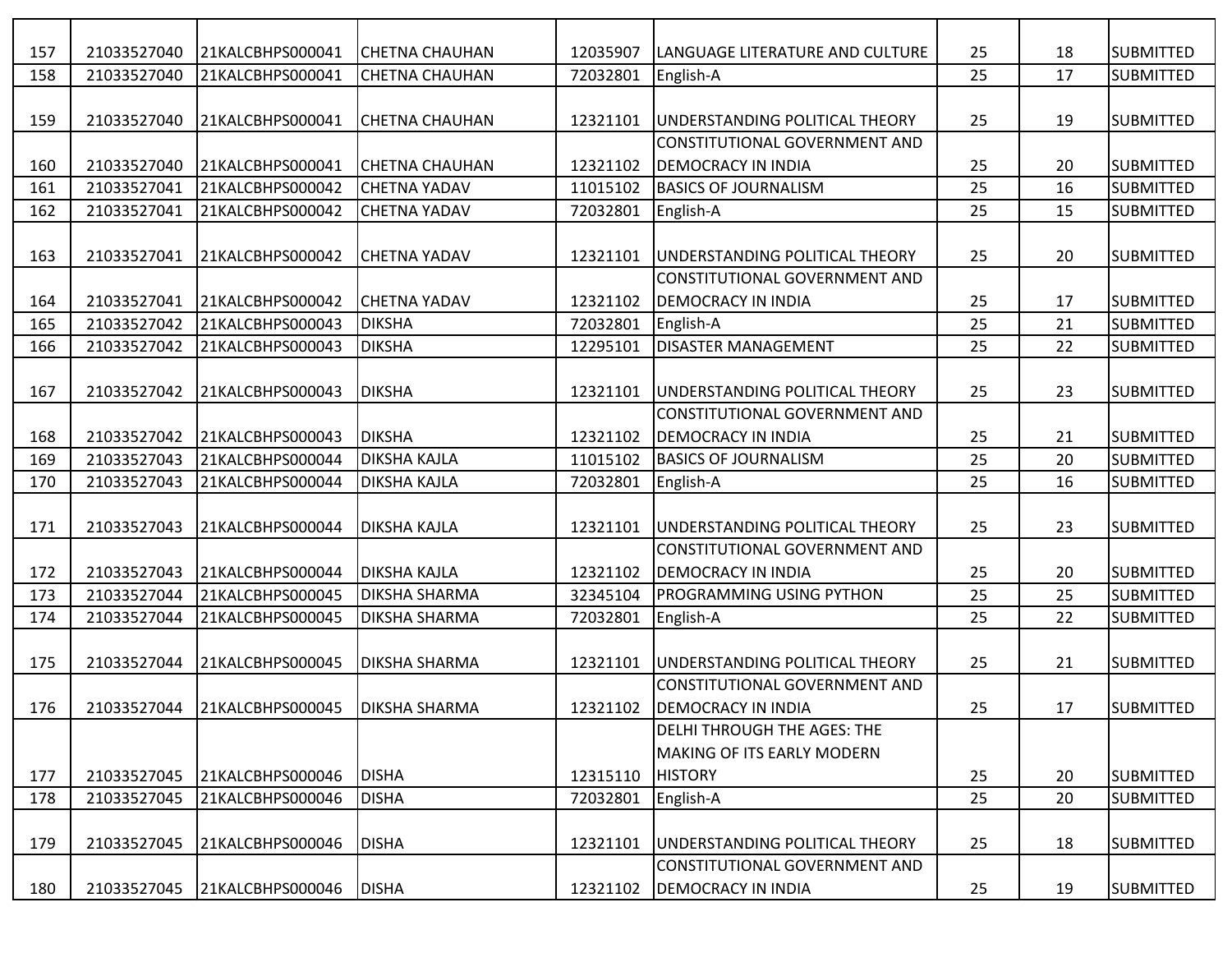| 157 | 21033527040 | 21KALCBHPS000041             | <b>CHETNA CHAUHAN</b> | 12035907 | LANGUAGE LITERATURE AND CULTURE      | 25 | 18 | <b>SUBMITTED</b> |
|-----|-------------|------------------------------|-----------------------|----------|--------------------------------------|----|----|------------------|
| 158 | 21033527040 | 21KALCBHPS000041             | <b>CHETNA CHAUHAN</b> | 72032801 | English-A                            | 25 | 17 | <b>SUBMITTED</b> |
|     |             |                              |                       |          |                                      |    |    |                  |
| 159 | 21033527040 | 21KALCBHPS000041             | <b>CHETNA CHAUHAN</b> | 12321101 | UNDERSTANDING POLITICAL THEORY       | 25 | 19 | <b>SUBMITTED</b> |
|     |             |                              |                       |          | CONSTITUTIONAL GOVERNMENT AND        |    |    |                  |
| 160 | 21033527040 | 21KALCBHPS000041             | <b>CHETNA CHAUHAN</b> | 12321102 | <b>DEMOCRACY IN INDIA</b>            | 25 | 20 | <b>SUBMITTED</b> |
| 161 | 21033527041 | 21KALCBHPS000042             | <b>CHETNA YADAV</b>   | 11015102 | <b>BASICS OF JOURNALISM</b>          | 25 | 16 | <b>SUBMITTED</b> |
| 162 | 21033527041 | 21KALCBHPS000042             | <b>CHETNA YADAV</b>   | 72032801 | English-A                            | 25 | 15 | <b>SUBMITTED</b> |
|     |             |                              |                       |          |                                      |    |    |                  |
| 163 | 21033527041 | 21KALCBHPS000042             | <b>CHETNA YADAV</b>   | 12321101 | UNDERSTANDING POLITICAL THEORY       | 25 | 20 | <b>SUBMITTED</b> |
|     |             |                              |                       |          | CONSTITUTIONAL GOVERNMENT AND        |    |    |                  |
| 164 | 21033527041 | 21KALCBHPS000042             | <b>CHETNA YADAV</b>   | 12321102 | DEMOCRACY IN INDIA                   | 25 | 17 | <b>SUBMITTED</b> |
| 165 | 21033527042 | 21KALCBHPS000043             | <b>DIKSHA</b>         | 72032801 | English-A                            | 25 | 21 | <b>SUBMITTED</b> |
| 166 | 21033527042 | 21KALCBHPS000043             | <b>DIKSHA</b>         | 12295101 | <b>DISASTER MANAGEMENT</b>           | 25 | 22 | <b>SUBMITTED</b> |
|     |             |                              |                       |          |                                      |    |    |                  |
| 167 | 21033527042 | 21KALCBHPS000043             | <b>DIKSHA</b>         | 12321101 | UNDERSTANDING POLITICAL THEORY       | 25 | 23 | <b>SUBMITTED</b> |
|     |             |                              |                       |          | CONSTITUTIONAL GOVERNMENT AND        |    |    |                  |
| 168 | 21033527042 | 21KALCBHPS000043             | <b>DIKSHA</b>         | 12321102 | <b>DEMOCRACY IN INDIA</b>            | 25 | 21 | <b>SUBMITTED</b> |
| 169 | 21033527043 | 21KALCBHPS000044             | <b>DIKSHA KAJLA</b>   | 11015102 | <b>BASICS OF JOURNALISM</b>          | 25 | 20 | <b>SUBMITTED</b> |
| 170 | 21033527043 | 21KALCBHPS000044             | <b>DIKSHA KAJLA</b>   | 72032801 | English-A                            | 25 | 16 | <b>SUBMITTED</b> |
|     |             |                              |                       |          |                                      |    |    |                  |
| 171 | 21033527043 | 21KALCBHPS000044             | <b>DIKSHA KAJLA</b>   | 12321101 | UNDERSTANDING POLITICAL THEORY       | 25 | 23 | <b>SUBMITTED</b> |
|     |             |                              |                       |          | CONSTITUTIONAL GOVERNMENT AND        |    |    |                  |
| 172 | 21033527043 | 21KALCBHPS000044             | <b>DIKSHA KAJLA</b>   | 12321102 | DEMOCRACY IN INDIA                   | 25 | 20 | <b>SUBMITTED</b> |
| 173 | 21033527044 | 21KALCBHPS000045             | <b>DIKSHA SHARMA</b>  | 32345104 | PROGRAMMING USING PYTHON             | 25 | 25 | <b>SUBMITTED</b> |
| 174 | 21033527044 | 21KALCBHPS000045             | <b>DIKSHA SHARMA</b>  | 72032801 | English-A                            | 25 | 22 | <b>SUBMITTED</b> |
|     |             |                              |                       |          |                                      |    |    |                  |
| 175 | 21033527044 | 21KALCBHPS000045             | <b>DIKSHA SHARMA</b>  | 12321101 | UNDERSTANDING POLITICAL THEORY       | 25 | 21 | <b>SUBMITTED</b> |
|     |             |                              |                       |          | <b>CONSTITUTIONAL GOVERNMENT AND</b> |    |    |                  |
| 176 |             | 21033527044 21KALCBHPS000045 | <b>DIKSHA SHARMA</b>  | 12321102 | <b>DEMOCRACY IN INDIA</b>            | 25 | 17 | <b>SUBMITTED</b> |
|     |             |                              |                       |          | <b>DELHI THROUGH THE AGES: THE</b>   |    |    |                  |
|     |             |                              |                       |          | <b>MAKING OF ITS EARLY MODERN</b>    |    |    |                  |
| 177 | 21033527045 | 21KALCBHPS000046             | <b>DISHA</b>          | 12315110 | <b>HISTORY</b>                       | 25 | 20 | <b>SUBMITTED</b> |
| 178 | 21033527045 | 21KALCBHPS000046             | <b>DISHA</b>          | 72032801 | English-A                            | 25 | 20 | <b>SUBMITTED</b> |
|     |             |                              |                       |          |                                      |    |    |                  |
| 179 | 21033527045 | 21KALCBHPS000046             | <b>DISHA</b>          | 12321101 | UNDERSTANDING POLITICAL THEORY       | 25 | 18 | <b>SUBMITTED</b> |
|     |             |                              |                       |          | CONSTITUTIONAL GOVERNMENT AND        |    |    |                  |
| 180 | 21033527045 | 21KALCBHPS000046             | <b>DISHA</b>          | 12321102 | <b>DEMOCRACY IN INDIA</b>            | 25 | 19 | <b>SUBMITTED</b> |
|     |             |                              |                       |          |                                      |    |    |                  |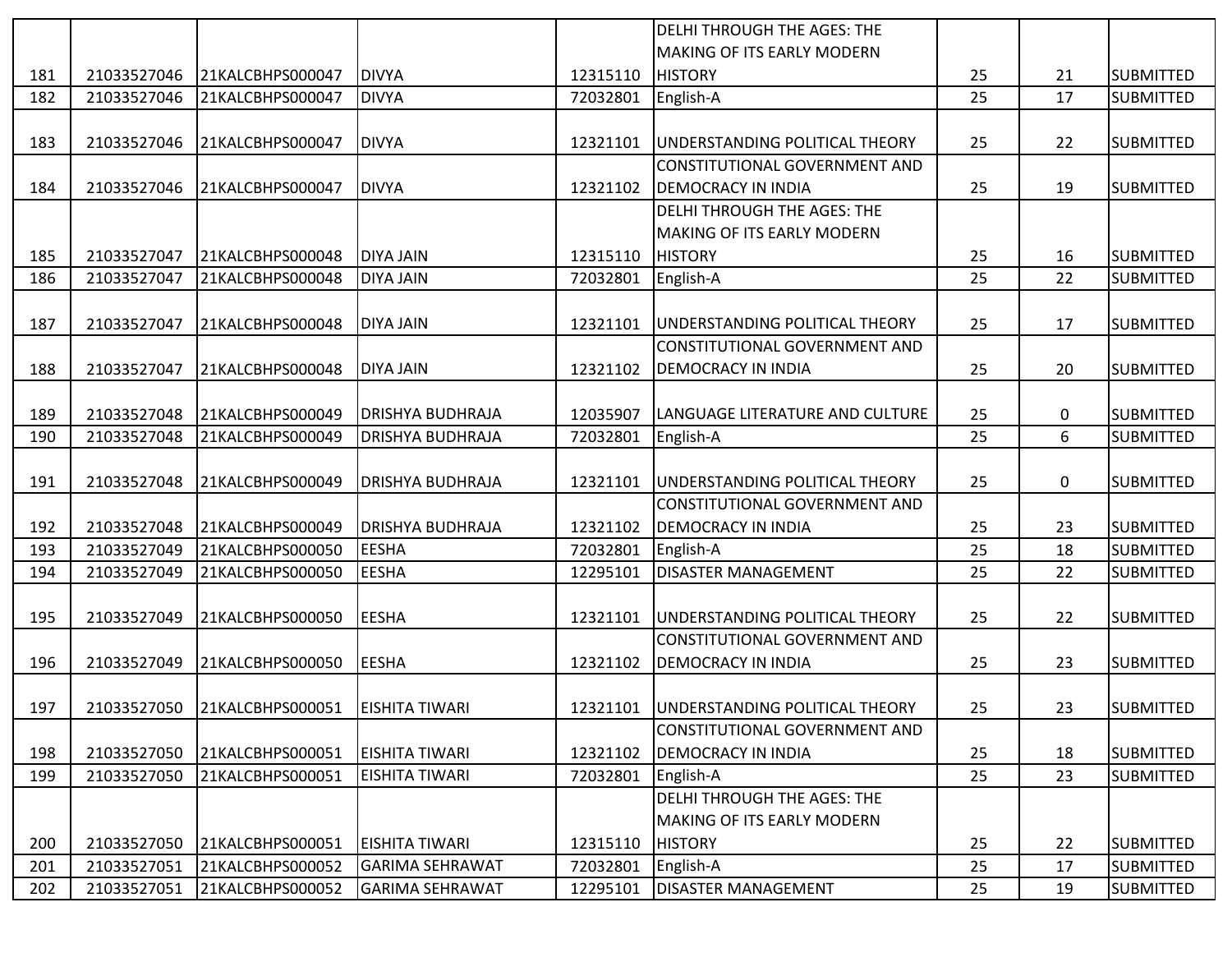|     |             |                  |                         |          | <b>DELHI THROUGH THE AGES: THE</b>    |    |    |                  |
|-----|-------------|------------------|-------------------------|----------|---------------------------------------|----|----|------------------|
|     |             |                  |                         |          | <b>MAKING OF ITS EARLY MODERN</b>     |    |    |                  |
| 181 | 21033527046 | 21KALCBHPS000047 | <b>DIVYA</b>            | 12315110 | <b>HISTORY</b>                        | 25 | 21 | <b>SUBMITTED</b> |
| 182 | 21033527046 | 21KALCBHPS000047 | <b>DIVYA</b>            | 72032801 | English-A                             | 25 | 17 | <b>SUBMITTED</b> |
|     |             |                  |                         |          |                                       |    |    |                  |
| 183 | 21033527046 | 21KALCBHPS000047 | <b>DIVYA</b>            | 12321101 | UNDERSTANDING POLITICAL THEORY        | 25 | 22 | <b>SUBMITTED</b> |
|     |             |                  |                         |          | CONSTITUTIONAL GOVERNMENT AND         |    |    |                  |
| 184 | 21033527046 | 21KALCBHPS000047 | <b>DIVYA</b>            | 12321102 | <b>DEMOCRACY IN INDIA</b>             | 25 | 19 | <b>SUBMITTED</b> |
|     |             |                  |                         |          | DELHI THROUGH THE AGES: THE           |    |    |                  |
|     |             |                  |                         |          | <b>MAKING OF ITS EARLY MODERN</b>     |    |    |                  |
| 185 | 21033527047 | 21KALCBHPS000048 | DIYA JAIN               | 12315110 | <b>HISTORY</b>                        | 25 | 16 | <b>SUBMITTED</b> |
| 186 | 21033527047 | 21KALCBHPS000048 | <b>DIYA JAIN</b>        | 72032801 | English-A                             | 25 | 22 | <b>SUBMITTED</b> |
|     |             |                  |                         |          |                                       |    |    |                  |
| 187 | 21033527047 | 21KALCBHPS000048 | <b>DIYA JAIN</b>        | 12321101 | UNDERSTANDING POLITICAL THEORY        | 25 | 17 | <b>SUBMITTED</b> |
|     |             |                  |                         |          | CONSTITUTIONAL GOVERNMENT AND         |    |    |                  |
| 188 | 21033527047 | 21KALCBHPS000048 | <b>DIYA JAIN</b>        | 12321102 | <b>DEMOCRACY IN INDIA</b>             | 25 | 20 | <b>SUBMITTED</b> |
|     |             |                  |                         |          |                                       |    |    |                  |
| 189 | 21033527048 | 21KALCBHPS000049 | <b>DRISHYA BUDHRAJA</b> | 12035907 | LANGUAGE LITERATURE AND CULTURE       | 25 | 0  | <b>SUBMITTED</b> |
| 190 | 21033527048 | 21KALCBHPS000049 | DRISHYA BUDHRAJA        | 72032801 | English-A                             | 25 | 6  | <b>SUBMITTED</b> |
|     |             |                  |                         |          |                                       |    |    |                  |
| 191 | 21033527048 | 21KALCBHPS000049 | <b>DRISHYA BUDHRAJA</b> | 12321101 | UNDERSTANDING POLITICAL THEORY        | 25 | 0  | <b>SUBMITTED</b> |
|     |             |                  |                         |          | CONSTITUTIONAL GOVERNMENT AND         |    |    |                  |
| 192 | 21033527048 | 21KALCBHPS000049 | <b>DRISHYA BUDHRAJA</b> | 12321102 | <b>DEMOCRACY IN INDIA</b>             | 25 | 23 | <b>SUBMITTED</b> |
| 193 | 21033527049 | 21KALCBHPS000050 | <b>EESHA</b>            | 72032801 | English-A                             | 25 | 18 | <b>SUBMITTED</b> |
| 194 | 21033527049 | 21KALCBHPS000050 | <b>EESHA</b>            | 12295101 | <b>DISASTER MANAGEMENT</b>            | 25 | 22 | <b>SUBMITTED</b> |
|     |             |                  |                         |          |                                       |    |    |                  |
| 195 | 21033527049 | 21KALCBHPS000050 | <b>EESHA</b>            | 12321101 | UNDERSTANDING POLITICAL THEORY        | 25 | 22 | <b>SUBMITTED</b> |
|     |             |                  |                         |          | CONSTITUTIONAL GOVERNMENT AND         |    |    |                  |
| 196 | 21033527049 | 21KALCBHPS000050 | <b>EESHA</b>            | 12321102 | <b>DEMOCRACY IN INDIA</b>             | 25 | 23 | <b>SUBMITTED</b> |
|     |             |                  |                         |          |                                       |    |    |                  |
| 197 | 21033527050 | 21KALCBHPS000051 | <b>EISHITA TIWARI</b>   | 12321101 | <b>UNDERSTANDING POLITICAL THEORY</b> | 25 | 23 | <b>SUBMITTED</b> |
|     |             |                  |                         |          | CONSTITUTIONAL GOVERNMENT AND         |    |    |                  |
| 198 | 21033527050 | 21KALCBHPS000051 | <b>EISHITA TIWARI</b>   | 12321102 | <b>DEMOCRACY IN INDIA</b>             | 25 | 18 | <b>SUBMITTED</b> |
| 199 | 21033527050 | 21KALCBHPS000051 | EISHITA TIWARI          | 72032801 | English-A                             | 25 | 23 | <b>SUBMITTED</b> |
|     |             |                  |                         |          | DELHI THROUGH THE AGES: THE           |    |    |                  |
|     |             |                  |                         |          | <b>MAKING OF ITS EARLY MODERN</b>     |    |    |                  |
| 200 | 21033527050 | 21KALCBHPS000051 | <b>EISHITA TIWARI</b>   | 12315110 | <b>HISTORY</b>                        | 25 | 22 | <b>SUBMITTED</b> |
| 201 | 21033527051 | 21KALCBHPS000052 | <b>GARIMA SEHRAWAT</b>  | 72032801 | English-A                             | 25 | 17 | <b>SUBMITTED</b> |
| 202 | 21033527051 | 21KALCBHPS000052 | <b>GARIMA SEHRAWAT</b>  | 12295101 | <b>DISASTER MANAGEMENT</b>            | 25 | 19 | <b>SUBMITTED</b> |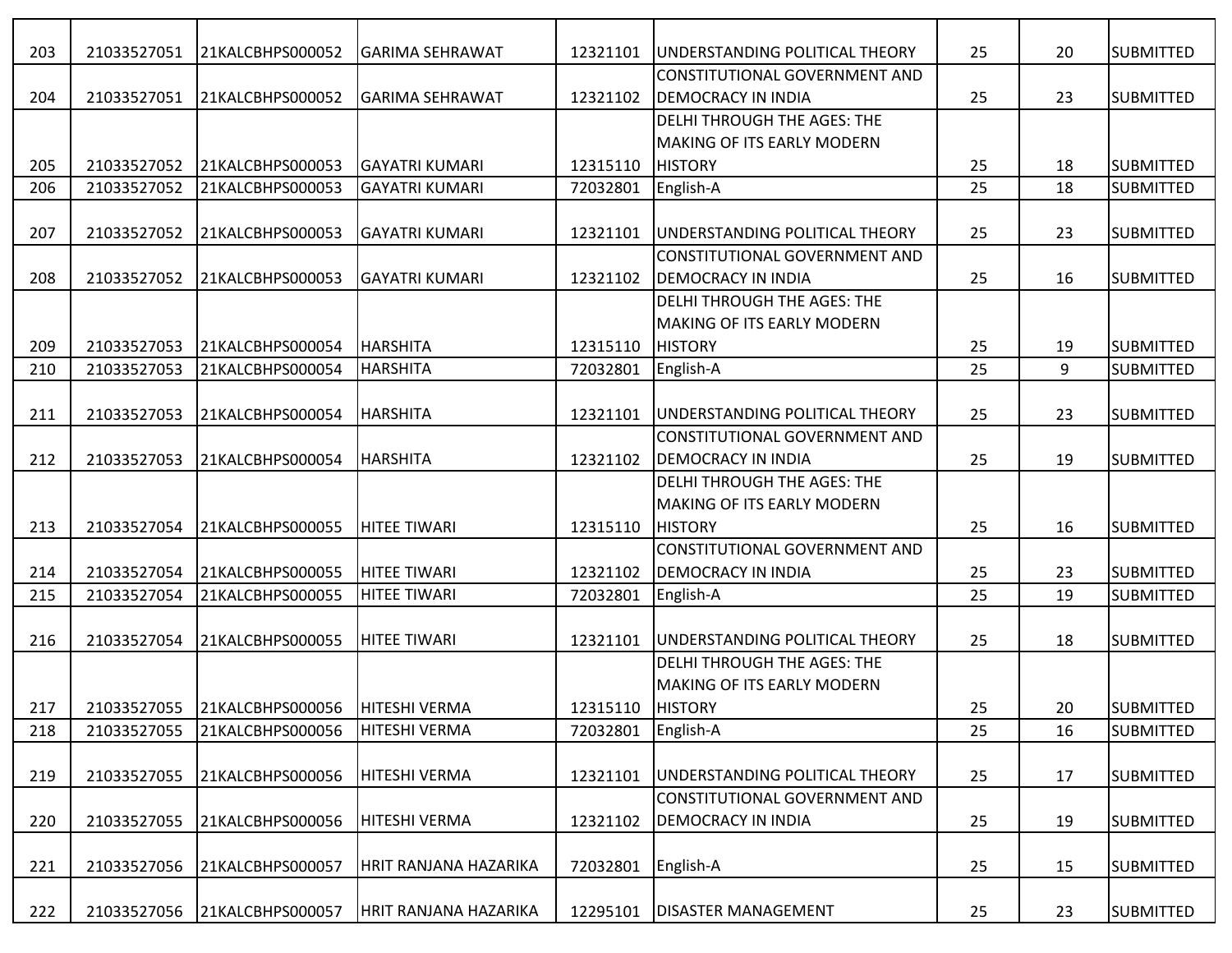| 203 | 21033527051 | 21KALCBHPS000052                           | <b>GARIMA SEHRAWAT</b> | 12321101         | UNDERSTANDING POLITICAL THEORY         | 25 | 20 | <b>SUBMITTED</b> |
|-----|-------------|--------------------------------------------|------------------------|------------------|----------------------------------------|----|----|------------------|
|     |             |                                            |                        |                  | <b>CONSTITUTIONAL GOVERNMENT AND</b>   |    |    |                  |
| 204 | 21033527051 | 21KALCBHPS000052                           | <b>GARIMA SEHRAWAT</b> | 12321102         | <b>DEMOCRACY IN INDIA</b>              | 25 | 23 | <b>SUBMITTED</b> |
|     |             |                                            |                        |                  | <b>DELHI THROUGH THE AGES: THE</b>     |    |    |                  |
|     |             |                                            |                        |                  | <b>MAKING OF ITS EARLY MODERN</b>      |    |    |                  |
| 205 | 21033527052 | 21KALCBHPS000053                           | <b>GAYATRI KUMARI</b>  | 12315110         | <b>HISTORY</b>                         | 25 | 18 | <b>SUBMITTED</b> |
| 206 | 21033527052 | 21KALCBHPS000053                           | <b>GAYATRI KUMARI</b>  | 72032801         | English-A                              | 25 | 18 | <b>SUBMITTED</b> |
|     |             |                                            |                        |                  |                                        |    |    |                  |
| 207 | 21033527052 | 21KALCBHPS000053                           | <b>GAYATRI KUMARI</b>  | 12321101         | UNDERSTANDING POLITICAL THEORY         | 25 | 23 | <b>SUBMITTED</b> |
|     |             |                                            |                        |                  | <b>CONSTITUTIONAL GOVERNMENT AND</b>   |    |    |                  |
| 208 | 21033527052 | 21KALCBHPS000053                           | <b>GAYATRI KUMARI</b>  | 12321102         | <b>DEMOCRACY IN INDIA</b>              | 25 | 16 | <b>SUBMITTED</b> |
|     |             |                                            |                        |                  | DELHI THROUGH THE AGES: THE            |    |    |                  |
|     |             |                                            |                        |                  | <b>MAKING OF ITS EARLY MODERN</b>      |    |    |                  |
| 209 | 21033527053 | 21KALCBHPS000054                           | HARSHITA               | 12315110         | <b>HISTORY</b>                         | 25 | 19 | <b>SUBMITTED</b> |
| 210 | 21033527053 | 21KALCBHPS000054                           | <b>HARSHITA</b>        | 72032801         | English-A                              | 25 | 9  | <b>SUBMITTED</b> |
|     |             |                                            |                        |                  |                                        |    |    |                  |
| 211 | 21033527053 | 21KALCBHPS000054                           | <b>HARSHITA</b>        | 12321101         | UNDERSTANDING POLITICAL THEORY         | 25 | 23 | <b>SUBMITTED</b> |
|     |             |                                            |                        |                  | <b>CONSTITUTIONAL GOVERNMENT AND</b>   |    |    |                  |
| 212 | 21033527053 | 21KALCBHPS000054                           | HARSHITA               | 12321102         | <b>DEMOCRACY IN INDIA</b>              | 25 | 19 | <b>SUBMITTED</b> |
|     |             |                                            |                        |                  | <b>DELHI THROUGH THE AGES: THE</b>     |    |    |                  |
|     |             |                                            |                        |                  | <b>MAKING OF ITS EARLY MODERN</b>      |    |    |                  |
| 213 | 21033527054 | 21KALCBHPS000055                           | <b>HITEE TIWARI</b>    | 12315110         | <b>HISTORY</b>                         | 25 | 16 | <b>SUBMITTED</b> |
|     |             |                                            |                        |                  | CONSTITUTIONAL GOVERNMENT AND          |    |    |                  |
| 214 | 21033527054 | 21KALCBHPS000055                           | <b>HITEE TIWARI</b>    | 12321102         | <b>DEMOCRACY IN INDIA</b>              | 25 | 23 | <b>SUBMITTED</b> |
| 215 | 21033527054 | 21KALCBHPS000055                           | <b>HITEE TIWARI</b>    | 72032801         | English-A                              | 25 | 19 | <b>SUBMITTED</b> |
|     |             |                                            |                        |                  |                                        |    |    |                  |
| 216 | 21033527054 | 21KALCBHPS000055                           | <b>HITEE TIWARI</b>    | 12321101         | <b>JUNDERSTANDING POLITICAL THEORY</b> | 25 | 18 | <b>SUBMITTED</b> |
|     |             |                                            |                        |                  | <b>DELHI THROUGH THE AGES: THE</b>     |    |    |                  |
|     |             |                                            |                        |                  | <b>MAKING OF ITS EARLY MODERN</b>      |    |    |                  |
| 217 |             | 21033527055 21KALCBHPS000056 HITESHI VERMA |                        | 12315110 HISTORY |                                        | 25 | 20 | <b>SUBMITTED</b> |
| 218 | 21033527055 | 21KALCBHPS000056                           | <b>HITESHI VERMA</b>   | 72032801         | English-A                              | 25 | 16 | <b>SUBMITTED</b> |
|     |             |                                            |                        |                  |                                        |    |    |                  |
| 219 | 21033527055 | 21KALCBHPS000056                           | <b>HITESHI VERMA</b>   | 12321101         | UNDERSTANDING POLITICAL THEORY         | 25 | 17 | <b>SUBMITTED</b> |
|     |             |                                            |                        |                  | CONSTITUTIONAL GOVERNMENT AND          |    |    |                  |
| 220 | 21033527055 | 21KALCBHPS000056                           | <b>HITESHI VERMA</b>   | 12321102         | <b>DEMOCRACY IN INDIA</b>              | 25 | 19 | <b>SUBMITTED</b> |
|     |             |                                            |                        |                  |                                        |    |    |                  |
| 221 | 21033527056 | 21KALCBHPS000057                           | HRIT RANJANA HAZARIKA  | 72032801         | English-A                              | 25 | 15 | <b>SUBMITTED</b> |
|     |             |                                            |                        |                  |                                        |    |    |                  |
| 222 | 21033527056 | 21KALCBHPS000057                           | HRIT RANJANA HAZARIKA  | 12295101         | <b>DISASTER MANAGEMENT</b>             | 25 | 23 | <b>SUBMITTED</b> |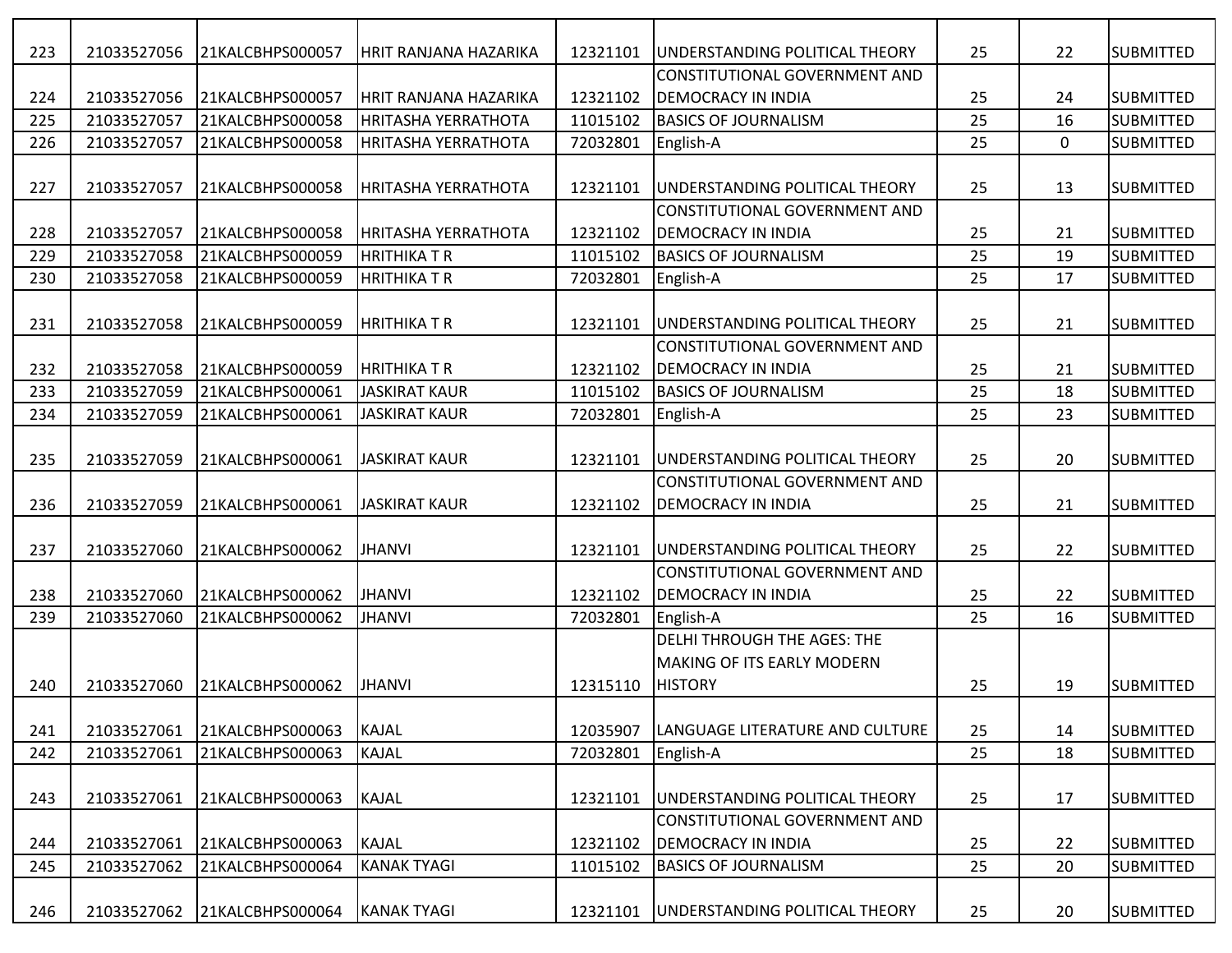| 223 | 21033527056 | 21KALCBHPS000057 | <b>HRIT RANJANA HAZARIKA</b> | 12321101 | UNDERSTANDING POLITICAL THEORY         | 25 | 22          | <b>SUBMITTED</b>  |
|-----|-------------|------------------|------------------------------|----------|----------------------------------------|----|-------------|-------------------|
|     |             |                  |                              |          | CONSTITUTIONAL GOVERNMENT AND          |    |             |                   |
| 224 | 21033527056 | 21KALCBHPS000057 | HRIT RANJANA HAZARIKA        | 12321102 | <b>DEMOCRACY IN INDIA</b>              | 25 | 24          | <b>SUBMITTED</b>  |
| 225 | 21033527057 | 21KALCBHPS000058 | <b>HRITASHA YERRATHOTA</b>   | 11015102 | <b>BASICS OF JOURNALISM</b>            | 25 | 16          | <b>SUBMITTED</b>  |
| 226 | 21033527057 | 21KALCBHPS000058 | <b>HRITASHA YERRATHOTA</b>   | 72032801 | English-A                              | 25 | $\mathbf 0$ | <b>SUBMITTED</b>  |
|     |             |                  |                              |          |                                        |    |             |                   |
| 227 | 21033527057 | 21KALCBHPS000058 | <b>HRITASHA YERRATHOTA</b>   | 12321101 | UNDERSTANDING POLITICAL THEORY         | 25 | 13          | <b>SUBMITTED</b>  |
|     |             |                  |                              |          | CONSTITUTIONAL GOVERNMENT AND          |    |             |                   |
| 228 | 21033527057 | 21KALCBHPS000058 | <b>HRITASHA YERRATHOTA</b>   | 12321102 | <b>DEMOCRACY IN INDIA</b>              | 25 | 21          | <b>SUBMITTED</b>  |
| 229 | 21033527058 | 21KALCBHPS000059 | <b>HRITHIKATR</b>            | 11015102 | <b>BASICS OF JOURNALISM</b>            | 25 | 19          | <b>SUBMITTED</b>  |
| 230 | 21033527058 | 21KALCBHPS000059 | <b>I</b> HRITHIKA T R        | 72032801 | English-A                              | 25 | 17          | <b>SUBMITTED</b>  |
|     |             |                  |                              |          |                                        |    |             |                   |
| 231 | 21033527058 | 21KALCBHPS000059 | HRITHIKA T R                 | 12321101 | UNDERSTANDING POLITICAL THEORY         | 25 | 21          | <b>SUBMITTED</b>  |
|     |             |                  |                              |          | CONSTITUTIONAL GOVERNMENT AND          |    |             |                   |
| 232 | 21033527058 | 21KALCBHPS000059 | <b>HRITHIKA T R</b>          | 12321102 | <b>DEMOCRACY IN INDIA</b>              | 25 | 21          | <b>SUBMITTED</b>  |
| 233 | 21033527059 | 21KALCBHPS000061 | JASKIRAT KAUR                | 11015102 | <b>BASICS OF JOURNALISM</b>            | 25 | 18          | <b>SUBMITTED</b>  |
| 234 | 21033527059 | 21KALCBHPS000061 | JASKIRAT KAUR                | 72032801 | English-A                              | 25 | 23          | <b>SUBMITTED</b>  |
|     |             |                  |                              |          |                                        |    |             |                   |
| 235 | 21033527059 | 21KALCBHPS000061 | JASKIRAT KAUR                | 12321101 | UNDERSTANDING POLITICAL THEORY         | 25 | 20          | <b>SUBMITTED</b>  |
|     |             |                  |                              |          | CONSTITUTIONAL GOVERNMENT AND          |    |             |                   |
| 236 | 21033527059 | 21KALCBHPS000061 | <b>JASKIRAT KAUR</b>         | 12321102 | <b>DEMOCRACY IN INDIA</b>              | 25 | 21          | <b>SUBMITTED</b>  |
|     |             |                  |                              |          |                                        |    |             |                   |
| 237 | 21033527060 | 21KALCBHPS000062 | <b>JHANVI</b>                | 12321101 | <b>JUNDERSTANDING POLITICAL THEORY</b> | 25 | 22          | <b>SUBMITTED</b>  |
|     |             |                  |                              |          | CONSTITUTIONAL GOVERNMENT AND          |    |             |                   |
| 238 | 21033527060 | 21KALCBHPS000062 | <b>JHANVI</b>                | 12321102 | <b>DEMOCRACY IN INDIA</b>              | 25 | 22          | <b>SUBMITTED</b>  |
| 239 | 21033527060 | 21KALCBHPS000062 | <b>JHANVI</b>                | 72032801 | English-A                              | 25 | 16          | <b>SUBMITTED</b>  |
|     |             |                  |                              |          | <b>DELHI THROUGH THE AGES: THE</b>     |    |             |                   |
|     |             |                  |                              |          | <b>MAKING OF ITS EARLY MODERN</b>      |    |             |                   |
| 240 | 21033527060 | 21KALCBHPS000062 | <b>JHANVI</b>                | 12315110 | <b>HISTORY</b>                         | 25 | 19          | <b>ISUBMITTED</b> |
|     |             |                  |                              |          |                                        |    |             |                   |
| 241 | 21033527061 | 21KALCBHPS000063 | KAJAL                        | 12035907 | LANGUAGE LITERATURE AND CULTURE        | 25 | 14          | <b>SUBMITTED</b>  |
| 242 | 21033527061 | 21KALCBHPS000063 | KAJAL                        | 72032801 | English-A                              | 25 | 18          | <b>SUBMITTED</b>  |
|     |             |                  |                              |          |                                        |    |             |                   |
| 243 | 21033527061 | 21KALCBHPS000063 | KAJAL                        | 12321101 | UNDERSTANDING POLITICAL THEORY         | 25 | 17          | <b>SUBMITTED</b>  |
|     |             |                  |                              |          | CONSTITUTIONAL GOVERNMENT AND          |    |             |                   |
| 244 | 21033527061 | 21KALCBHPS000063 | KAJAL                        | 12321102 | <b>DEMOCRACY IN INDIA</b>              | 25 | 22          | <b>SUBMITTED</b>  |
| 245 | 21033527062 | 21KALCBHPS000064 | <b>KANAK TYAGI</b>           | 11015102 | <b>BASICS OF JOURNALISM</b>            | 25 | 20          | <b>SUBMITTED</b>  |
|     |             |                  |                              |          |                                        |    |             |                   |
| 246 | 21033527062 | 21KALCBHPS000064 | KANAK TYAGI                  | 12321101 | UNDERSTANDING POLITICAL THEORY         | 25 | 20          | <b>SUBMITTED</b>  |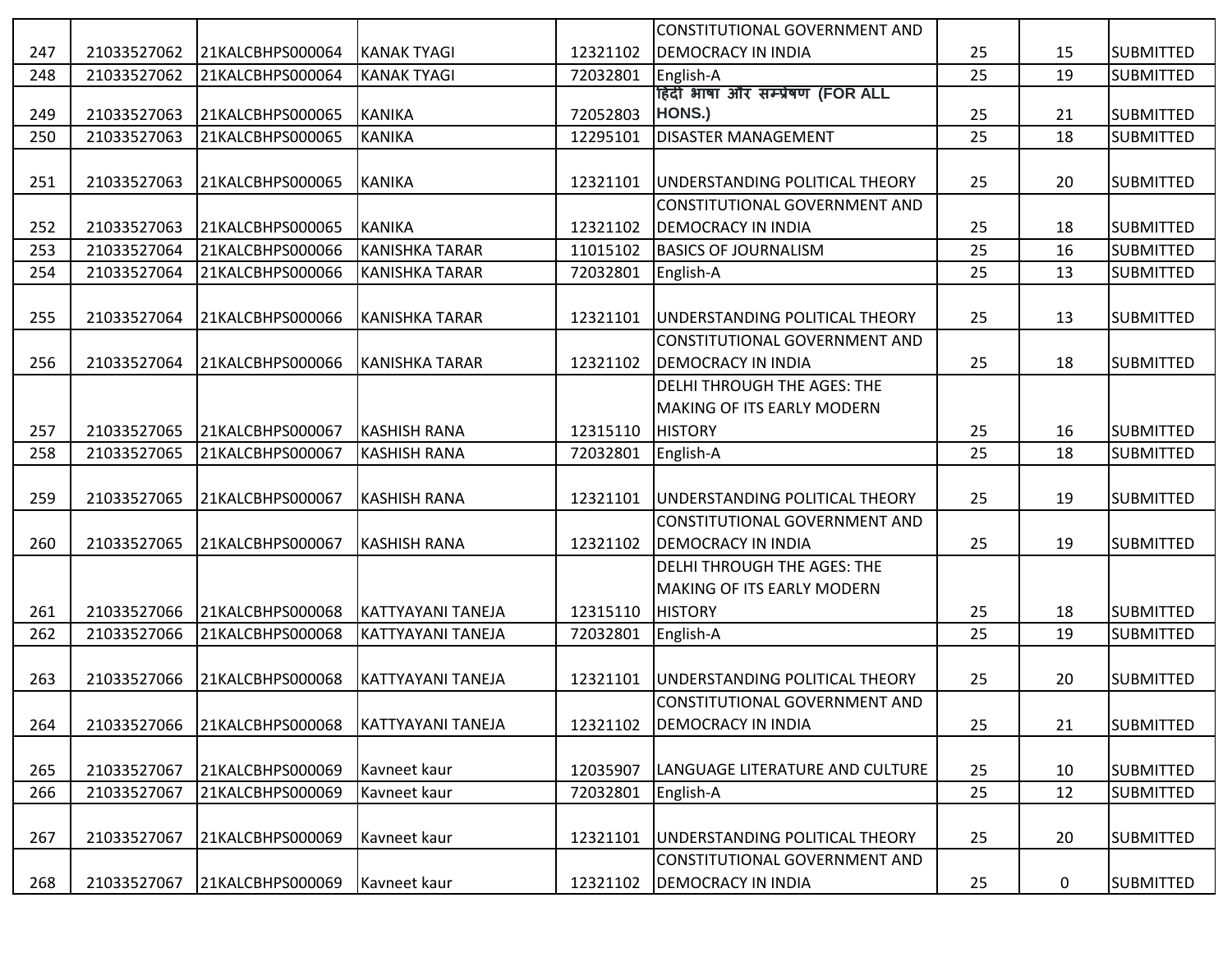|     |             |                  |                          |          | CONSTITUTIONAL GOVERNMENT AND          |    |    |                  |
|-----|-------------|------------------|--------------------------|----------|----------------------------------------|----|----|------------------|
| 247 | 21033527062 | 21KALCBHPS000064 | <b>KANAK TYAGI</b>       | 12321102 | <b>DEMOCRACY IN INDIA</b>              | 25 | 15 | <b>SUBMITTED</b> |
| 248 | 21033527062 | 21KALCBHPS000064 | <b>KANAK TYAGI</b>       | 72032801 | English-A                              | 25 | 19 | <b>SUBMITTED</b> |
|     |             |                  |                          |          | हिंदी भाषा और सम्प्रेषण (FOR ALL       |    |    |                  |
| 249 | 21033527063 | 21KALCBHPS000065 | KANIKA                   | 72052803 | HONS.)                                 | 25 | 21 | <b>SUBMITTED</b> |
| 250 | 21033527063 | 21KALCBHPS000065 | KANIKA                   | 12295101 | <b>DISASTER MANAGEMENT</b>             | 25 | 18 | <b>SUBMITTED</b> |
|     |             |                  |                          |          |                                        |    |    |                  |
| 251 | 21033527063 | 21KALCBHPS000065 | KANIKA                   | 12321101 | UNDERSTANDING POLITICAL THEORY         | 25 | 20 | <b>SUBMITTED</b> |
|     |             |                  |                          |          | CONSTITUTIONAL GOVERNMENT AND          |    |    |                  |
| 252 | 21033527063 | 21KALCBHPS000065 | KANIKA                   | 12321102 | <b>DEMOCRACY IN INDIA</b>              | 25 | 18 | <b>SUBMITTED</b> |
| 253 | 21033527064 | 21KALCBHPS000066 | KANISHKA TARAR           | 11015102 | <b>BASICS OF JOURNALISM</b>            | 25 | 16 | <b>SUBMITTED</b> |
| 254 | 21033527064 | 21KALCBHPS000066 | <b>KANISHKA TARAR</b>    | 72032801 | English-A                              | 25 | 13 | <b>SUBMITTED</b> |
|     |             |                  |                          |          |                                        |    |    |                  |
| 255 | 21033527064 | 21KALCBHPS000066 | KANISHKA TARAR           | 12321101 | UNDERSTANDING POLITICAL THEORY         | 25 | 13 | <b>SUBMITTED</b> |
|     |             |                  |                          |          | CONSTITUTIONAL GOVERNMENT AND          |    |    |                  |
| 256 | 21033527064 | 21KALCBHPS000066 | KANISHKA TARAR           | 12321102 | <b>DEMOCRACY IN INDIA</b>              | 25 | 18 | <b>SUBMITTED</b> |
|     |             |                  |                          |          | DELHI THROUGH THE AGES: THE            |    |    |                  |
|     |             |                  |                          |          | MAKING OF ITS EARLY MODERN             |    |    |                  |
| 257 | 21033527065 | 21KALCBHPS000067 | <b>KASHISH RANA</b>      | 12315110 | <b>HISTORY</b>                         | 25 | 16 | <b>SUBMITTED</b> |
| 258 | 21033527065 | 21KALCBHPS000067 | <b>KASHISH RANA</b>      | 72032801 | English-A                              | 25 | 18 | <b>SUBMITTED</b> |
|     |             |                  |                          |          |                                        |    |    |                  |
| 259 | 21033527065 | 21KALCBHPS000067 | <b>KASHISH RANA</b>      | 12321101 | <b>JUNDERSTANDING POLITICAL THEORY</b> | 25 | 19 | <b>SUBMITTED</b> |
|     |             |                  |                          |          | CONSTITUTIONAL GOVERNMENT AND          |    |    |                  |
| 260 | 21033527065 | 21KALCBHPS000067 | <b>KASHISH RANA</b>      | 12321102 | <b>DEMOCRACY IN INDIA</b>              | 25 | 19 | <b>SUBMITTED</b> |
|     |             |                  |                          |          | <b>DELHI THROUGH THE AGES: THE</b>     |    |    |                  |
|     |             |                  |                          |          | MAKING OF ITS EARLY MODERN             |    |    |                  |
| 261 | 21033527066 | 21KALCBHPS000068 | KATTYAYANI TANEJA        | 12315110 | <b>HISTORY</b>                         | 25 | 18 | <b>SUBMITTED</b> |
| 262 | 21033527066 | 21KALCBHPS000068 | <b>KATTYAYANI TANEJA</b> | 72032801 | English-A                              | 25 | 19 | <b>SUBMITTED</b> |
|     |             |                  |                          |          |                                        |    |    |                  |
| 263 | 21033527066 | 21KALCBHPS000068 | KATTYAYANI TANEJA        | 12321101 | UNDERSTANDING POLITICAL THEORY         | 25 | 20 | <b>SUBMITTED</b> |
|     |             |                  |                          |          | CONSTITUTIONAL GOVERNMENT AND          |    |    |                  |
|     |             |                  |                          |          |                                        |    |    |                  |
| 264 | 21033527066 | 21KALCBHPS000068 | KATTYAYANI TANEJA        | 12321102 | <b>DEMOCRACY IN INDIA</b>              | 25 | 21 | <b>SUBMITTED</b> |
|     |             |                  |                          |          |                                        |    |    |                  |
| 265 | 21033527067 | 21KALCBHPS000069 | Kavneet kaur             | 12035907 | LANGUAGE LITERATURE AND CULTURE        | 25 | 10 | <b>SUBMITTED</b> |
| 266 | 21033527067 | 21KALCBHPS000069 | Kavneet kaur             | 72032801 | English-A                              | 25 | 12 | <b>SUBMITTED</b> |
|     |             |                  |                          |          |                                        |    |    |                  |
| 267 | 21033527067 | 21KALCBHPS000069 | Kavneet kaur             | 12321101 | UNDERSTANDING POLITICAL THEORY         | 25 | 20 | <b>SUBMITTED</b> |
|     |             |                  |                          |          | CONSTITUTIONAL GOVERNMENT AND          |    |    |                  |
| 268 | 21033527067 | 21KALCBHPS000069 | Kavneet kaur             | 12321102 | <b>DEMOCRACY IN INDIA</b>              | 25 | 0  | <b>SUBMITTED</b> |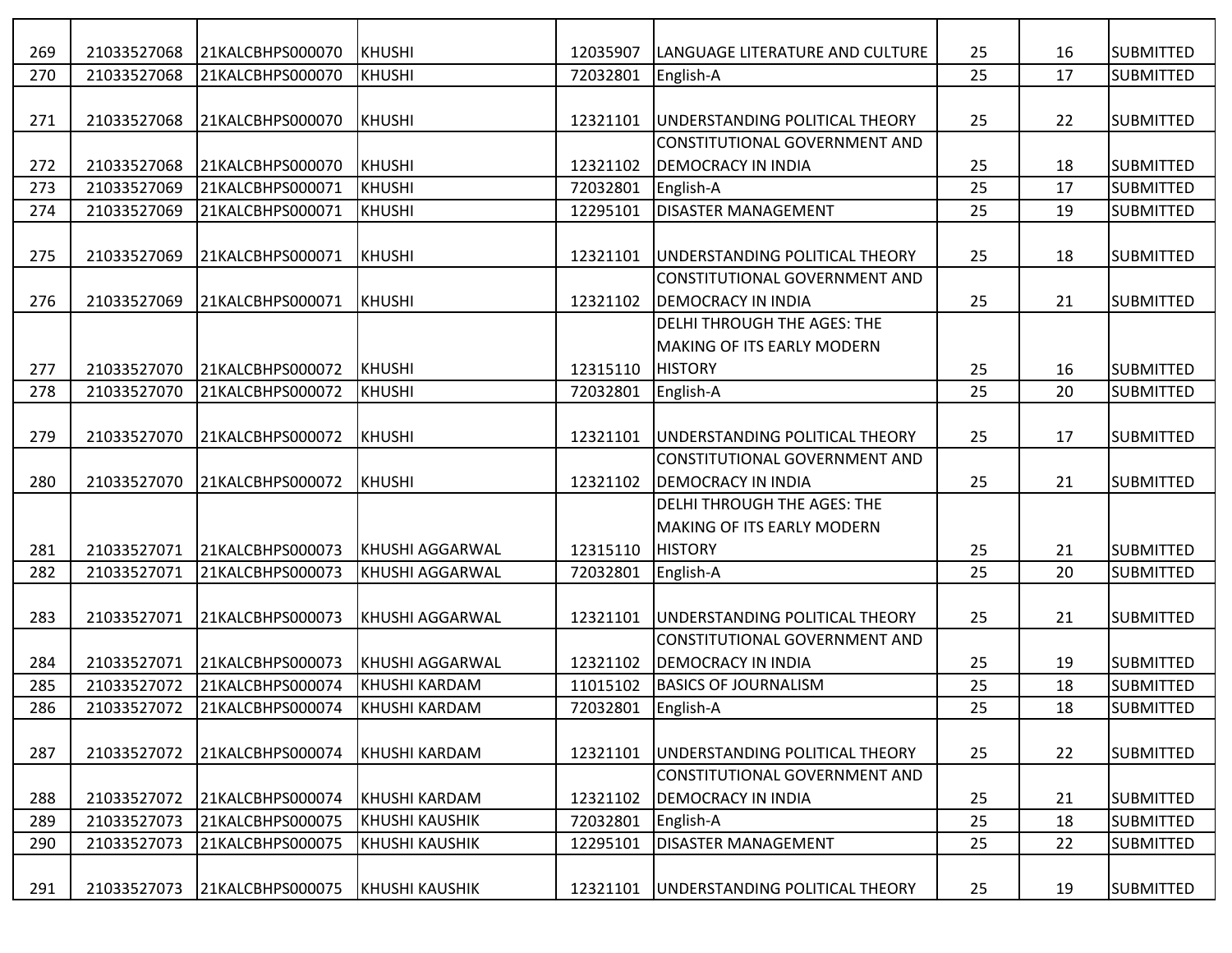| 269 | 21033527068 | 21KALCBHPS000070 | KHUSHI                | 12035907 | LANGUAGE LITERATURE AND CULTURE    | 25 | 16 | <b>SUBMITTED</b> |
|-----|-------------|------------------|-----------------------|----------|------------------------------------|----|----|------------------|
| 270 | 21033527068 | 21KALCBHPS000070 | KHUSHI                | 72032801 | English-A                          | 25 | 17 | <b>SUBMITTED</b> |
|     |             |                  |                       |          |                                    |    |    |                  |
| 271 | 21033527068 | 21KALCBHPS000070 | KHUSHI                | 12321101 | UNDERSTANDING POLITICAL THEORY     | 25 | 22 | <b>SUBMITTED</b> |
|     |             |                  |                       |          | CONSTITUTIONAL GOVERNMENT AND      |    |    |                  |
| 272 | 21033527068 | 21KALCBHPS000070 | KHUSHI                | 12321102 | <b>DEMOCRACY IN INDIA</b>          | 25 | 18 | <b>SUBMITTED</b> |
| 273 | 21033527069 | 21KALCBHPS000071 | <b>I</b> KHUSHI       | 72032801 | English-A                          | 25 | 17 | <b>SUBMITTED</b> |
| 274 | 21033527069 | 21KALCBHPS000071 | KHUSHI                | 12295101 | <b>DISASTER MANAGEMENT</b>         | 25 | 19 | <b>SUBMITTED</b> |
|     |             |                  |                       |          |                                    |    |    |                  |
| 275 | 21033527069 | 21KALCBHPS000071 | KHUSHI                | 12321101 | UNDERSTANDING POLITICAL THEORY     | 25 | 18 | <b>SUBMITTED</b> |
|     |             |                  |                       |          | CONSTITUTIONAL GOVERNMENT AND      |    |    |                  |
| 276 | 21033527069 | 21KALCBHPS000071 | KHUSHI                | 12321102 | <b>DEMOCRACY IN INDIA</b>          | 25 | 21 | <b>SUBMITTED</b> |
|     |             |                  |                       |          | <b>DELHI THROUGH THE AGES: THE</b> |    |    |                  |
|     |             |                  |                       |          | <b>MAKING OF ITS EARLY MODERN</b>  |    |    |                  |
| 277 | 21033527070 | 21KALCBHPS000072 | KHUSHI                | 12315110 | <b>HISTORY</b>                     | 25 | 16 | <b>SUBMITTED</b> |
| 278 | 21033527070 | 21KALCBHPS000072 | KHUSHI                | 72032801 | English-A                          | 25 | 20 | <b>SUBMITTED</b> |
|     |             |                  |                       |          |                                    |    |    |                  |
| 279 | 21033527070 | 21KALCBHPS000072 | KHUSHI                | 12321101 | UNDERSTANDING POLITICAL THEORY     | 25 | 17 | <b>SUBMITTED</b> |
|     |             |                  |                       |          | CONSTITUTIONAL GOVERNMENT AND      |    |    |                  |
| 280 | 21033527070 | 21KALCBHPS000072 | KHUSHI                | 12321102 | <b>DEMOCRACY IN INDIA</b>          | 25 | 21 | <b>SUBMITTED</b> |
|     |             |                  |                       |          | <b>DELHI THROUGH THE AGES: THE</b> |    |    |                  |
|     |             |                  |                       |          | <b>MAKING OF ITS EARLY MODERN</b>  |    |    |                  |
| 281 | 21033527071 | 21KALCBHPS000073 | KHUSHI AGGARWAL       | 12315110 | <b>HISTORY</b>                     | 25 | 21 | <b>SUBMITTED</b> |
| 282 | 21033527071 | 21KALCBHPS000073 | KHUSHI AGGARWAL       | 72032801 | English-A                          | 25 | 20 | <b>SUBMITTED</b> |
|     |             |                  |                       |          |                                    |    |    |                  |
| 283 | 21033527071 | 21KALCBHPS000073 | KHUSHI AGGARWAL       | 12321101 | UNDERSTANDING POLITICAL THEORY     | 25 | 21 | <b>SUBMITTED</b> |
|     |             |                  |                       |          | CONSTITUTIONAL GOVERNMENT AND      |    |    |                  |
| 284 | 21033527071 | 21KALCBHPS000073 | KHUSHI AGGARWAL       | 12321102 | <b>DEMOCRACY IN INDIA</b>          | 25 | 19 | <b>SUBMITTED</b> |
| 285 | 21033527072 | 21KALCBHPS000074 | KHUSHI KARDAM         | 11015102 | <b>BASICS OF JOURNALISM</b>        | 25 | 18 | <b>SUBMITTED</b> |
| 286 | 21033527072 | 21KALCBHPS000074 | KHUSHI KARDAM         | 72032801 | English-A                          | 25 | 18 | <b>SUBMITTED</b> |
|     |             |                  |                       |          |                                    |    |    |                  |
| 287 | 21033527072 | 21KALCBHPS000074 | KHUSHI KARDAM         | 12321101 | UNDERSTANDING POLITICAL THEORY     | 25 | 22 | <b>SUBMITTED</b> |
|     |             |                  |                       |          | CONSTITUTIONAL GOVERNMENT AND      |    |    |                  |
| 288 | 21033527072 | 21KALCBHPS000074 | KHUSHI KARDAM         | 12321102 | <b>DEMOCRACY IN INDIA</b>          | 25 | 21 | <b>SUBMITTED</b> |
| 289 | 21033527073 | 21KALCBHPS000075 | <b>KHUSHI KAUSHIK</b> | 72032801 | English-A                          | 25 | 18 | <b>SUBMITTED</b> |
| 290 | 21033527073 | 21KALCBHPS000075 | <b>KHUSHI KAUSHIK</b> | 12295101 | <b>DISASTER MANAGEMENT</b>         | 25 | 22 | <b>SUBMITTED</b> |
|     |             |                  |                       |          |                                    |    |    |                  |
| 291 | 21033527073 | 21KALCBHPS000075 | <b>KHUSHI KAUSHIK</b> | 12321101 | UNDERSTANDING POLITICAL THEORY     | 25 | 19 | <b>SUBMITTED</b> |
|     |             |                  |                       |          |                                    |    |    |                  |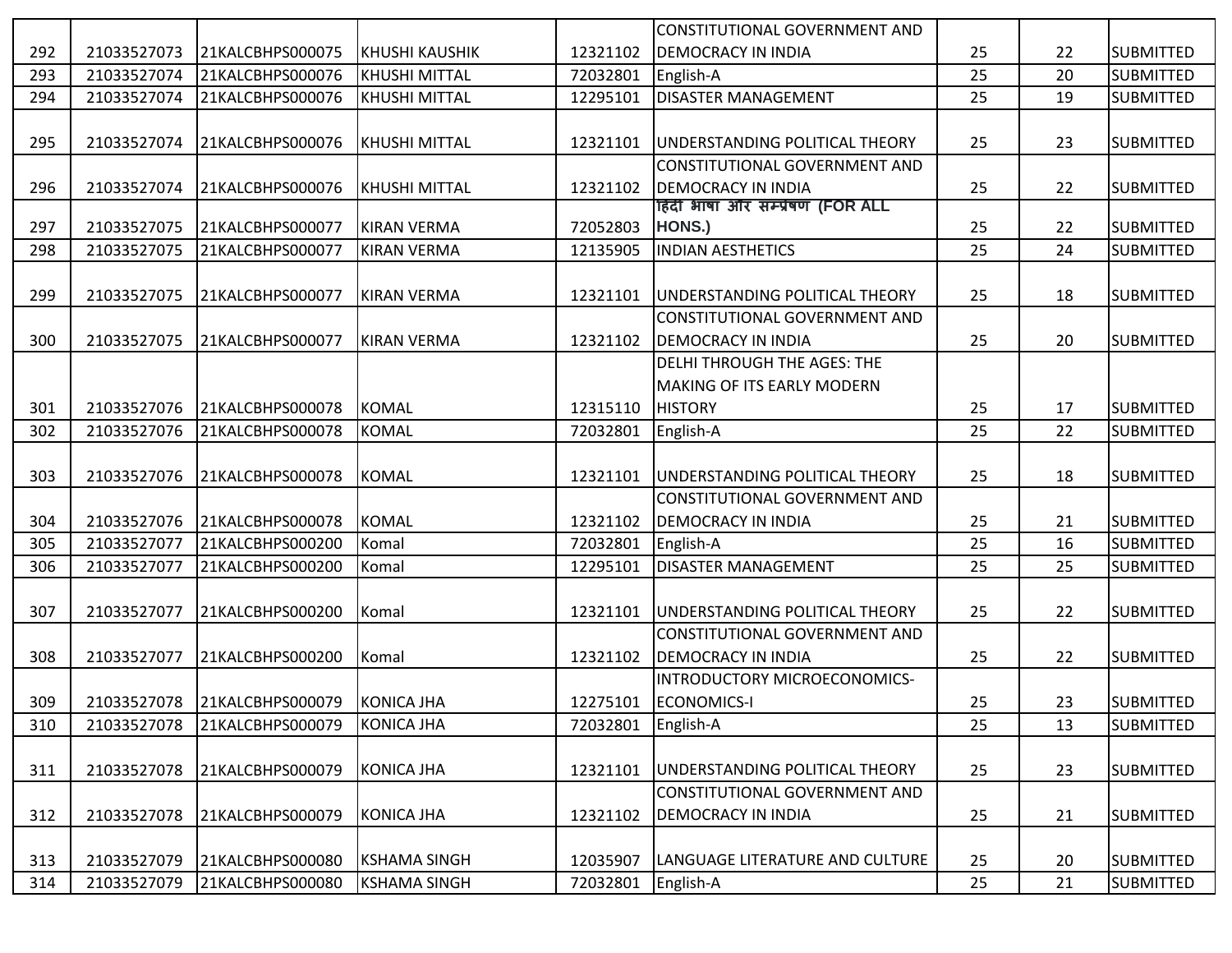|     |             |                  |                         |                    | CONSTITUTIONAL GOVERNMENT AND                                   |    |    |                  |
|-----|-------------|------------------|-------------------------|--------------------|-----------------------------------------------------------------|----|----|------------------|
| 292 | 21033527073 | 21KALCBHPS000075 | <b> </b> KHUSHI KAUSHIK | 12321102           | <b>DEMOCRACY IN INDIA</b>                                       | 25 | 22 | <b>SUBMITTED</b> |
| 293 | 21033527074 | 21KALCBHPS000076 | <b>KHUSHI MITTAL</b>    | 72032801           | English-A                                                       | 25 | 20 | <b>SUBMITTED</b> |
| 294 | 21033527074 | 21KALCBHPS000076 | <b>KHUSHI MITTAL</b>    | 12295101           | <b>DISASTER MANAGEMENT</b>                                      | 25 | 19 | <b>SUBMITTED</b> |
|     |             |                  |                         |                    |                                                                 |    |    |                  |
| 295 | 21033527074 | 21KALCBHPS000076 | <b>KHUSHI MITTAL</b>    | 12321101           | UNDERSTANDING POLITICAL THEORY                                  | 25 | 23 | <b>SUBMITTED</b> |
|     |             |                  |                         |                    | CONSTITUTIONAL GOVERNMENT AND                                   |    |    |                  |
| 296 | 21033527074 | 21KALCBHPS000076 | <b>KHUSHI MITTAL</b>    | 12321102           | <b>DEMOCRACY IN INDIA</b>                                       | 25 | 22 | <b>SUBMITTED</b> |
|     |             |                  |                         |                    | हिंदी भाषा और सम्प्रेषण (FOR ALL                                |    |    |                  |
| 297 | 21033527075 | 21KALCBHPS000077 | <b>KIRAN VERMA</b>      | 72052803           | HONS.)                                                          | 25 | 22 | <b>SUBMITTED</b> |
| 298 | 21033527075 | 21KALCBHPS000077 | <b>KIRAN VERMA</b>      | 12135905           | <b>INDIAN AESTHETICS</b>                                        | 25 | 24 | <b>SUBMITTED</b> |
|     |             |                  |                         |                    |                                                                 |    |    |                  |
| 299 | 21033527075 | 21KALCBHPS000077 | KIRAN VERMA             | 12321101           | UNDERSTANDING POLITICAL THEORY<br>CONSTITUTIONAL GOVERNMENT AND | 25 | 18 | <b>SUBMITTED</b> |
| 300 |             |                  |                         |                    | <b>DEMOCRACY IN INDIA</b>                                       | 25 |    |                  |
|     | 21033527075 | 21KALCBHPS000077 | <b>KIRAN VERMA</b>      | 12321102           | <b>DELHI THROUGH THE AGES: THE</b>                              |    | 20 | <b>SUBMITTED</b> |
|     |             |                  |                         |                    | <b>MAKING OF ITS EARLY MODERN</b>                               |    |    |                  |
| 301 | 21033527076 | 21KALCBHPS000078 | KOMAL                   | 12315110           | <b>HISTORY</b>                                                  | 25 | 17 | <b>SUBMITTED</b> |
| 302 | 21033527076 | 21KALCBHPS000078 | <b>KOMAL</b>            | 72032801           | English-A                                                       | 25 | 22 | <b>SUBMITTED</b> |
|     |             |                  |                         |                    |                                                                 |    |    |                  |
| 303 | 21033527076 | 21KALCBHPS000078 | <b>KOMAL</b>            | 12321101           | UNDERSTANDING POLITICAL THEORY                                  | 25 | 18 | <b>SUBMITTED</b> |
|     |             |                  |                         |                    | CONSTITUTIONAL GOVERNMENT AND                                   |    |    |                  |
| 304 | 21033527076 | 21KALCBHPS000078 | <b>KOMAL</b>            | 12321102           | <b>DEMOCRACY IN INDIA</b>                                       | 25 | 21 | <b>SUBMITTED</b> |
| 305 | 21033527077 | 21KALCBHPS000200 | Komal                   | 72032801           | English-A                                                       | 25 | 16 | <b>SUBMITTED</b> |
| 306 | 21033527077 | 21KALCBHPS000200 | Komal                   | 12295101           | <b>DISASTER MANAGEMENT</b>                                      | 25 | 25 | <b>SUBMITTED</b> |
|     |             |                  |                         |                    |                                                                 |    |    |                  |
| 307 | 21033527077 | 21KALCBHPS000200 | Komal                   | 12321101           | UNDERSTANDING POLITICAL THEORY                                  | 25 | 22 | <b>SUBMITTED</b> |
|     |             |                  |                         |                    | CONSTITUTIONAL GOVERNMENT AND                                   |    |    |                  |
| 308 | 21033527077 | 21KALCBHPS000200 | Komal                   | 12321102           | <b>DEMOCRACY IN INDIA</b>                                       | 25 | 22 | <b>SUBMITTED</b> |
|     |             |                  |                         |                    | INTRODUCTORY MICROECONOMICS-                                    |    |    |                  |
| 309 | 21033527078 | 21KALCBHPS000079 | KONICA JHA              | 12275101           | ECONOMICS-I                                                     | 25 | 23 | <b>SUBMITTED</b> |
| 310 | 21033527078 | 21KALCBHPS000079 | KONICA JHA              | 72032801 English-A |                                                                 | 25 | 13 | <b>SUBMITTED</b> |
|     |             |                  |                         |                    |                                                                 |    |    |                  |
| 311 | 21033527078 | 21KALCBHPS000079 | KONICA JHA              | 12321101           | UNDERSTANDING POLITICAL THEORY                                  | 25 | 23 | <b>SUBMITTED</b> |
|     |             |                  |                         |                    | CONSTITUTIONAL GOVERNMENT AND                                   |    |    |                  |
| 312 | 21033527078 | 21KALCBHPS000079 | <b>KONICA JHA</b>       | 12321102           | <b>DEMOCRACY IN INDIA</b>                                       | 25 | 21 | <b>SUBMITTED</b> |
|     |             |                  |                         |                    |                                                                 |    |    |                  |
| 313 | 21033527079 | 21KALCBHPS000080 | <b>KSHAMA SINGH</b>     | 12035907           | LANGUAGE LITERATURE AND CULTURE                                 | 25 | 20 | <b>SUBMITTED</b> |
| 314 | 21033527079 | 21KALCBHPS000080 | <b>KSHAMA SINGH</b>     | 72032801           | English-A                                                       | 25 | 21 | <b>SUBMITTED</b> |
|     |             |                  |                         |                    |                                                                 |    |    |                  |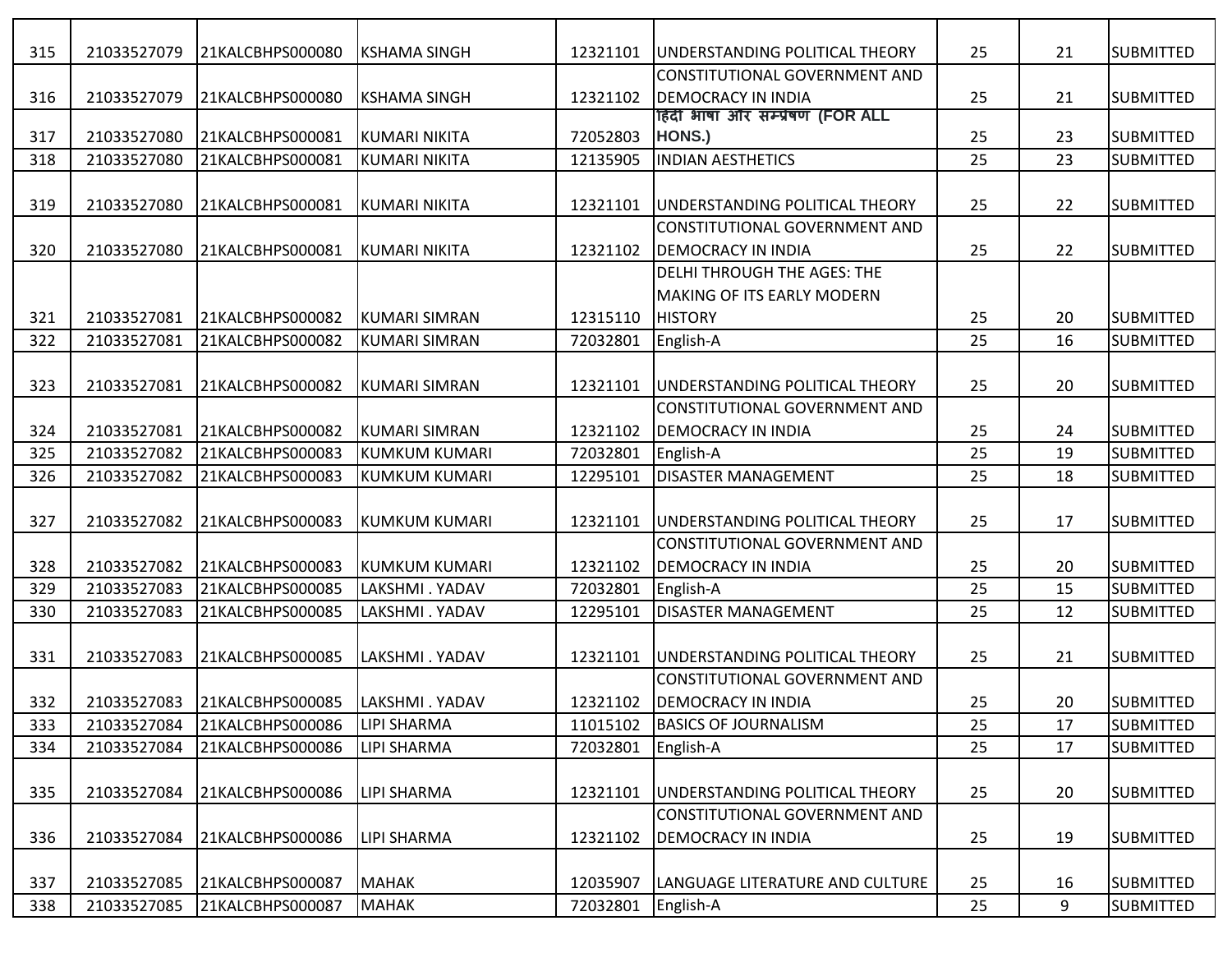| 315 | 21033527079 | 21KALCBHPS000080 | <b>KSHAMA SINGH</b>  | 12321101 | UNDERSTANDING POLITICAL THEORY                                | 25 | 21 | <b>SUBMITTED</b> |
|-----|-------------|------------------|----------------------|----------|---------------------------------------------------------------|----|----|------------------|
|     |             |                  |                      |          | <b>CONSTITUTIONAL GOVERNMENT AND</b>                          |    |    |                  |
| 316 | 21033527079 | 21KALCBHPS000080 | <b>KSHAMA SINGH</b>  | 12321102 | <b>DEMOCRACY IN INDIA</b><br>हिंदी भाषा और सम्प्रेषण (FOR ALL | 25 | 21 | <b>SUBMITTED</b> |
| 317 | 21033527080 | 21KALCBHPS000081 | KUMARI NIKITA        | 72052803 | HONS.)                                                        | 25 | 23 | <b>SUBMITTED</b> |
| 318 | 21033527080 | 21KALCBHPS000081 | <b>KUMARI NIKITA</b> | 12135905 | <b>INDIAN AESTHETICS</b>                                      | 25 | 23 | <b>SUBMITTED</b> |
|     |             |                  |                      |          |                                                               |    |    |                  |
| 319 | 21033527080 | 21KALCBHPS000081 | <b>KUMARI NIKITA</b> | 12321101 | UNDERSTANDING POLITICAL THEORY                                | 25 | 22 | <b>SUBMITTED</b> |
|     |             |                  |                      |          | CONSTITUTIONAL GOVERNMENT AND                                 |    |    |                  |
| 320 | 21033527080 | 21KALCBHPS000081 | <b>KUMARI NIKITA</b> | 12321102 | <b>DEMOCRACY IN INDIA</b>                                     | 25 | 22 | <b>SUBMITTED</b> |
|     |             |                  |                      |          | <b>DELHI THROUGH THE AGES: THE</b>                            |    |    |                  |
|     |             |                  |                      |          | <b>MAKING OF ITS EARLY MODERN</b>                             |    |    |                  |
| 321 | 21033527081 | 21KALCBHPS000082 | KUMARI SIMRAN        | 12315110 | <b>HISTORY</b>                                                | 25 | 20 | <b>SUBMITTED</b> |
| 322 | 21033527081 | 21KALCBHPS000082 | <b>KUMARI SIMRAN</b> | 72032801 | English-A                                                     | 25 | 16 | <b>SUBMITTED</b> |
|     |             |                  |                      |          |                                                               |    |    |                  |
| 323 | 21033527081 | 21KALCBHPS000082 | <b>KUMARI SIMRAN</b> | 12321101 | UNDERSTANDING POLITICAL THEORY                                | 25 | 20 | <b>SUBMITTED</b> |
|     |             |                  |                      |          | CONSTITUTIONAL GOVERNMENT AND                                 |    |    |                  |
| 324 | 21033527081 | 21KALCBHPS000082 | <b>KUMARI SIMRAN</b> | 12321102 | <b>DEMOCRACY IN INDIA</b>                                     | 25 | 24 | <b>SUBMITTED</b> |
| 325 | 21033527082 | 21KALCBHPS000083 | KUMKUM KUMARI        | 72032801 | English-A                                                     | 25 | 19 | <b>SUBMITTED</b> |
| 326 | 21033527082 | 21KALCBHPS000083 | <b>KUMKUM KUMARI</b> | 12295101 | <b>DISASTER MANAGEMENT</b>                                    | 25 | 18 | <b>SUBMITTED</b> |
|     |             |                  |                      |          |                                                               |    |    |                  |
| 327 | 21033527082 | 21KALCBHPS000083 | <b>KUMKUM KUMARI</b> | 12321101 | UNDERSTANDING POLITICAL THEORY                                | 25 | 17 | <b>SUBMITTED</b> |
|     |             |                  |                      |          | CONSTITUTIONAL GOVERNMENT AND                                 |    |    |                  |
| 328 | 21033527082 | 21KALCBHPS000083 | KUMKUM KUMARI        | 12321102 | <b>DEMOCRACY IN INDIA</b>                                     | 25 | 20 | <b>SUBMITTED</b> |
| 329 | 21033527083 | 21KALCBHPS000085 | LAKSHMI . YADAV      | 72032801 | English-A                                                     | 25 | 15 | <b>SUBMITTED</b> |
| 330 | 21033527083 | 21KALCBHPS000085 | LAKSHMI. YADAV       | 12295101 | <b>DISASTER MANAGEMENT</b>                                    | 25 | 12 | <b>SUBMITTED</b> |
|     |             |                  |                      |          |                                                               |    |    |                  |
| 331 | 21033527083 | 21KALCBHPS000085 | LAKSHMI . YADAV      | 12321101 | UNDERSTANDING POLITICAL THEORY                                | 25 | 21 | <b>SUBMITTED</b> |
|     |             |                  |                      |          | <b>CONSTITUTIONAL GOVERNMENT AND</b>                          |    |    |                  |
| 332 | 21033527083 | 21KALCBHPS000085 | LAKSHMI . YADAV      | 12321102 | <b>DEMOCRACY IN INDIA</b>                                     | 25 | 20 | <b>SUBMITTED</b> |
| 333 | 21033527084 | 21KALCBHPS000086 | <b>LIPI SHARMA</b>   | 11015102 | <b>BASICS OF JOURNALISM</b>                                   | 25 | 17 | <b>SUBMITTED</b> |
| 334 | 21033527084 | 21KALCBHPS000086 | <b>LIPI SHARMA</b>   | 72032801 | English-A                                                     | 25 | 17 | <b>SUBMITTED</b> |
|     |             |                  |                      |          |                                                               |    |    |                  |
| 335 | 21033527084 | 21KALCBHPS000086 | <b>LIPI SHARMA</b>   | 12321101 | UNDERSTANDING POLITICAL THEORY                                | 25 | 20 | <b>SUBMITTED</b> |
|     |             |                  |                      |          | CONSTITUTIONAL GOVERNMENT AND                                 |    |    |                  |
| 336 | 21033527084 | 21KALCBHPS000086 | <b>LIPI SHARMA</b>   | 12321102 | <b>DEMOCRACY IN INDIA</b>                                     | 25 | 19 | <b>SUBMITTED</b> |
|     |             |                  |                      |          |                                                               |    |    |                  |
| 337 | 21033527085 | 21KALCBHPS000087 | MAHAK                | 12035907 | LANGUAGE LITERATURE AND CULTURE                               | 25 | 16 | <b>SUBMITTED</b> |
| 338 | 21033527085 | 21KALCBHPS000087 | MAHAK                | 72032801 | English-A                                                     | 25 | 9  | <b>SUBMITTED</b> |
|     |             |                  |                      |          |                                                               |    |    |                  |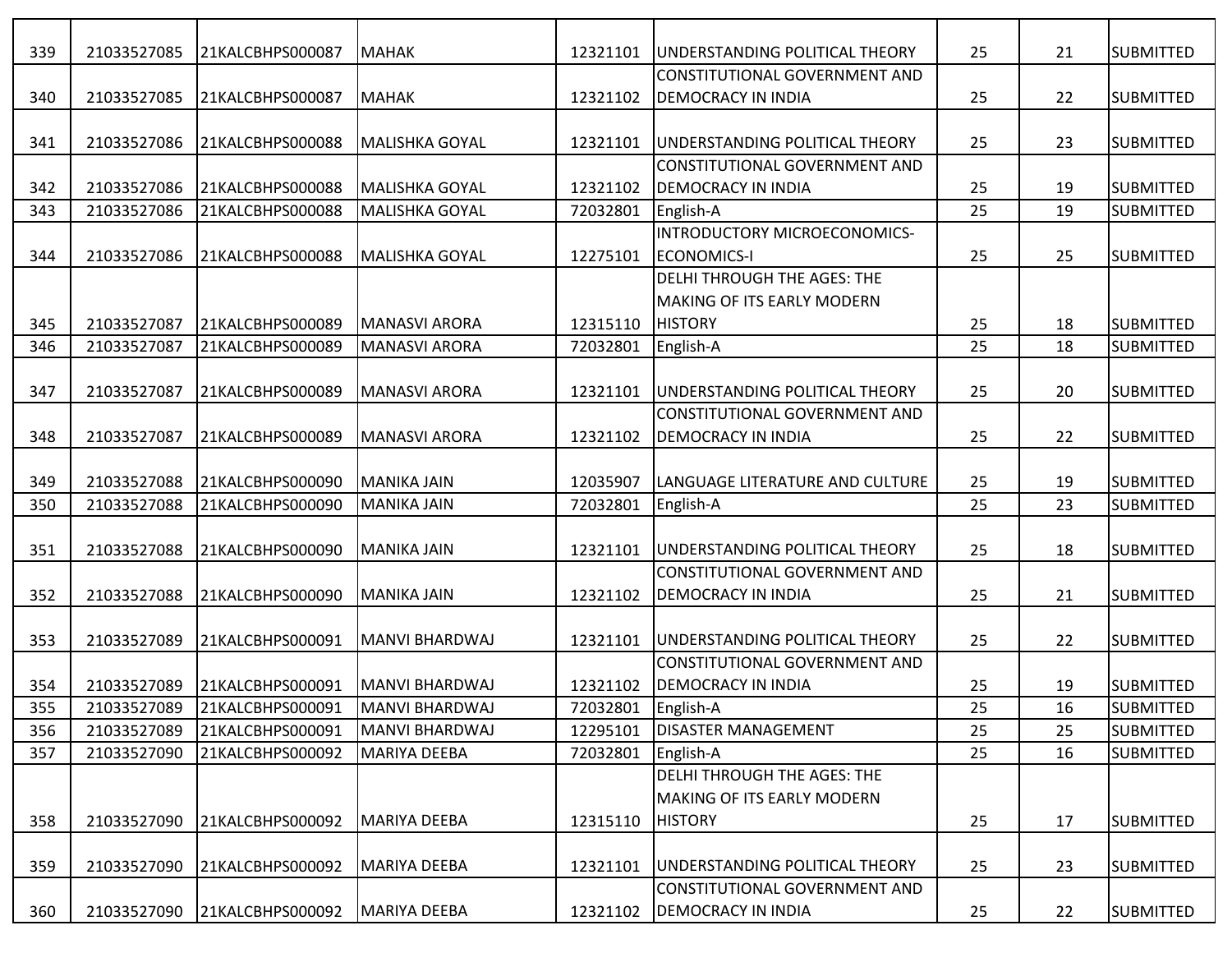| 339 | 21033527085 | 21KALCBHPS000087 | MAHAK                   | 12321101 | UNDERSTANDING POLITICAL THEORY         | 25 | 21 | <b>SUBMITTED</b> |
|-----|-------------|------------------|-------------------------|----------|----------------------------------------|----|----|------------------|
|     |             |                  |                         |          | <b>CONSTITUTIONAL GOVERNMENT AND</b>   |    |    |                  |
| 340 | 21033527085 | 21KALCBHPS000087 | MAHAK                   | 12321102 | <b>DEMOCRACY IN INDIA</b>              | 25 | 22 | <b>SUBMITTED</b> |
| 341 | 21033527086 | 21KALCBHPS000088 | <b>MALISHKA GOYAL</b>   | 12321101 | <b>JUNDERSTANDING POLITICAL THEORY</b> | 25 | 23 | <b>SUBMITTED</b> |
|     |             |                  |                         |          | CONSTITUTIONAL GOVERNMENT AND          |    |    |                  |
| 342 | 21033527086 | 21KALCBHPS000088 | <b>l</b> MALISHKA GOYAL | 12321102 | <b>DEMOCRACY IN INDIA</b>              | 25 | 19 | <b>SUBMITTED</b> |
| 343 | 21033527086 | 21KALCBHPS000088 | MALISHKA GOYAL          | 72032801 | English-A                              | 25 | 19 | <b>SUBMITTED</b> |
|     |             |                  |                         |          | INTRODUCTORY MICROECONOMICS-           |    |    |                  |
| 344 | 21033527086 | 21KALCBHPS000088 | MALISHKA GOYAL          | 12275101 | <b>ECONOMICS-I</b>                     | 25 | 25 | <b>SUBMITTED</b> |
|     |             |                  |                         |          | <b>DELHI THROUGH THE AGES: THE</b>     |    |    |                  |
|     |             |                  |                         |          | <b>MAKING OF ITS EARLY MODERN</b>      |    |    |                  |
| 345 | 21033527087 | 21KALCBHPS000089 | <b>MANASVI ARORA</b>    | 12315110 | <b>HISTORY</b>                         | 25 | 18 | <b>SUBMITTED</b> |
| 346 | 21033527087 | 21KALCBHPS000089 | <b>MANASVI ARORA</b>    | 72032801 | English-A                              | 25 | 18 | <b>SUBMITTED</b> |
|     |             |                  |                         |          |                                        |    |    |                  |
| 347 | 21033527087 | 21KALCBHPS000089 | <b>MANASVI ARORA</b>    | 12321101 | UNDERSTANDING POLITICAL THEORY         | 25 | 20 | <b>SUBMITTED</b> |
|     |             |                  |                         |          | <b>CONSTITUTIONAL GOVERNMENT AND</b>   |    |    |                  |
| 348 | 21033527087 | 21KALCBHPS000089 | MANASVI ARORA           | 12321102 | <b>DEMOCRACY IN INDIA</b>              | 25 | 22 | <b>SUBMITTED</b> |
|     |             |                  |                         |          |                                        |    |    |                  |
| 349 | 21033527088 | 21KALCBHPS000090 | MANIKA JAIN             | 12035907 | LANGUAGE LITERATURE AND CULTURE        | 25 | 19 | <b>SUBMITTED</b> |
| 350 | 21033527088 | 21KALCBHPS000090 | MANIKA JAIN             | 72032801 | English-A                              | 25 | 23 | <b>SUBMITTED</b> |
|     |             |                  |                         |          |                                        |    |    |                  |
| 351 | 21033527088 | 21KALCBHPS000090 | MANIKA JAIN             | 12321101 | UNDERSTANDING POLITICAL THEORY         | 25 | 18 | <b>SUBMITTED</b> |
|     |             |                  |                         |          | CONSTITUTIONAL GOVERNMENT AND          |    |    |                  |
| 352 | 21033527088 | 21KALCBHPS000090 | MANIKA JAIN             | 12321102 | <b>DEMOCRACY IN INDIA</b>              | 25 | 21 | <b>SUBMITTED</b> |
|     |             |                  |                         |          |                                        |    |    |                  |
| 353 | 21033527089 | 21KALCBHPS000091 | MANVI BHARDWAJ          | 12321101 | IUNDERSTANDING POLITICAL THEORY        | 25 | 22 | <b>SUBMITTED</b> |
|     |             |                  |                         |          | CONSTITUTIONAL GOVERNMENT AND          |    |    |                  |
| 354 | 21033527089 | 21KALCBHPS000091 | MANVI BHARDWAJ          | 12321102 | <b>DEMOCRACY IN INDIA</b>              | 25 | 19 | <b>SUBMITTED</b> |
| 355 | 21033527089 | 21KALCBHPS000091 | MANVI BHARDWAJ          | 72032801 | English-A                              | 25 | 16 | <b>SUBMITTED</b> |
| 356 | 21033527089 | 21KALCBHPS000091 | MANVI BHARDWAJ          | 12295101 | <b>DISASTER MANAGEMENT</b>             | 25 | 25 | <b>SUBMITTED</b> |
| 357 | 21033527090 | 21KALCBHPS000092 | MARIYA DEEBA            | 72032801 | English-A                              | 25 | 16 | <b>SUBMITTED</b> |
|     |             |                  |                         |          | <b>DELHI THROUGH THE AGES: THE</b>     |    |    |                  |
|     |             |                  |                         |          | <b>MAKING OF ITS EARLY MODERN</b>      |    |    |                  |
| 358 | 21033527090 | 21KALCBHPS000092 | MARIYA DEEBA            | 12315110 | <b>HISTORY</b>                         | 25 | 17 | <b>SUBMITTED</b> |
|     |             |                  |                         |          |                                        |    |    |                  |
| 359 | 21033527090 | 21KALCBHPS000092 | MARIYA DEEBA            | 12321101 | UNDERSTANDING POLITICAL THEORY         | 25 | 23 | <b>SUBMITTED</b> |
|     |             |                  |                         |          | CONSTITUTIONAL GOVERNMENT AND          |    |    |                  |
| 360 | 21033527090 | 21KALCBHPS000092 | MARIYA DEEBA            | 12321102 | <b>DEMOCRACY IN INDIA</b>              | 25 | 22 | <b>SUBMITTED</b> |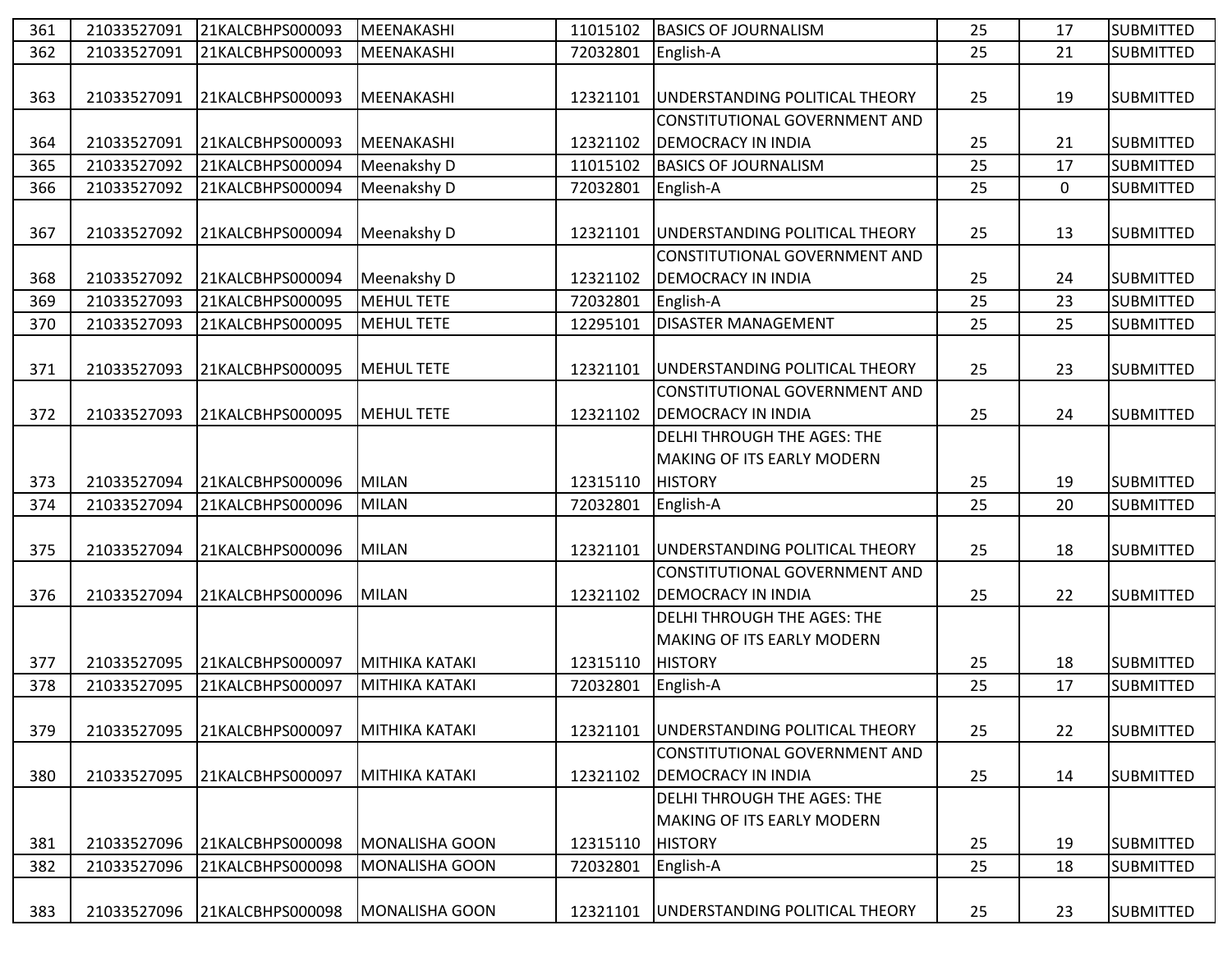| 361 | 21033527091 | 21KALCBHPS000093 | MEENAKASHI            | 11015102 | <b>BASICS OF JOURNALISM</b>          | 25 | 17          | <b>SUBMITTED</b> |
|-----|-------------|------------------|-----------------------|----------|--------------------------------------|----|-------------|------------------|
| 362 | 21033527091 | 21KALCBHPS000093 | MEENAKASHI            | 72032801 | English-A                            | 25 | 21          | <b>SUBMITTED</b> |
|     |             |                  |                       |          |                                      |    |             |                  |
| 363 | 21033527091 | 21KALCBHPS000093 | MEENAKASHI            | 12321101 | UNDERSTANDING POLITICAL THEORY       | 25 | 19          | <b>SUBMITTED</b> |
|     |             |                  |                       |          | CONSTITUTIONAL GOVERNMENT AND        |    |             |                  |
| 364 | 21033527091 | 21KALCBHPS000093 | MEENAKASHI            | 12321102 | <b>DEMOCRACY IN INDIA</b>            | 25 | 21          | <b>SUBMITTED</b> |
| 365 | 21033527092 | 21KALCBHPS000094 | Meenakshy D           | 11015102 | <b>BASICS OF JOURNALISM</b>          | 25 | 17          | <b>SUBMITTED</b> |
| 366 | 21033527092 | 21KALCBHPS000094 | Meenakshy D           | 72032801 | English-A                            | 25 | $\mathbf 0$ | <b>SUBMITTED</b> |
|     |             |                  |                       |          |                                      |    |             |                  |
| 367 | 21033527092 | 21KALCBHPS000094 | Meenakshy D           | 12321101 | UNDERSTANDING POLITICAL THEORY       | 25 | 13          | <b>SUBMITTED</b> |
|     |             |                  |                       |          | CONSTITUTIONAL GOVERNMENT AND        |    |             |                  |
| 368 | 21033527092 | 21KALCBHPS000094 | Meenakshy D           | 12321102 | <b>DEMOCRACY IN INDIA</b>            | 25 | 24          | <b>SUBMITTED</b> |
| 369 | 21033527093 | 21KALCBHPS000095 | <b>MEHUL TETE</b>     | 72032801 | English-A                            | 25 | 23          | <b>SUBMITTED</b> |
| 370 | 21033527093 | 21KALCBHPS000095 | <b>MEHUL TETE</b>     | 12295101 | <b>DISASTER MANAGEMENT</b>           | 25 | 25          | <b>SUBMITTED</b> |
|     |             |                  |                       |          |                                      |    |             |                  |
| 371 | 21033527093 | 21KALCBHPS000095 | <b>MEHUL TETE</b>     | 12321101 | UNDERSTANDING POLITICAL THEORY       | 25 | 23          | <b>SUBMITTED</b> |
|     |             |                  |                       |          | <b>CONSTITUTIONAL GOVERNMENT AND</b> |    |             |                  |
| 372 | 21033527093 | 21KALCBHPS000095 | <b>MEHUL TETE</b>     | 12321102 | <b>DEMOCRACY IN INDIA</b>            | 25 | 24          | <b>SUBMITTED</b> |
|     |             |                  |                       |          | <b>DELHI THROUGH THE AGES: THE</b>   |    |             |                  |
|     |             |                  |                       |          | <b>MAKING OF ITS EARLY MODERN</b>    |    |             |                  |
| 373 | 21033527094 | 21KALCBHPS000096 | MILAN                 | 12315110 | <b>HISTORY</b>                       | 25 | 19          | <b>SUBMITTED</b> |
| 374 | 21033527094 | 21KALCBHPS000096 | <b>MILAN</b>          | 72032801 | English-A                            | 25 | 20          | <b>SUBMITTED</b> |
|     |             |                  |                       |          |                                      |    |             |                  |
| 375 | 21033527094 | 21KALCBHPS000096 | MILAN                 | 12321101 | UNDERSTANDING POLITICAL THEORY       | 25 | 18          | <b>SUBMITTED</b> |
|     |             |                  |                       |          | CONSTITUTIONAL GOVERNMENT AND        |    |             |                  |
| 376 | 21033527094 | 21KALCBHPS000096 | MILAN                 | 12321102 | <b>DEMOCRACY IN INDIA</b>            | 25 | 22          | <b>SUBMITTED</b> |
|     |             |                  |                       |          | <b>DELHI THROUGH THE AGES: THE</b>   |    |             |                  |
|     |             |                  |                       |          | <b>MAKING OF ITS EARLY MODERN</b>    |    |             |                  |
| 377 | 21033527095 | 21KALCBHPS000097 | MITHIKA KATAKI        | 12315110 | <b>HISTORY</b>                       | 25 | 18          | <b>SUBMITTED</b> |
| 378 | 21033527095 | 21KALCBHPS000097 | MITHIKA KATAKI        | 72032801 | English-A                            | 25 | 17          | <b>SUBMITTED</b> |
|     |             |                  |                       |          |                                      |    |             |                  |
| 379 | 21033527095 | 21KALCBHPS000097 | MITHIKA KATAKI        | 12321101 | UNDERSTANDING POLITICAL THEORY       | 25 | 22          | <b>SUBMITTED</b> |
|     |             |                  |                       |          | CONSTITUTIONAL GOVERNMENT AND        |    |             |                  |
| 380 | 21033527095 | 21KALCBHPS000097 | MITHIKA KATAKI        | 12321102 | <b>DEMOCRACY IN INDIA</b>            | 25 | 14          | <b>SUBMITTED</b> |
|     |             |                  |                       |          | <b>DELHI THROUGH THE AGES: THE</b>   |    |             |                  |
|     |             |                  |                       |          | <b>MAKING OF ITS EARLY MODERN</b>    |    |             |                  |
| 381 | 21033527096 | 21KALCBHPS000098 | MONALISHA GOON        | 12315110 | <b>HISTORY</b>                       | 25 | 19          | <b>SUBMITTED</b> |
| 382 | 21033527096 | 21KALCBHPS000098 | <b>MONALISHA GOON</b> | 72032801 | English-A                            | 25 | 18          | <b>SUBMITTED</b> |
|     |             |                  |                       |          |                                      |    |             |                  |
| 383 | 21033527096 | 21KALCBHPS000098 | MONALISHA GOON        | 12321101 | UNDERSTANDING POLITICAL THEORY       | 25 | 23          | <b>SUBMITTED</b> |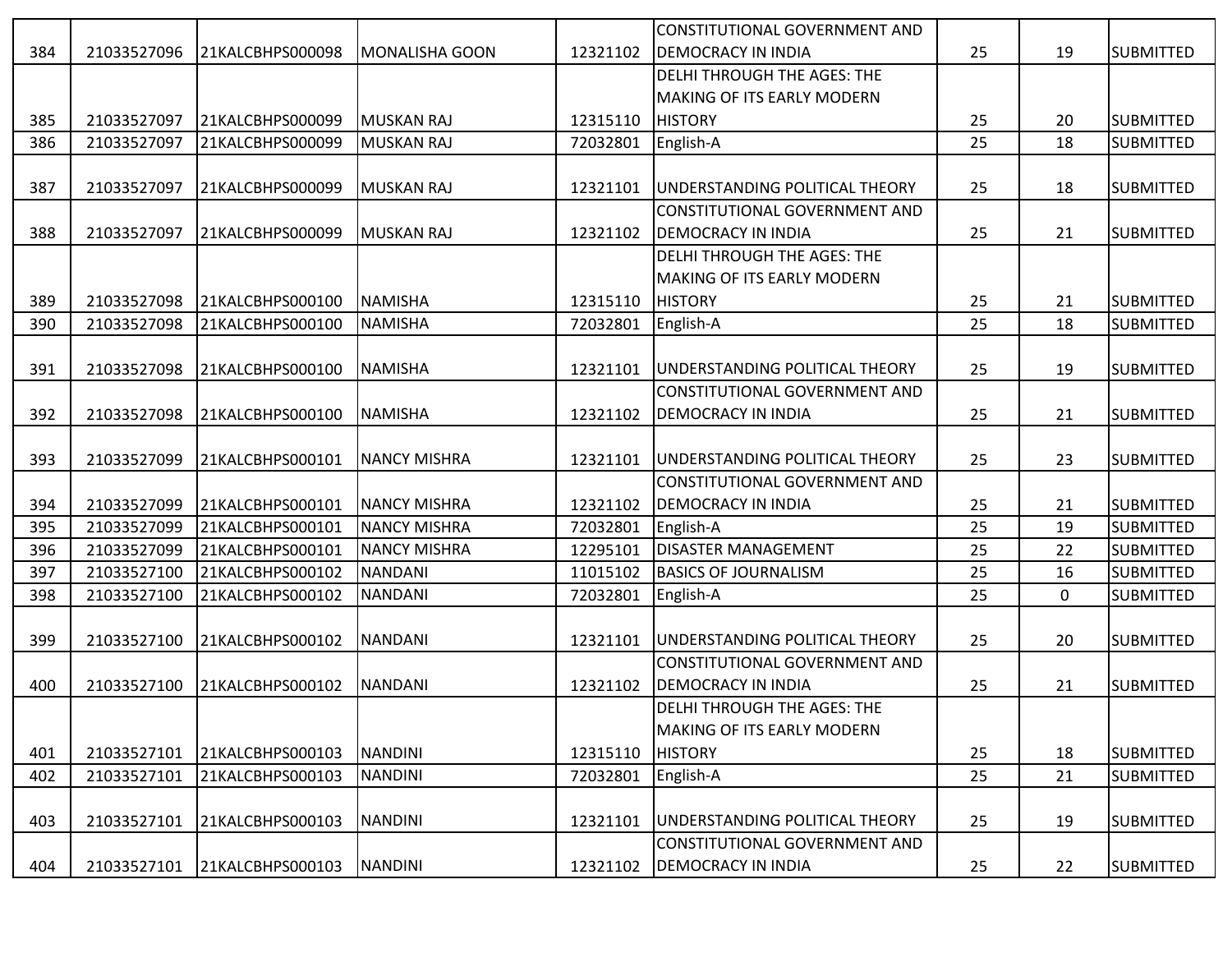|     |             |                  |                       |          | CONSTITUTIONAL GOVERNMENT AND        |    |             |                  |
|-----|-------------|------------------|-----------------------|----------|--------------------------------------|----|-------------|------------------|
| 384 | 21033527096 | 21KALCBHPS000098 | <b>MONALISHA GOON</b> | 12321102 | <b>DEMOCRACY IN INDIA</b>            | 25 | 19          | <b>SUBMITTED</b> |
|     |             |                  |                       |          | DELHI THROUGH THE AGES: THE          |    |             |                  |
|     |             |                  |                       |          | MAKING OF ITS EARLY MODERN           |    |             |                  |
| 385 | 21033527097 | 21KALCBHPS000099 | MUSKAN RAJ            | 12315110 | <b>HISTORY</b>                       | 25 | 20          | <b>SUBMITTED</b> |
| 386 | 21033527097 | 21KALCBHPS000099 | MUSKAN RAJ            | 72032801 | English-A                            | 25 | 18          | <b>SUBMITTED</b> |
|     |             |                  |                       |          |                                      |    |             |                  |
| 387 | 21033527097 | 21KALCBHPS000099 | MUSKAN RAJ            | 12321101 | UNDERSTANDING POLITICAL THEORY       | 25 | 18          | <b>SUBMITTED</b> |
|     |             |                  |                       |          | CONSTITUTIONAL GOVERNMENT AND        |    |             |                  |
| 388 | 21033527097 | 21KALCBHPS000099 | MUSKAN RAJ            | 12321102 | <b>DEMOCRACY IN INDIA</b>            | 25 | 21          | <b>SUBMITTED</b> |
|     |             |                  |                       |          | DELHI THROUGH THE AGES: THE          |    |             |                  |
|     |             |                  |                       |          | MAKING OF ITS EARLY MODERN           |    |             |                  |
| 389 | 21033527098 | 21KALCBHPS000100 | <b>NAMISHA</b>        | 12315110 | <b>HISTORY</b>                       | 25 | 21          | <b>SUBMITTED</b> |
| 390 | 21033527098 | 21KALCBHPS000100 | NAMISHA               | 72032801 | English-A                            | 25 | 18          | <b>SUBMITTED</b> |
|     |             |                  |                       |          |                                      |    |             |                  |
| 391 | 21033527098 | 21KALCBHPS000100 | <b>NAMISHA</b>        | 12321101 | UNDERSTANDING POLITICAL THEORY       | 25 | 19          | <b>SUBMITTED</b> |
|     |             |                  |                       |          | CONSTITUTIONAL GOVERNMENT AND        |    |             |                  |
| 392 | 21033527098 | 21KALCBHPS000100 | <b>NAMISHA</b>        | 12321102 | <b>DEMOCRACY IN INDIA</b>            | 25 | 21          | <b>SUBMITTED</b> |
|     |             |                  |                       |          |                                      |    |             |                  |
| 393 | 21033527099 | 21KALCBHPS000101 | <b>NANCY MISHRA</b>   | 12321101 | UNDERSTANDING POLITICAL THEORY       | 25 | 23          | <b>SUBMITTED</b> |
|     |             |                  |                       |          | CONSTITUTIONAL GOVERNMENT AND        |    |             |                  |
| 394 | 21033527099 | 21KALCBHPS000101 | <b>NANCY MISHRA</b>   | 12321102 | <b>DEMOCRACY IN INDIA</b>            | 25 | 21          | <b>SUBMITTED</b> |
| 395 | 21033527099 | 21KALCBHPS000101 | <b>NANCY MISHRA</b>   | 72032801 | English-A                            | 25 | 19          | <b>SUBMITTED</b> |
| 396 | 21033527099 | 21KALCBHPS000101 | <b>NANCY MISHRA</b>   | 12295101 | <b>DISASTER MANAGEMENT</b>           | 25 | 22          | <b>SUBMITTED</b> |
| 397 | 21033527100 | 21KALCBHPS000102 | <b>NANDANI</b>        | 11015102 | <b>BASICS OF JOURNALISM</b>          | 25 | 16          | <b>SUBMITTED</b> |
| 398 | 21033527100 | 21KALCBHPS000102 | <b>NANDANI</b>        | 72032801 | English-A                            | 25 | $\mathbf 0$ | <b>SUBMITTED</b> |
|     |             |                  |                       |          |                                      |    |             |                  |
| 399 | 21033527100 | 21KALCBHPS000102 | NANDANI               | 12321101 | UNDERSTANDING POLITICAL THEORY       | 25 | 20          | <b>SUBMITTED</b> |
|     |             |                  |                       |          | <b>CONSTITUTIONAL GOVERNMENT AND</b> |    |             |                  |
| 400 | 21033527100 | 21KALCBHPS000102 | NANDANI               | 12321102 | <b>DEMOCRACY IN INDIA</b>            | 25 | 21          | <b>SUBMITTED</b> |
|     |             |                  |                       |          | <b>DELHI THROUGH THE AGES: THE</b>   |    |             |                  |
|     |             |                  |                       |          | <b>MAKING OF ITS EARLY MODERN</b>    |    |             |                  |
| 401 | 21033527101 | 21KALCBHPS000103 | NANDINI               | 12315110 | <b>HISTORY</b>                       | 25 | 18          | <b>SUBMITTED</b> |
| 402 | 21033527101 | 21KALCBHPS000103 | NANDINI               | 72032801 | English-A                            | 25 | 21          | <b>SUBMITTED</b> |
|     |             |                  |                       |          |                                      |    |             |                  |
| 403 | 21033527101 | 21KALCBHPS000103 | NANDINI               | 12321101 | UNDERSTANDING POLITICAL THEORY       | 25 | 19          | <b>SUBMITTED</b> |
|     |             |                  |                       |          | CONSTITUTIONAL GOVERNMENT AND        |    |             |                  |
| 404 | 21033527101 | 21KALCBHPS000103 | NANDINI               | 12321102 | <b>DEMOCRACY IN INDIA</b>            | 25 | 22          | <b>SUBMITTED</b> |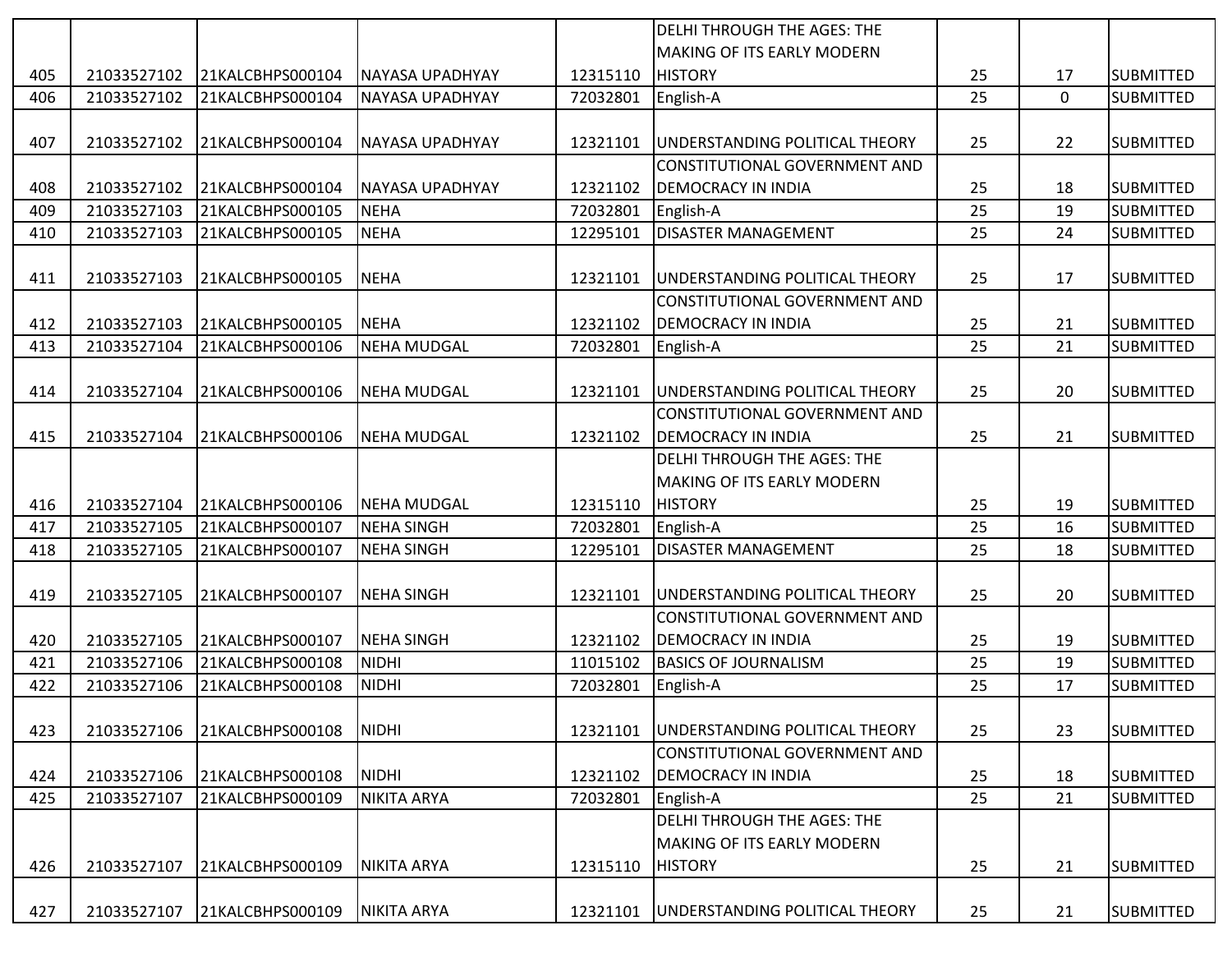|     |             |                  |                        |          | <b>DELHI THROUGH THE AGES: THE</b>    |    |          |                  |
|-----|-------------|------------------|------------------------|----------|---------------------------------------|----|----------|------------------|
|     |             |                  |                        |          | <b>MAKING OF ITS EARLY MODERN</b>     |    |          |                  |
| 405 | 21033527102 | 21KALCBHPS000104 | NAYASA UPADHYAY        | 12315110 | <b>HISTORY</b>                        | 25 | 17       | <b>SUBMITTED</b> |
| 406 | 21033527102 | 21KALCBHPS000104 | NAYASA UPADHYAY        | 72032801 | English-A                             | 25 | $\Omega$ | <b>SUBMITTED</b> |
|     |             |                  |                        |          |                                       |    |          |                  |
| 407 | 21033527102 | 21KALCBHPS000104 | NAYASA UPADHYAY        | 12321101 | UNDERSTANDING POLITICAL THEORY        | 25 | 22       | <b>SUBMITTED</b> |
|     |             |                  |                        |          | CONSTITUTIONAL GOVERNMENT AND         |    |          |                  |
| 408 | 21033527102 | 21KALCBHPS000104 | <b>NAYASA UPADHYAY</b> | 12321102 | <b>DEMOCRACY IN INDIA</b>             | 25 | 18       | <b>SUBMITTED</b> |
| 409 | 21033527103 | 21KALCBHPS000105 | <b>NEHA</b>            | 72032801 | English-A                             | 25 | 19       | <b>SUBMITTED</b> |
| 410 | 21033527103 | 21KALCBHPS000105 | <b>NEHA</b>            | 12295101 | <b>DISASTER MANAGEMENT</b>            | 25 | 24       | <b>SUBMITTED</b> |
|     |             |                  |                        |          |                                       |    |          |                  |
| 411 | 21033527103 | 21KALCBHPS000105 | NEHA                   | 12321101 | UNDERSTANDING POLITICAL THEORY        | 25 | 17       | <b>SUBMITTED</b> |
|     |             |                  |                        |          | CONSTITUTIONAL GOVERNMENT AND         |    |          |                  |
| 412 | 21033527103 | 21KALCBHPS000105 | <b>NEHA</b>            | 12321102 | <b>DEMOCRACY IN INDIA</b>             | 25 | 21       | <b>SUBMITTED</b> |
| 413 | 21033527104 | 21KALCBHPS000106 | <b>NEHA MUDGAL</b>     | 72032801 | English-A                             | 25 | 21       | <b>SUBMITTED</b> |
|     |             |                  |                        |          |                                       |    |          |                  |
| 414 | 21033527104 | 21KALCBHPS000106 | <b>NEHA MUDGAL</b>     | 12321101 | UNDERSTANDING POLITICAL THEORY        | 25 | 20       | <b>SUBMITTED</b> |
|     |             |                  |                        |          | <b>CONSTITUTIONAL GOVERNMENT AND</b>  |    |          |                  |
| 415 | 21033527104 | 21KALCBHPS000106 | <b>NEHA MUDGAL</b>     | 12321102 | <b>DEMOCRACY IN INDIA</b>             | 25 | 21       | <b>SUBMITTED</b> |
|     |             |                  |                        |          | <b>DELHI THROUGH THE AGES: THE</b>    |    |          |                  |
|     |             |                  |                        |          | <b>MAKING OF ITS EARLY MODERN</b>     |    |          |                  |
| 416 | 21033527104 | 21KALCBHPS000106 | NEHA MUDGAL            | 12315110 | <b>HISTORY</b>                        | 25 | 19       | <b>SUBMITTED</b> |
| 417 | 21033527105 | 21KALCBHPS000107 | <b>NEHA SINGH</b>      | 72032801 | English-A                             | 25 | 16       | <b>SUBMITTED</b> |
| 418 | 21033527105 | 21KALCBHPS000107 | <b>NEHA SINGH</b>      | 12295101 | <b>DISASTER MANAGEMENT</b>            | 25 | 18       | <b>SUBMITTED</b> |
|     |             |                  |                        |          |                                       |    |          |                  |
| 419 | 21033527105 | 21KALCBHPS000107 | <b>NEHA SINGH</b>      | 12321101 | UNDERSTANDING POLITICAL THEORY        | 25 | 20       | <b>SUBMITTED</b> |
|     |             |                  |                        |          | CONSTITUTIONAL GOVERNMENT AND         |    |          |                  |
| 420 | 21033527105 | 21KALCBHPS000107 | <b>NEHA SINGH</b>      | 12321102 | <b>DEMOCRACY IN INDIA</b>             | 25 | 19       | <b>SUBMITTED</b> |
| 421 | 21033527106 | 21KALCBHPS000108 | <b>NIDHI</b>           | 11015102 | <b>BASICS OF JOURNALISM</b>           | 25 | 19       | <b>SUBMITTED</b> |
| 422 | 21033527106 | 21KALCBHPS000108 | <b>NIDHI</b>           | 72032801 | English-A                             | 25 | 17       | <b>SUBMITTED</b> |
|     |             |                  |                        |          |                                       |    |          |                  |
| 423 | 21033527106 | 21KALCBHPS000108 | NIDHI                  | 12321101 | <b>UNDERSTANDING POLITICAL THEORY</b> | 25 | 23       | <b>SUBMITTED</b> |
|     |             |                  |                        |          | CONSTITUTIONAL GOVERNMENT AND         |    |          |                  |
| 424 | 21033527106 | 21KALCBHPS000108 | <b>NIDHI</b>           | 12321102 | <b>DEMOCRACY IN INDIA</b>             | 25 | 18       | <b>SUBMITTED</b> |
| 425 | 21033527107 | 21KALCBHPS000109 | <b>NIKITA ARYA</b>     | 72032801 | English-A                             | 25 | 21       | <b>SUBMITTED</b> |
|     |             |                  |                        |          | <b>DELHI THROUGH THE AGES: THE</b>    |    |          |                  |
|     |             |                  |                        |          | <b>MAKING OF ITS EARLY MODERN</b>     |    |          |                  |
| 426 | 21033527107 | 21KALCBHPS000109 | NIKITA ARYA            | 12315110 | <b>HISTORY</b>                        | 25 | 21       | <b>SUBMITTED</b> |
|     |             |                  |                        |          |                                       |    |          |                  |
| 427 | 21033527107 | 21KALCBHPS000109 | <b>NIKITA ARYA</b>     | 12321101 | UNDERSTANDING POLITICAL THEORY        | 25 | 21       | <b>SUBMITTED</b> |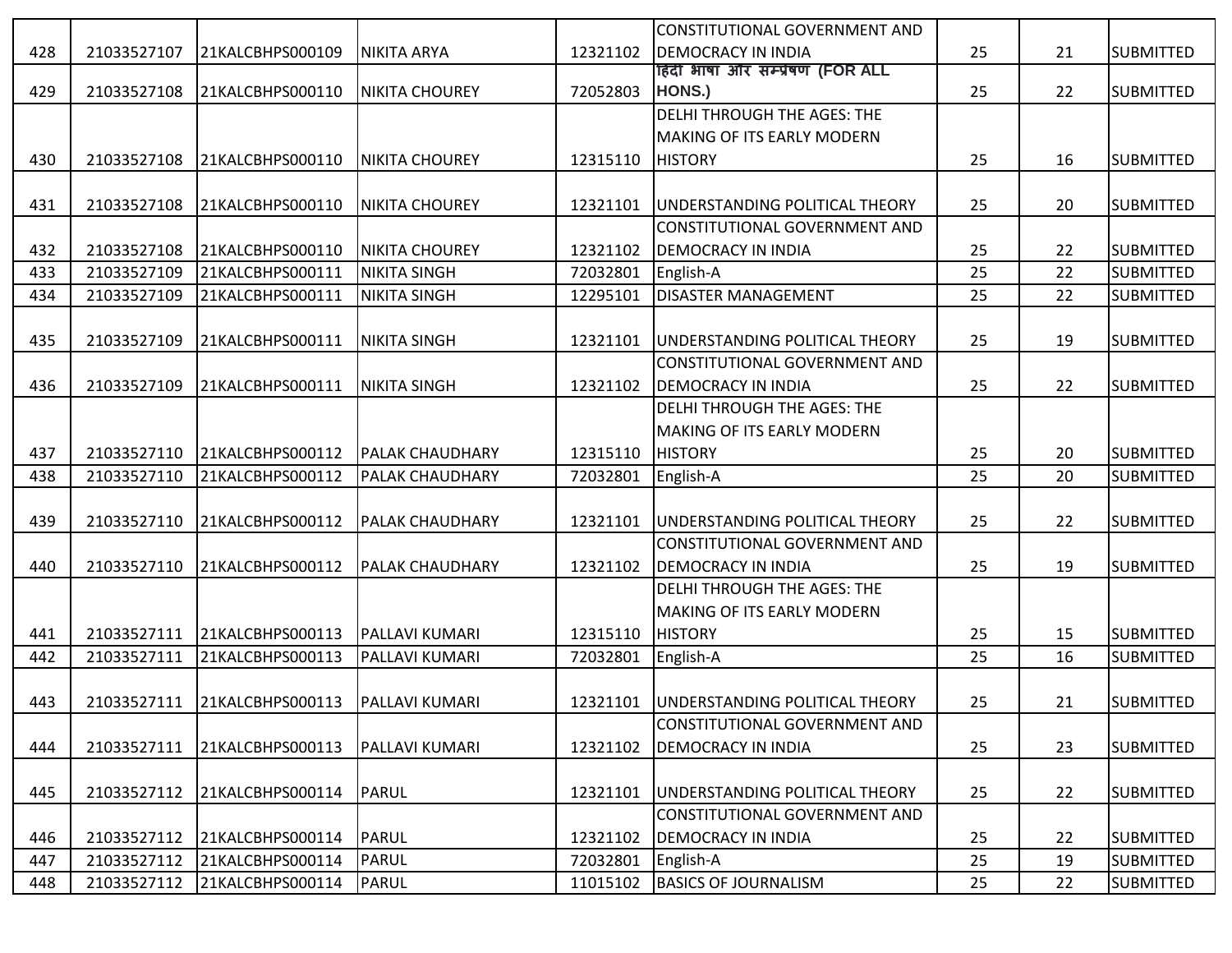|     |             |                  |                        |          | CONSTITUTIONAL GOVERNMENT AND      |    |    |                  |
|-----|-------------|------------------|------------------------|----------|------------------------------------|----|----|------------------|
| 428 | 21033527107 | 21KALCBHPS000109 | <b>NIKITA ARYA</b>     | 12321102 | <b>DEMOCRACY IN INDIA</b>          | 25 | 21 | <b>SUBMITTED</b> |
|     |             |                  |                        |          | हिंदी भाषा और सम्प्रेषण (FOR ALL   |    |    |                  |
| 429 | 21033527108 | 21KALCBHPS000110 | <b>NIKITA CHOUREY</b>  | 72052803 | HONS.)                             | 25 | 22 | <b>SUBMITTED</b> |
|     |             |                  |                        |          | DELHI THROUGH THE AGES: THE        |    |    |                  |
|     |             |                  |                        |          | MAKING OF ITS EARLY MODERN         |    |    |                  |
| 430 | 21033527108 | 21KALCBHPS000110 | <b>NIKITA CHOUREY</b>  | 12315110 | <b>HISTORY</b>                     | 25 | 16 | <b>SUBMITTED</b> |
|     |             |                  |                        |          |                                    |    |    |                  |
| 431 | 21033527108 | 21KALCBHPS000110 | <b>NIKITA CHOUREY</b>  | 12321101 | UNDERSTANDING POLITICAL THEORY     | 25 | 20 | <b>SUBMITTED</b> |
|     |             |                  |                        |          | CONSTITUTIONAL GOVERNMENT AND      |    |    |                  |
| 432 | 21033527108 | 21KALCBHPS000110 | <b>NIKITA CHOUREY</b>  | 12321102 | <b>DEMOCRACY IN INDIA</b>          | 25 | 22 | <b>SUBMITTED</b> |
| 433 | 21033527109 | 21KALCBHPS000111 | <b>NIKITA SINGH</b>    | 72032801 | English-A                          | 25 | 22 | <b>SUBMITTED</b> |
| 434 | 21033527109 | 21KALCBHPS000111 | <b>NIKITA SINGH</b>    | 12295101 | <b>DISASTER MANAGEMENT</b>         | 25 | 22 | <b>SUBMITTED</b> |
|     |             |                  |                        |          |                                    |    |    |                  |
| 435 | 21033527109 | 21KALCBHPS000111 | <b>NIKITA SINGH</b>    | 12321101 | UNDERSTANDING POLITICAL THEORY     | 25 | 19 | <b>SUBMITTED</b> |
|     |             |                  |                        |          | CONSTITUTIONAL GOVERNMENT AND      |    |    |                  |
| 436 | 21033527109 | 21KALCBHPS000111 | <b>NIKITA SINGH</b>    | 12321102 | <b>DEMOCRACY IN INDIA</b>          | 25 | 22 | <b>SUBMITTED</b> |
|     |             |                  |                        |          | <b>DELHI THROUGH THE AGES: THE</b> |    |    |                  |
|     |             |                  |                        |          | MAKING OF ITS EARLY MODERN         |    |    |                  |
| 437 | 21033527110 | 21KALCBHPS000112 | <b>PALAK CHAUDHARY</b> | 12315110 | <b>HISTORY</b>                     | 25 | 20 | <b>SUBMITTED</b> |
| 438 | 21033527110 | 21KALCBHPS000112 | <b>PALAK CHAUDHARY</b> | 72032801 | English-A                          | 25 | 20 | <b>SUBMITTED</b> |
|     |             |                  |                        |          |                                    |    |    |                  |
| 439 | 21033527110 | 21KALCBHPS000112 | <b>PALAK CHAUDHARY</b> | 12321101 | UNDERSTANDING POLITICAL THEORY     | 25 | 22 | <b>SUBMITTED</b> |
|     |             |                  |                        |          | CONSTITUTIONAL GOVERNMENT AND      |    |    |                  |
| 440 | 21033527110 | 21KALCBHPS000112 | <b>PALAK CHAUDHARY</b> | 12321102 | <b>DEMOCRACY IN INDIA</b>          | 25 | 19 | <b>SUBMITTED</b> |
|     |             |                  |                        |          | DELHI THROUGH THE AGES: THE        |    |    |                  |
|     |             |                  |                        |          | <b>MAKING OF ITS EARLY MODERN</b>  |    |    |                  |
| 441 | 21033527111 | 21KALCBHPS000113 | <b>PALLAVI KUMARI</b>  | 12315110 | <b>HISTORY</b>                     | 25 | 15 | <b>SUBMITTED</b> |
| 442 | 21033527111 | 21KALCBHPS000113 | <b>PALLAVI KUMARI</b>  | 72032801 | English-A                          | 25 | 16 | <b>SUBMITTED</b> |
|     |             |                  |                        |          |                                    |    |    |                  |
| 443 | 21033527111 | 21KALCBHPS000113 | <b>PALLAVI KUMARI</b>  | 12321101 | UNDERSTANDING POLITICAL THEORY     | 25 | 21 | <b>SUBMITTED</b> |
|     |             |                  |                        |          | CONSTITUTIONAL GOVERNMENT AND      |    |    |                  |
| 444 | 21033527111 | 21KALCBHPS000113 | <b>PALLAVI KUMARI</b>  | 12321102 | <b>DEMOCRACY IN INDIA</b>          | 25 | 23 | <b>SUBMITTED</b> |
|     |             |                  |                        |          |                                    |    |    |                  |
| 445 | 21033527112 | 21KALCBHPS000114 | PARUL                  | 12321101 | UNDERSTANDING POLITICAL THEORY     | 25 | 22 | <b>SUBMITTED</b> |
|     |             |                  |                        |          | CONSTITUTIONAL GOVERNMENT AND      |    |    |                  |
| 446 | 21033527112 | 21KALCBHPS000114 | PARUL                  | 12321102 | <b>DEMOCRACY IN INDIA</b>          | 25 | 22 | <b>SUBMITTED</b> |
| 447 | 21033527112 | 21KALCBHPS000114 | PARUL                  | 72032801 | English-A                          | 25 | 19 | <b>SUBMITTED</b> |
| 448 | 21033527112 | 21KALCBHPS000114 | PARUL                  | 11015102 | <b>BASICS OF JOURNALISM</b>        | 25 | 22 | <b>SUBMITTED</b> |
|     |             |                  |                        |          |                                    |    |    |                  |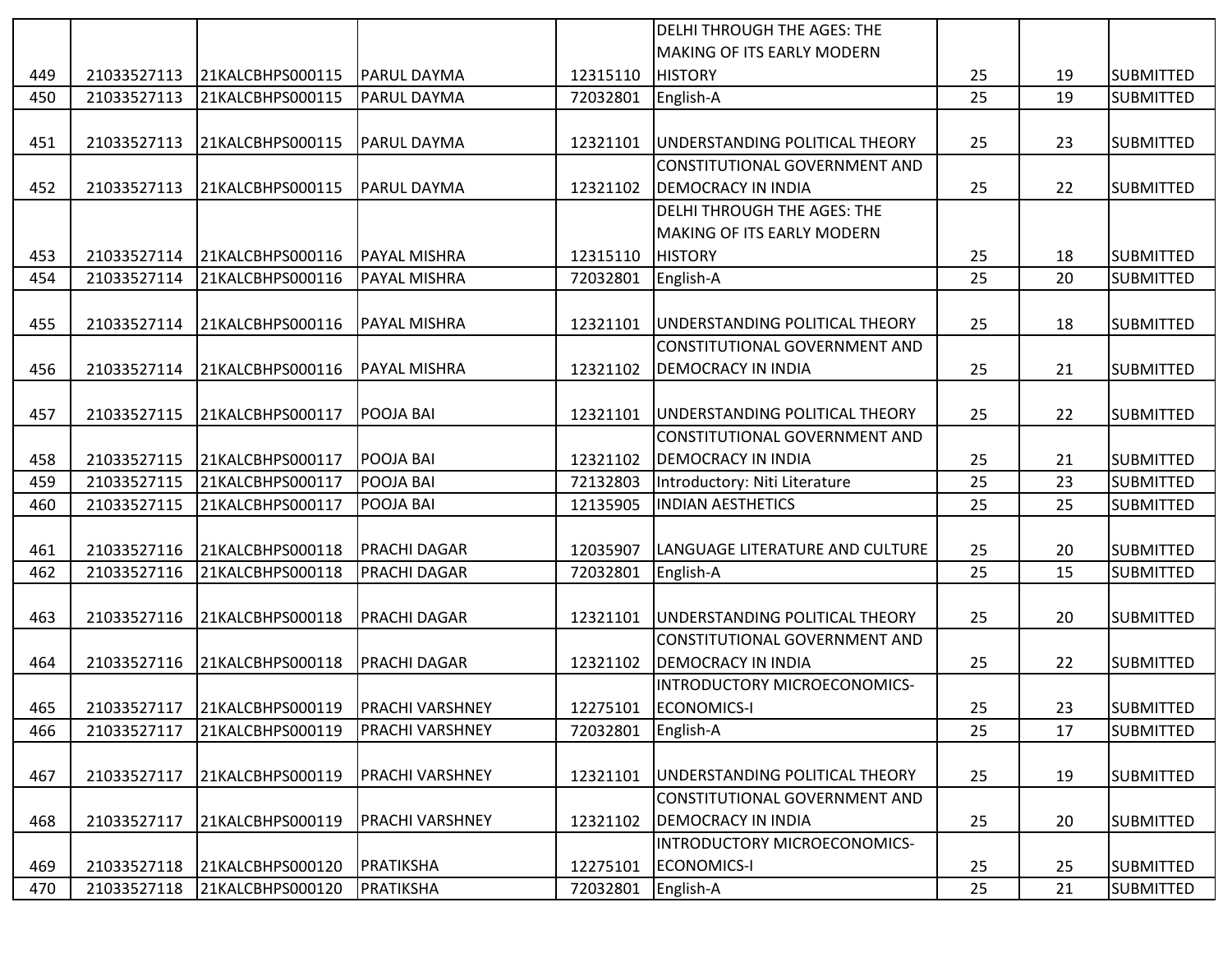|     |             |                  |                        |          | <b>DELHI THROUGH THE AGES: THE</b>   |    |    |                  |
|-----|-------------|------------------|------------------------|----------|--------------------------------------|----|----|------------------|
|     |             |                  |                        |          | MAKING OF ITS EARLY MODERN           |    |    |                  |
| 449 | 21033527113 | 21KALCBHPS000115 | <b>PARUL DAYMA</b>     | 12315110 | <b>HISTORY</b>                       | 25 | 19 | <b>SUBMITTED</b> |
| 450 | 21033527113 | 21KALCBHPS000115 | PARUL DAYMA            | 72032801 | English-A                            | 25 | 19 | <b>SUBMITTED</b> |
|     |             |                  |                        |          |                                      |    |    |                  |
| 451 | 21033527113 | 21KALCBHPS000115 | <b>PARUL DAYMA</b>     | 12321101 | UNDERSTANDING POLITICAL THEORY       | 25 | 23 | <b>SUBMITTED</b> |
|     |             |                  |                        |          | CONSTITUTIONAL GOVERNMENT AND        |    |    |                  |
| 452 | 21033527113 | 21KALCBHPS000115 | <b>PARUL DAYMA</b>     | 12321102 | <b>DEMOCRACY IN INDIA</b>            | 25 | 22 | <b>SUBMITTED</b> |
|     |             |                  |                        |          | <b>DELHI THROUGH THE AGES: THE</b>   |    |    |                  |
|     |             |                  |                        |          | <b>MAKING OF ITS EARLY MODERN</b>    |    |    |                  |
| 453 | 21033527114 | 21KALCBHPS000116 | <b>PAYAL MISHRA</b>    | 12315110 | <b>HISTORY</b>                       | 25 | 18 | <b>SUBMITTED</b> |
| 454 | 21033527114 | 21KALCBHPS000116 | <b>PAYAL MISHRA</b>    | 72032801 | English-A                            | 25 | 20 | <b>SUBMITTED</b> |
|     |             |                  |                        |          |                                      |    |    |                  |
| 455 | 21033527114 | 21KALCBHPS000116 | <b>PAYAL MISHRA</b>    | 12321101 | UNDERSTANDING POLITICAL THEORY       | 25 | 18 | <b>SUBMITTED</b> |
|     |             |                  |                        |          | <b>CONSTITUTIONAL GOVERNMENT AND</b> |    |    |                  |
| 456 | 21033527114 | 21KALCBHPS000116 | <b>PAYAL MISHRA</b>    | 12321102 | <b>DEMOCRACY IN INDIA</b>            | 25 | 21 | <b>SUBMITTED</b> |
|     |             |                  |                        |          |                                      |    |    |                  |
| 457 | 21033527115 | 21KALCBHPS000117 | POOJA BAI              | 12321101 | UNDERSTANDING POLITICAL THEORY       | 25 | 22 | <b>SUBMITTED</b> |
|     |             |                  |                        |          | CONSTITUTIONAL GOVERNMENT AND        |    |    |                  |
| 458 | 21033527115 | 21KALCBHPS000117 | POOJA BAI              | 12321102 | <b>DEMOCRACY IN INDIA</b>            | 25 | 21 | <b>SUBMITTED</b> |
| 459 | 21033527115 | 21KALCBHPS000117 | POOJA BAI              | 72132803 | Introductory: Niti Literature        | 25 | 23 | <b>SUBMITTED</b> |
| 460 | 21033527115 | 21KALCBHPS000117 | POOJA BAI              | 12135905 | <b>INDIAN AESTHETICS</b>             | 25 | 25 | <b>SUBMITTED</b> |
|     |             |                  |                        |          |                                      |    |    |                  |
| 461 | 21033527116 | 21KALCBHPS000118 | <b>PRACHI DAGAR</b>    | 12035907 | LANGUAGE LITERATURE AND CULTURE      | 25 | 20 | <b>SUBMITTED</b> |
| 462 | 21033527116 | 21KALCBHPS000118 | PRACHI DAGAR           | 72032801 | English-A                            | 25 | 15 | <b>SUBMITTED</b> |
|     |             |                  |                        |          |                                      |    |    |                  |
| 463 | 21033527116 | 21KALCBHPS000118 | PRACHI DAGAR           | 12321101 | UNDERSTANDING POLITICAL THEORY       | 25 | 20 | <b>SUBMITTED</b> |
|     |             |                  |                        |          | CONSTITUTIONAL GOVERNMENT AND        |    |    |                  |
| 464 | 21033527116 | 21KALCBHPS000118 | <b>PRACHI DAGAR</b>    | 12321102 | <b>DEMOCRACY IN INDIA</b>            | 25 | 22 | <b>SUBMITTED</b> |
|     |             |                  |                        |          | <b>INTRODUCTORY MICROECONOMICS-</b>  |    |    |                  |
| 465 | 21033527117 | 21KALCBHPS000119 | <b>PRACHI VARSHNEY</b> | 12275101 | ECONOMICS-I                          | 25 | 23 | <b>SUBMITTED</b> |
| 466 | 21033527117 | 21KALCBHPS000119 | <b>PRACHI VARSHNEY</b> | 72032801 | English-A                            | 25 | 17 | <b>SUBMITTED</b> |
|     |             |                  |                        |          |                                      |    |    |                  |
| 467 | 21033527117 | 21KALCBHPS000119 | <b>PRACHI VARSHNEY</b> | 12321101 | UNDERSTANDING POLITICAL THEORY       | 25 | 19 | <b>SUBMITTED</b> |
|     |             |                  |                        |          | CONSTITUTIONAL GOVERNMENT AND        |    |    |                  |
| 468 | 21033527117 | 21KALCBHPS000119 | <b>PRACHI VARSHNEY</b> | 12321102 | <b>DEMOCRACY IN INDIA</b>            | 25 | 20 | <b>SUBMITTED</b> |
|     |             |                  |                        |          | <b>INTRODUCTORY MICROECONOMICS-</b>  |    |    |                  |
| 469 | 21033527118 | 21KALCBHPS000120 | PRATIKSHA              | 12275101 | <b>ECONOMICS-I</b>                   | 25 | 25 | <b>SUBMITTED</b> |
| 470 | 21033527118 | 21KALCBHPS000120 | <b>PRATIKSHA</b>       | 72032801 | English-A                            | 25 | 21 | <b>SUBMITTED</b> |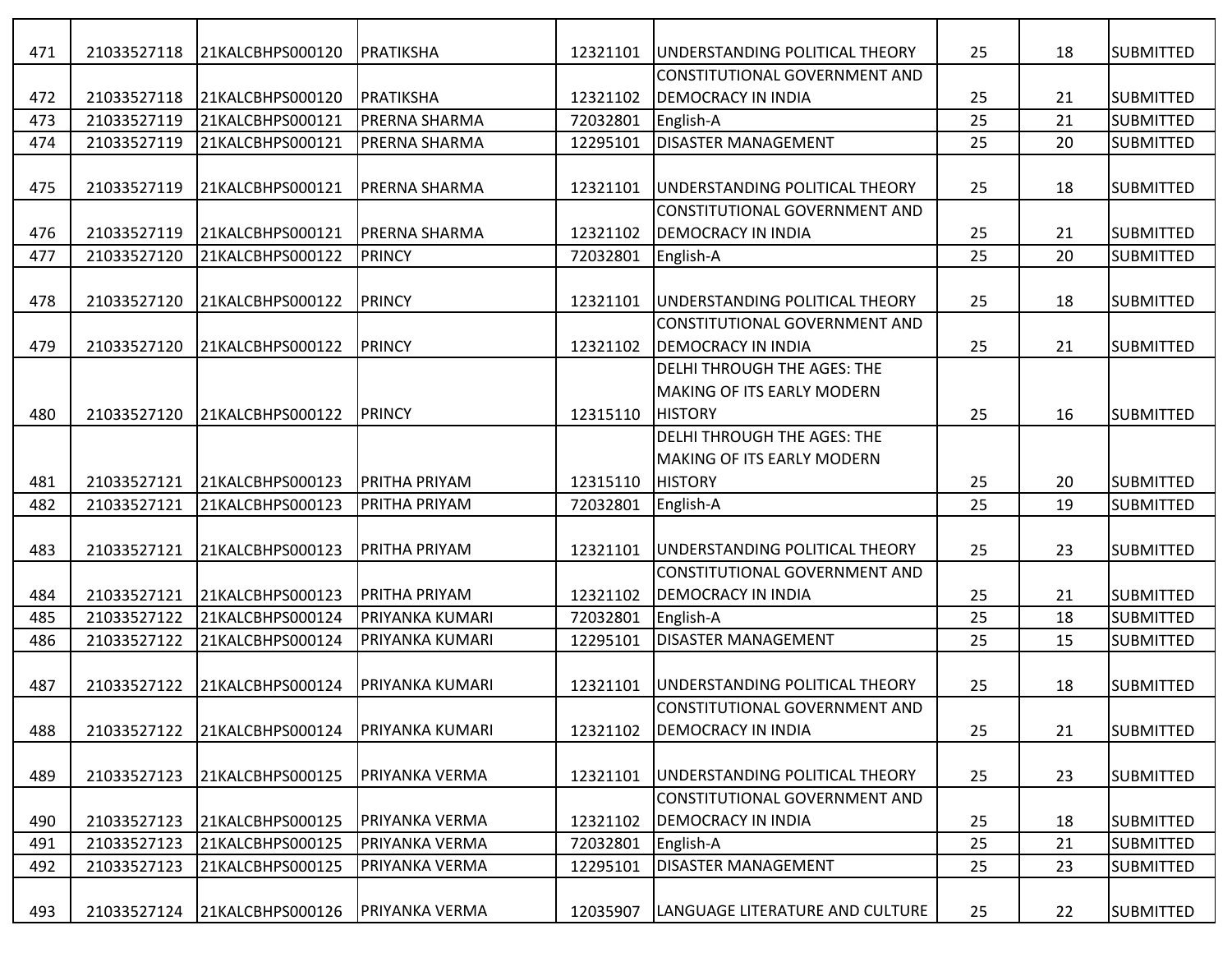| 471        | 21033527118                | 21KALCBHPS000120                     | PRATIKSHA               | 12321101 | <b>JUNDERSTANDING POLITICAL THEORY</b>                     | 25       | 18       | <b>SUBMITTED</b>                     |
|------------|----------------------------|--------------------------------------|-------------------------|----------|------------------------------------------------------------|----------|----------|--------------------------------------|
| 472        | 21033527118                | 21KALCBHPS000120                     | PRATIKSHA               | 12321102 | CONSTITUTIONAL GOVERNMENT AND<br><b>DEMOCRACY IN INDIA</b> | 25       | 21       | <b>SUBMITTED</b>                     |
| 473        | 21033527119                | 21KALCBHPS000121                     | <b>PRERNA SHARMA</b>    | 72032801 | English-A                                                  | 25       | 21       | <b>SUBMITTED</b>                     |
| 474        | 21033527119                | 21KALCBHPS000121                     | PRERNA SHARMA           | 12295101 | <b>DISASTER MANAGEMENT</b>                                 | 25       | 20       | <b>SUBMITTED</b>                     |
|            |                            |                                      |                         |          |                                                            |          |          |                                      |
| 475        | 21033527119                | 21KALCBHPS000121                     | PRERNA SHARMA           | 12321101 | UNDERSTANDING POLITICAL THEORY                             | 25       | 18       | <b>SUBMITTED</b>                     |
|            |                            |                                      |                         |          | CONSTITUTIONAL GOVERNMENT AND                              |          |          |                                      |
| 476        | 21033527119                | 21KALCBHPS000121                     | <b>PRERNA SHARMA</b>    | 12321102 | <b>DEMOCRACY IN INDIA</b>                                  | 25       | 21       | <b>SUBMITTED</b>                     |
| 477        | 21033527120                | 21KALCBHPS000122                     | PRINCY                  | 72032801 | English-A                                                  | 25       | 20       | <b>SUBMITTED</b>                     |
|            |                            |                                      |                         |          |                                                            |          |          |                                      |
| 478        | 21033527120                | 21KALCBHPS000122                     | PRINCY                  | 12321101 | UNDERSTANDING POLITICAL THEORY                             | 25       | 18       | <b>SUBMITTED</b>                     |
|            |                            |                                      |                         |          | CONSTITUTIONAL GOVERNMENT AND                              |          |          |                                      |
| 479        | 21033527120                | 21KALCBHPS000122                     | PRINCY                  | 12321102 | <b>DEMOCRACY IN INDIA</b>                                  | 25       | 21       | <b>SUBMITTED</b>                     |
|            |                            |                                      |                         |          | <b>DELHI THROUGH THE AGES: THE</b>                         |          |          |                                      |
|            |                            |                                      |                         |          | <b>MAKING OF ITS EARLY MODERN</b>                          |          |          |                                      |
| 480        | 21033527120                | 21KALCBHPS000122                     | PRINCY                  | 12315110 | <b>HISTORY</b>                                             | 25       | 16       | <b>SUBMITTED</b>                     |
|            |                            |                                      |                         |          | <b>DELHI THROUGH THE AGES: THE</b>                         |          |          |                                      |
|            |                            |                                      |                         |          | <b>MAKING OF ITS EARLY MODERN</b>                          |          |          |                                      |
| 481        | 21033527121                | 21KALCBHPS000123                     | <b>PRITHA PRIYAM</b>    | 12315110 | <b>HISTORY</b>                                             | 25       | 20       | <b>SUBMITTED</b>                     |
| 482        | 21033527121                | 21KALCBHPS000123                     | <b>PRITHA PRIYAM</b>    | 72032801 | English-A                                                  | 25       | 19       | <b>SUBMITTED</b>                     |
|            |                            |                                      |                         |          |                                                            |          |          |                                      |
| 483        | 21033527121                | 21KALCBHPS000123                     | <b>PRITHA PRIYAM</b>    | 12321101 | UNDERSTANDING POLITICAL THEORY                             | 25       | 23       | <b>SUBMITTED</b>                     |
|            |                            |                                      |                         |          | CONSTITUTIONAL GOVERNMENT AND                              |          |          |                                      |
| 484        | 21033527121                | 21KALCBHPS000123                     | <b>PRITHA PRIYAM</b>    | 12321102 | <b>DEMOCRACY IN INDIA</b>                                  | 25       | 21       | <b>SUBMITTED</b>                     |
| 485        | 21033527122                | 21KALCBHPS000124                     | PRIYANKA KUMARI         | 72032801 | English-A                                                  | 25       | 18       | <b>SUBMITTED</b>                     |
| 486        | 21033527122                | 21KALCBHPS000124                     | PRIYANKA KUMARI         | 12295101 | <b>DISASTER MANAGEMENT</b>                                 | 25       | 15       | <b>SUBMITTED</b>                     |
|            |                            |                                      |                         |          |                                                            |          |          |                                      |
| 487        | 21033527122                | 21KALCBHPS000124                     | PRIYANKA KUMARI         | 12321101 | UNDERSTANDING POLITICAL THEORY                             | 25       | 18       | <b>SUBMITTED</b>                     |
|            |                            |                                      |                         |          | CONSTITUTIONAL GOVERNMENT AND                              |          |          |                                      |
| 488        | 21033527122                | 21KALCBHPS000124                     | <b> PRIYANKA KUMARI</b> | 12321102 | <b>DEMOCRACY IN INDIA</b>                                  | 25       | 21       | <b>SUBMITTED</b>                     |
|            |                            |                                      |                         |          |                                                            |          |          |                                      |
| 489        | 21033527123                | 21KALCBHPS000125                     | PRIYANKA VERMA          | 12321101 | UNDERSTANDING POLITICAL THEORY                             | 25       | 23       | <b>SUBMITTED</b>                     |
|            |                            |                                      | <b>PRIYANKA VERMA</b>   | 12321102 | CONSTITUTIONAL GOVERNMENT AND<br><b>DEMOCRACY IN INDIA</b> |          |          |                                      |
| 490<br>491 | 21033527123<br>21033527123 | 21KALCBHPS000125<br>21KALCBHPS000125 | PRIYANKA VERMA          | 72032801 |                                                            | 25<br>25 | 18<br>21 | <b>SUBMITTED</b><br><b>SUBMITTED</b> |
| 492        | 21033527123                | 21KALCBHPS000125                     | PRIYANKA VERMA          | 12295101 | English-A<br><b>DISASTER MANAGEMENT</b>                    | 25       | 23       | <b>SUBMITTED</b>                     |
|            |                            |                                      |                         |          |                                                            |          |          |                                      |
| 493        | 21033527124                | 21KALCBHPS000126                     | <b>PRIYANKA VERMA</b>   | 12035907 | LANGUAGE LITERATURE AND CULTURE                            | 25       | 22       | <b>SUBMITTED</b>                     |
|            |                            |                                      |                         |          |                                                            |          |          |                                      |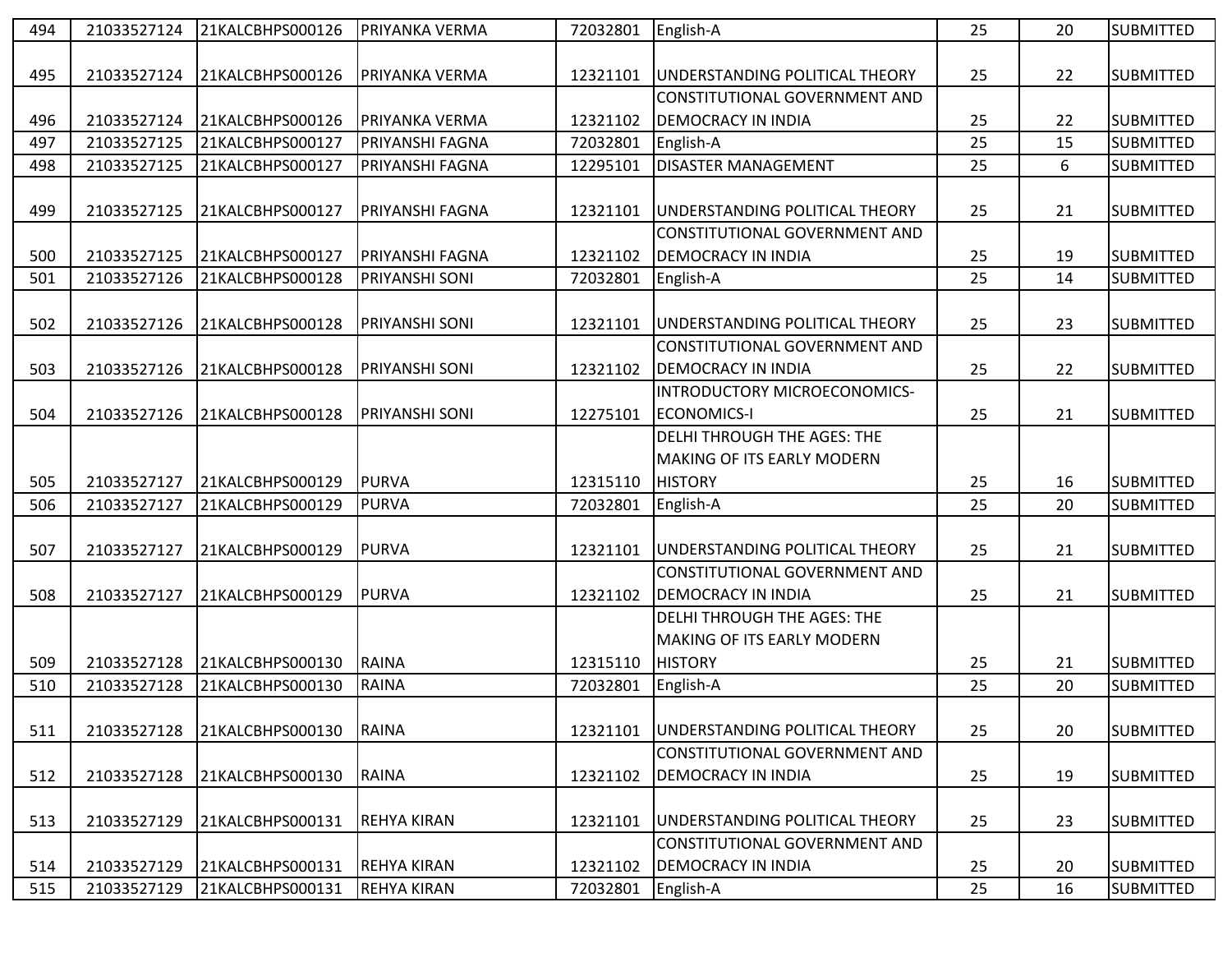| 494 | 21033527124 | 21KALCBHPS000126 | PRIYANKA VERMA         | 72032801 | English-A                         | 25 | 20 | <b>SUBMITTED</b> |
|-----|-------------|------------------|------------------------|----------|-----------------------------------|----|----|------------------|
|     |             |                  |                        |          |                                   |    |    |                  |
| 495 | 21033527124 | 21KALCBHPS000126 | <b>PRIYANKA VERMA</b>  | 12321101 | UNDERSTANDING POLITICAL THEORY    | 25 | 22 | <b>SUBMITTED</b> |
|     |             |                  |                        |          | CONSTITUTIONAL GOVERNMENT AND     |    |    |                  |
| 496 | 21033527124 | 21KALCBHPS000126 | PRIYANKA VERMA         | 12321102 | <b>DEMOCRACY IN INDIA</b>         | 25 | 22 | <b>SUBMITTED</b> |
| 497 | 21033527125 | 21KALCBHPS000127 | <b>PRIYANSHI FAGNA</b> | 72032801 | English-A                         | 25 | 15 | <b>SUBMITTED</b> |
| 498 | 21033527125 | 21KALCBHPS000127 | PRIYANSHI FAGNA        | 12295101 | <b>DISASTER MANAGEMENT</b>        | 25 | 6  | <b>SUBMITTED</b> |
|     |             |                  |                        |          |                                   |    |    |                  |
| 499 | 21033527125 | 21KALCBHPS000127 | PRIYANSHI FAGNA        | 12321101 | UNDERSTANDING POLITICAL THEORY    | 25 | 21 | <b>SUBMITTED</b> |
|     |             |                  |                        |          | CONSTITUTIONAL GOVERNMENT AND     |    |    |                  |
| 500 | 21033527125 | 21KALCBHPS000127 | PRIYANSHI FAGNA        | 12321102 | <b>DEMOCRACY IN INDIA</b>         | 25 | 19 | <b>SUBMITTED</b> |
| 501 | 21033527126 | 21KALCBHPS000128 | PRIYANSHI SONI         | 72032801 | English-A                         | 25 | 14 | <b>SUBMITTED</b> |
|     |             |                  |                        |          |                                   |    |    |                  |
| 502 | 21033527126 | 21KALCBHPS000128 | <b>PRIYANSHI SONI</b>  | 12321101 | UNDERSTANDING POLITICAL THEORY    | 25 | 23 | <b>SUBMITTED</b> |
|     |             |                  |                        |          | CONSTITUTIONAL GOVERNMENT AND     |    |    |                  |
| 503 | 21033527126 | 21KALCBHPS000128 | <b>PRIYANSHI SONI</b>  | 12321102 | <b>DEMOCRACY IN INDIA</b>         | 25 | 22 | <b>SUBMITTED</b> |
|     |             |                  |                        |          | INTRODUCTORY MICROECONOMICS-      |    |    |                  |
| 504 | 21033527126 | 21KALCBHPS000128 | PRIYANSHI SONI         | 12275101 | <b>ECONOMICS-I</b>                | 25 | 21 | <b>SUBMITTED</b> |
|     |             |                  |                        |          | DELHI THROUGH THE AGES: THE       |    |    |                  |
|     |             |                  |                        |          | <b>MAKING OF ITS EARLY MODERN</b> |    |    |                  |
| 505 | 21033527127 | 21KALCBHPS000129 | PURVA                  | 12315110 | <b>HISTORY</b>                    | 25 | 16 | <b>SUBMITTED</b> |
| 506 | 21033527127 | 21KALCBHPS000129 | PURVA                  | 72032801 | English-A                         | 25 | 20 | <b>SUBMITTED</b> |
|     |             |                  |                        |          |                                   |    |    |                  |
| 507 | 21033527127 | 21KALCBHPS000129 | PURVA                  | 12321101 | UNDERSTANDING POLITICAL THEORY    | 25 | 21 | <b>SUBMITTED</b> |
|     |             |                  |                        |          | CONSTITUTIONAL GOVERNMENT AND     |    |    |                  |
| 508 | 21033527127 | 21KALCBHPS000129 | PURVA                  | 12321102 | <b>DEMOCRACY IN INDIA</b>         | 25 | 21 | <b>SUBMITTED</b> |
|     |             |                  |                        |          | DELHI THROUGH THE AGES: THE       |    |    |                  |
|     |             |                  |                        |          | <b>MAKING OF ITS EARLY MODERN</b> |    |    |                  |
| 509 | 21033527128 | 21KALCBHPS000130 | RAINA                  | 12315110 | <b>HISTORY</b>                    | 25 | 21 | <b>SUBMITTED</b> |
| 510 | 21033527128 | 21KALCBHPS000130 | <b>RAINA</b>           | 72032801 | English-A                         | 25 | 20 | <b>SUBMITTED</b> |
|     |             |                  |                        |          |                                   |    |    |                  |
| 511 | 21033527128 | 21KALCBHPS000130 | RAINA                  | 12321101 | UNDERSTANDING POLITICAL THEORY    | 25 | 20 | <b>SUBMITTED</b> |
|     |             |                  |                        |          | CONSTITUTIONAL GOVERNMENT AND     |    |    |                  |
| 512 | 21033527128 | 21KALCBHPS000130 | RAINA                  | 12321102 | <b>DEMOCRACY IN INDIA</b>         | 25 | 19 | <b>SUBMITTED</b> |
|     |             |                  |                        |          |                                   |    |    |                  |
| 513 | 21033527129 | 21KALCBHPS000131 | <b>REHYA KIRAN</b>     | 12321101 | UNDERSTANDING POLITICAL THEORY    | 25 | 23 | <b>SUBMITTED</b> |
|     |             |                  |                        |          | CONSTITUTIONAL GOVERNMENT AND     |    |    |                  |
| 514 | 21033527129 | 21KALCBHPS000131 | <b>REHYA KIRAN</b>     | 12321102 | <b>DEMOCRACY IN INDIA</b>         | 25 | 20 | <b>SUBMITTED</b> |
| 515 | 21033527129 | 21KALCBHPS000131 | <b>REHYA KIRAN</b>     | 72032801 | English-A                         | 25 | 16 | <b>SUBMITTED</b> |
|     |             |                  |                        |          |                                   |    |    |                  |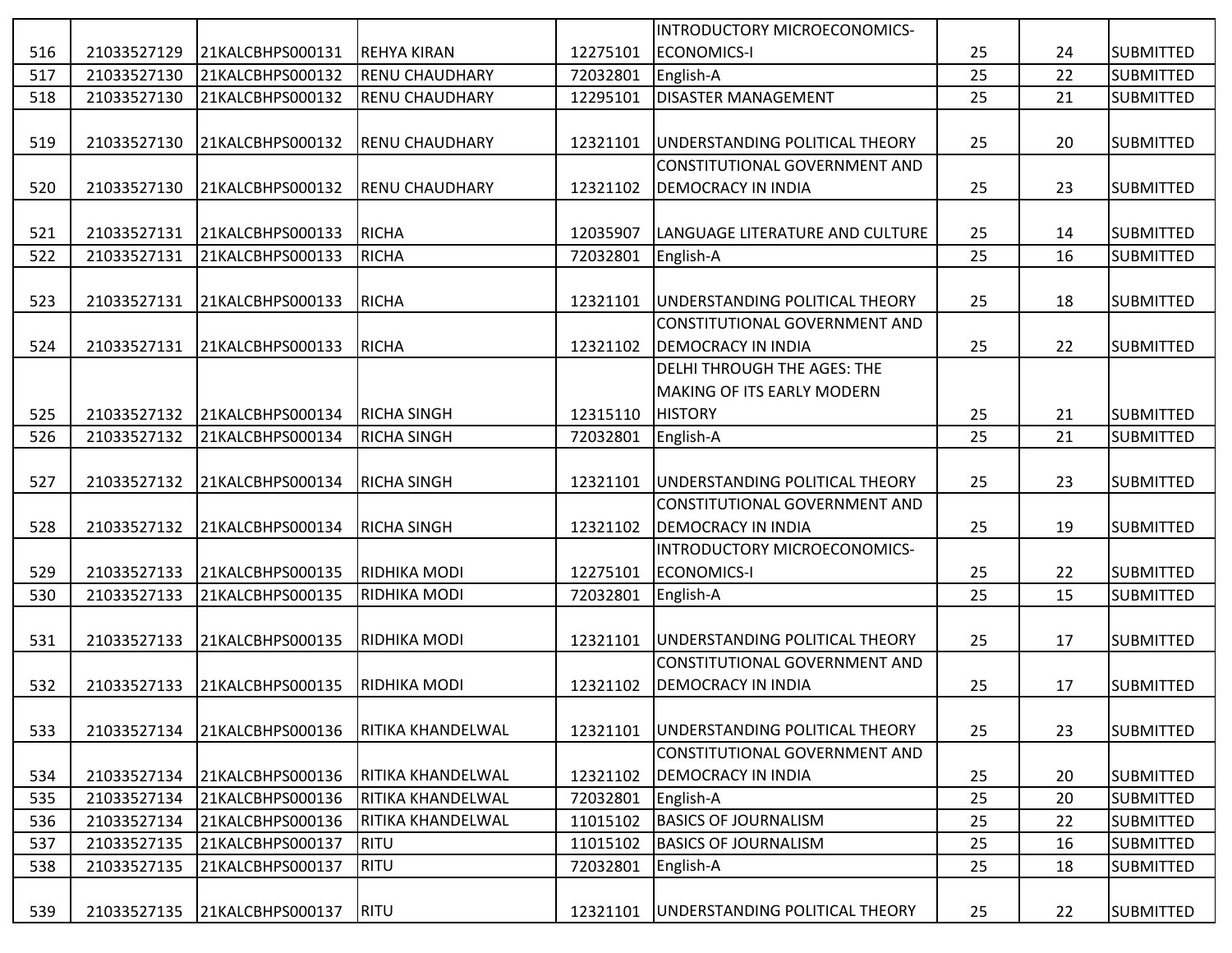|     |             |                  |                          |          | INTRODUCTORY MICROECONOMICS-          |    |    |                  |
|-----|-------------|------------------|--------------------------|----------|---------------------------------------|----|----|------------------|
| 516 | 21033527129 | 21KALCBHPS000131 | <b>REHYA KIRAN</b>       | 12275101 | <b>ECONOMICS-I</b>                    | 25 | 24 | <b>SUBMITTED</b> |
| 517 | 21033527130 | 21KALCBHPS000132 | <b>RENU CHAUDHARY</b>    | 72032801 | English-A                             | 25 | 22 | <b>SUBMITTED</b> |
| 518 | 21033527130 | 21KALCBHPS000132 | <b>RENU CHAUDHARY</b>    | 12295101 | <b>DISASTER MANAGEMENT</b>            | 25 | 21 | <b>SUBMITTED</b> |
|     |             |                  |                          |          |                                       |    |    |                  |
| 519 | 21033527130 | 21KALCBHPS000132 | <b>RENU CHAUDHARY</b>    | 12321101 | UNDERSTANDING POLITICAL THEORY        | 25 | 20 | <b>SUBMITTED</b> |
|     |             |                  |                          |          | <b>CONSTITUTIONAL GOVERNMENT AND</b>  |    |    |                  |
| 520 | 21033527130 | 21KALCBHPS000132 | <b>RENU CHAUDHARY</b>    | 12321102 | <b>DEMOCRACY IN INDIA</b>             | 25 | 23 | <b>SUBMITTED</b> |
|     |             |                  |                          |          |                                       |    |    |                  |
| 521 | 21033527131 | 21KALCBHPS000133 | RICHA                    | 12035907 | LANGUAGE LITERATURE AND CULTURE       | 25 | 14 | <b>SUBMITTED</b> |
| 522 | 21033527131 | 21KALCBHPS000133 | RICHA                    | 72032801 | English-A                             | 25 | 16 | <b>SUBMITTED</b> |
|     |             |                  |                          |          |                                       |    |    |                  |
| 523 | 21033527131 | 21KALCBHPS000133 | RICHA                    | 12321101 | UNDERSTANDING POLITICAL THEORY        | 25 | 18 | <b>SUBMITTED</b> |
|     |             |                  |                          |          | CONSTITUTIONAL GOVERNMENT AND         |    |    |                  |
| 524 | 21033527131 | 21KALCBHPS000133 | RICHA                    | 12321102 | <b>DEMOCRACY IN INDIA</b>             | 25 | 22 | <b>SUBMITTED</b> |
|     |             |                  |                          |          | DELHI THROUGH THE AGES: THE           |    |    |                  |
|     |             |                  |                          |          | <b>MAKING OF ITS EARLY MODERN</b>     |    |    |                  |
| 525 | 21033527132 | 21KALCBHPS000134 | <b>RICHA SINGH</b>       | 12315110 | <b>HISTORY</b>                        | 25 | 21 | <b>SUBMITTED</b> |
| 526 | 21033527132 | 21KALCBHPS000134 | <b>RICHA SINGH</b>       | 72032801 | English-A                             | 25 | 21 | <b>SUBMITTED</b> |
|     |             |                  |                          |          |                                       |    |    |                  |
| 527 | 21033527132 | 21KALCBHPS000134 | <b>RICHA SINGH</b>       | 12321101 | UNDERSTANDING POLITICAL THEORY        | 25 | 23 | <b>SUBMITTED</b> |
|     |             |                  |                          |          | CONSTITUTIONAL GOVERNMENT AND         |    |    |                  |
| 528 | 21033527132 | 21KALCBHPS000134 | <b>RICHA SINGH</b>       | 12321102 | <b>DEMOCRACY IN INDIA</b>             | 25 | 19 | <b>SUBMITTED</b> |
|     |             |                  |                          |          | INTRODUCTORY MICROECONOMICS-          |    |    |                  |
| 529 | 21033527133 | 21KALCBHPS000135 | <b>RIDHIKA MODI</b>      | 12275101 | <b>ECONOMICS-I</b>                    | 25 | 22 | <b>SUBMITTED</b> |
| 530 | 21033527133 | 21KALCBHPS000135 | <b>RIDHIKA MODI</b>      | 72032801 | English-A                             | 25 | 15 | <b>SUBMITTED</b> |
|     |             |                  |                          |          |                                       |    |    |                  |
| 531 | 21033527133 | 21KALCBHPS000135 | <b>RIDHIKA MODI</b>      | 12321101 | UNDERSTANDING POLITICAL THEORY        | 25 | 17 | <b>SUBMITTED</b> |
|     |             |                  |                          |          | <b>CONSTITUTIONAL GOVERNMENT AND</b>  |    |    |                  |
| 532 | 21033527133 | 21KALCBHPS000135 | <b>RIDHIKA MODI</b>      | 12321102 | <b>DEMOCRACY IN INDIA</b>             | 25 | 17 | <b>SUBMITTED</b> |
|     |             |                  |                          |          |                                       |    |    |                  |
| 533 | 21033527134 | 21KALCBHPS000136 | <b>RITIKA KHANDELWAL</b> | 12321101 | UNDERSTANDING POLITICAL THEORY        | 25 | 23 | <b>SUBMITTED</b> |
|     |             |                  |                          |          | CONSTITUTIONAL GOVERNMENT AND         |    |    |                  |
| 534 | 21033527134 | 21KALCBHPS000136 | <b>RITIKA KHANDELWAL</b> | 12321102 | <b>DEMOCRACY IN INDIA</b>             | 25 | 20 | <b>SUBMITTED</b> |
| 535 | 21033527134 | 21KALCBHPS000136 | RITIKA KHANDELWAL        | 72032801 | English-A                             | 25 | 20 | <b>SUBMITTED</b> |
| 536 | 21033527134 | 21KALCBHPS000136 | RITIKA KHANDELWAL        | 11015102 | <b>BASICS OF JOURNALISM</b>           | 25 | 22 | <b>SUBMITTED</b> |
| 537 | 21033527135 | 21KALCBHPS000137 | RITU                     | 11015102 | <b>BASICS OF JOURNALISM</b>           | 25 | 16 | <b>SUBMITTED</b> |
| 538 | 21033527135 | 21KALCBHPS000137 | RITU                     | 72032801 | English-A                             | 25 | 18 | <b>SUBMITTED</b> |
|     |             |                  |                          |          |                                       |    |    |                  |
| 539 | 21033527135 | 21KALCBHPS000137 | RITU                     | 12321101 | <b>UNDERSTANDING POLITICAL THEORY</b> | 25 | 22 | <b>SUBMITTED</b> |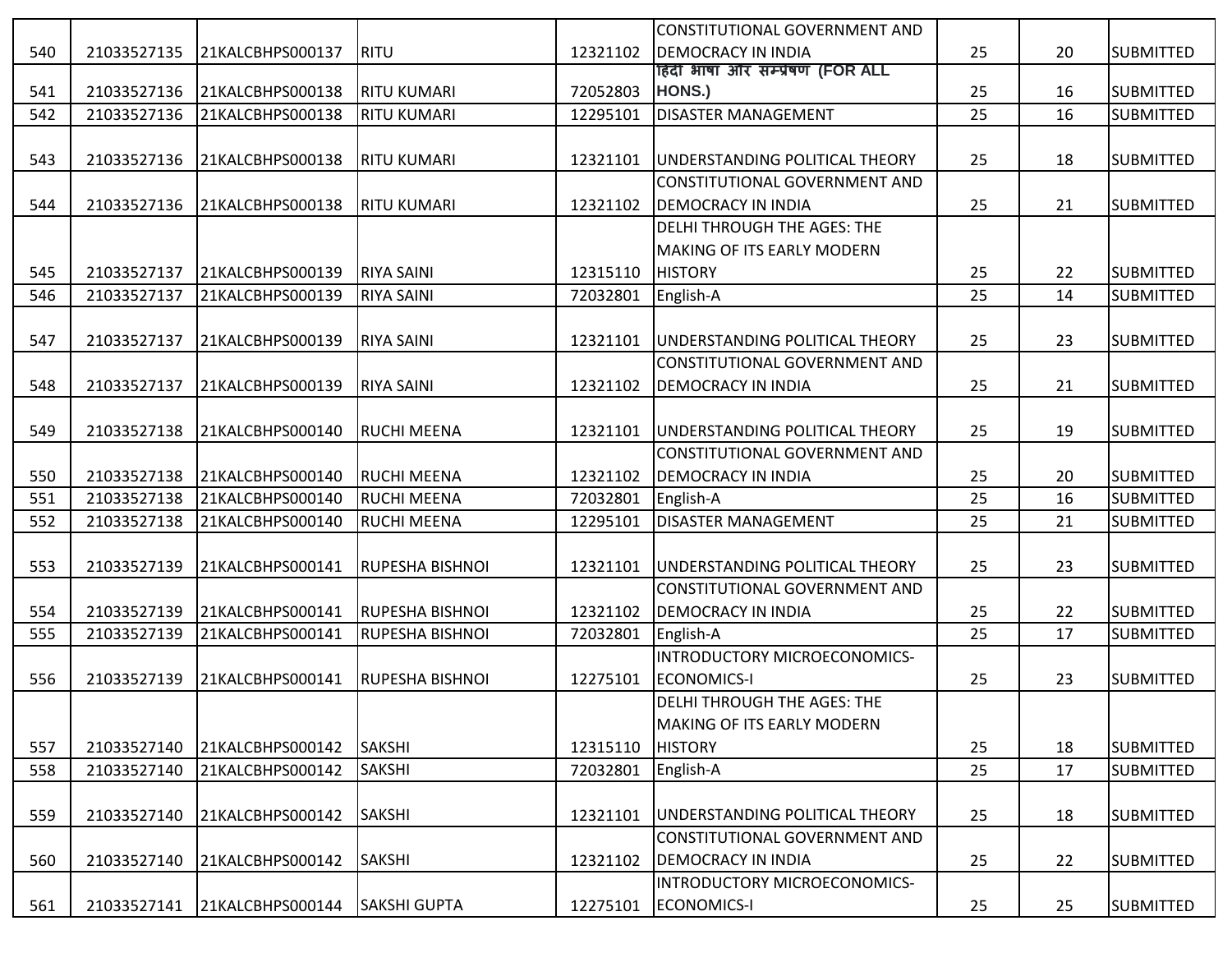|     |             |                  |                        |          | CONSTITUTIONAL GOVERNMENT AND       |    |    |                  |
|-----|-------------|------------------|------------------------|----------|-------------------------------------|----|----|------------------|
| 540 | 21033527135 | 21KALCBHPS000137 | RITU                   | 12321102 | <b>DEMOCRACY IN INDIA</b>           | 25 | 20 | <b>SUBMITTED</b> |
|     |             |                  |                        |          | हिंदी भाषा और सम्प्रेषण (FOR ALL    |    |    |                  |
| 541 | 21033527136 | 21KALCBHPS000138 | <b>RITU KUMARI</b>     | 72052803 | HONS.)                              | 25 | 16 | <b>SUBMITTED</b> |
| 542 | 21033527136 | 21KALCBHPS000138 | <b>RITU KUMARI</b>     | 12295101 | <b>DISASTER MANAGEMENT</b>          | 25 | 16 | <b>SUBMITTED</b> |
|     |             |                  |                        |          |                                     |    |    |                  |
| 543 | 21033527136 | 21KALCBHPS000138 | <b>RITU KUMARI</b>     | 12321101 | UNDERSTANDING POLITICAL THEORY      | 25 | 18 | <b>SUBMITTED</b> |
|     |             |                  |                        |          | CONSTITUTIONAL GOVERNMENT AND       |    |    |                  |
| 544 | 21033527136 | 21KALCBHPS000138 | IRITU KUMARI           | 12321102 | <b>DEMOCRACY IN INDIA</b>           | 25 | 21 | <b>SUBMITTED</b> |
|     |             |                  |                        |          | <b>DELHI THROUGH THE AGES: THE</b>  |    |    |                  |
|     |             |                  |                        |          | <b>MAKING OF ITS EARLY MODERN</b>   |    |    |                  |
| 545 | 21033527137 | 21KALCBHPS000139 | <b>RIYA SAINI</b>      | 12315110 | <b>HISTORY</b>                      | 25 | 22 | <b>SUBMITTED</b> |
| 546 | 21033527137 | 21KALCBHPS000139 | <b>RIYA SAINI</b>      | 72032801 | English-A                           | 25 | 14 | <b>SUBMITTED</b> |
|     |             |                  |                        |          |                                     |    |    |                  |
| 547 | 21033527137 | 21KALCBHPS000139 | <b>RIYA SAINI</b>      | 12321101 | UNDERSTANDING POLITICAL THEORY      | 25 | 23 | <b>SUBMITTED</b> |
|     |             |                  |                        |          | CONSTITUTIONAL GOVERNMENT AND       |    |    |                  |
| 548 | 21033527137 | 21KALCBHPS000139 | <b>RIYA SAINI</b>      | 12321102 | <b>DEMOCRACY IN INDIA</b>           | 25 | 21 | <b>SUBMITTED</b> |
|     |             |                  |                        |          |                                     |    |    |                  |
| 549 | 21033527138 | 21KALCBHPS000140 | <b>RUCHI MEENA</b>     | 12321101 | UNDERSTANDING POLITICAL THEORY      | 25 | 19 | <b>SUBMITTED</b> |
|     |             |                  |                        |          | CONSTITUTIONAL GOVERNMENT AND       |    |    |                  |
| 550 | 21033527138 | 21KALCBHPS000140 | RUCHI MEENA            | 12321102 | <b>DEMOCRACY IN INDIA</b>           | 25 | 20 | <b>SUBMITTED</b> |
| 551 | 21033527138 | 21KALCBHPS000140 | <b>RUCHI MEENA</b>     | 72032801 | English-A                           | 25 | 16 | <b>SUBMITTED</b> |
| 552 | 21033527138 | 21KALCBHPS000140 | <b>RUCHI MEENA</b>     | 12295101 | <b>DISASTER MANAGEMENT</b>          | 25 | 21 | <b>SUBMITTED</b> |
|     |             |                  |                        |          |                                     |    |    |                  |
| 553 | 21033527139 | 21KALCBHPS000141 | <b>RUPESHA BISHNOI</b> | 12321101 | UNDERSTANDING POLITICAL THEORY      | 25 | 23 | <b>SUBMITTED</b> |
|     |             |                  |                        |          | CONSTITUTIONAL GOVERNMENT AND       |    |    |                  |
| 554 | 21033527139 | 21KALCBHPS000141 | <b>RUPESHA BISHNOI</b> | 12321102 | <b>DEMOCRACY IN INDIA</b>           | 25 | 22 | <b>SUBMITTED</b> |
| 555 | 21033527139 | 21KALCBHPS000141 | RUPESHA BISHNOI        | 72032801 | English-A                           | 25 | 17 | <b>SUBMITTED</b> |
|     |             |                  |                        |          | INTRODUCTORY MICROECONOMICS-        |    |    |                  |
| 556 | 21033527139 | 21KALCBHPS000141 | <b>RUPESHA BISHNOI</b> | 12275101 | <b>ECONOMICS-I</b>                  | 25 | 23 | <b>SUBMITTED</b> |
|     |             |                  |                        |          | <b>DELHI THROUGH THE AGES: THE</b>  |    |    |                  |
|     |             |                  |                        |          | <b>IMAKING OF ITS EARLY MODERN</b>  |    |    |                  |
| 557 | 21033527140 | 21KALCBHPS000142 | <b>SAKSHI</b>          | 12315110 | <b>HISTORY</b>                      | 25 | 18 | <b>SUBMITTED</b> |
| 558 | 21033527140 | 21KALCBHPS000142 | SAKSHI                 | 72032801 | English-A                           | 25 | 17 | <b>SUBMITTED</b> |
|     |             |                  |                        |          |                                     |    |    |                  |
| 559 | 21033527140 | 21KALCBHPS000142 | <b>SAKSHI</b>          | 12321101 | UNDERSTANDING POLITICAL THEORY      | 25 | 18 | <b>SUBMITTED</b> |
|     |             |                  |                        |          | CONSTITUTIONAL GOVERNMENT AND       |    |    |                  |
| 560 | 21033527140 | 21KALCBHPS000142 | <b>SAKSHI</b>          | 12321102 | <b>DEMOCRACY IN INDIA</b>           | 25 | 22 | <b>SUBMITTED</b> |
|     |             |                  |                        |          | <b>INTRODUCTORY MICROECONOMICS-</b> |    |    |                  |
| 561 | 21033527141 | 21KALCBHPS000144 | <b>SAKSHI GUPTA</b>    | 12275101 | ECONOMICS-I                         | 25 | 25 | <b>SUBMITTED</b> |
|     |             |                  |                        |          |                                     |    |    |                  |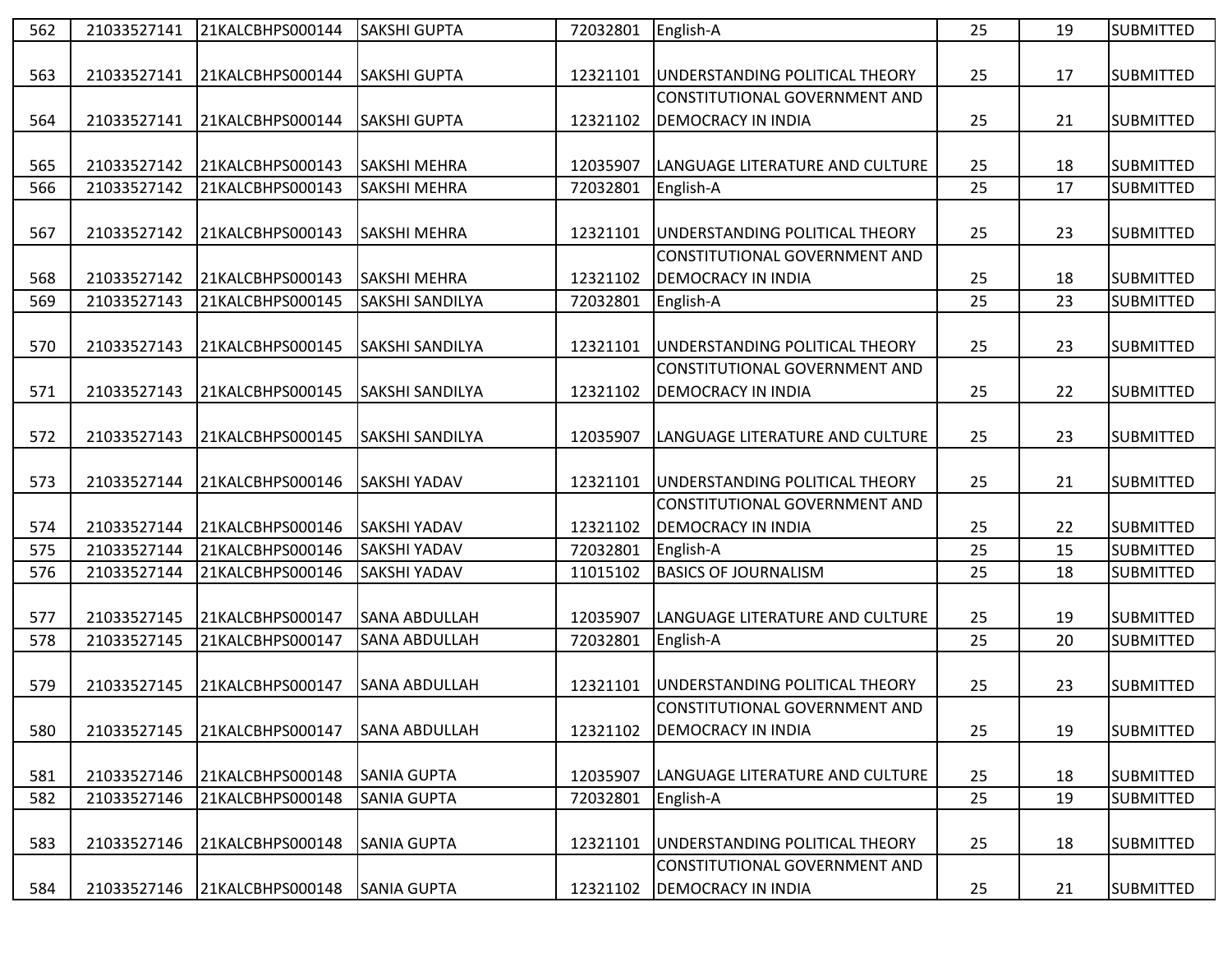| 562 | 21033527141 | 21KALCBHPS000144 | <b>SAKSHI GUPTA</b>    | 72032801 | English-A                            | 25 | 19 | <b>SUBMITTED</b> |
|-----|-------------|------------------|------------------------|----------|--------------------------------------|----|----|------------------|
|     |             |                  |                        |          |                                      |    |    |                  |
| 563 | 21033527141 | 21KALCBHPS000144 | <b>SAKSHI GUPTA</b>    | 12321101 | UNDERSTANDING POLITICAL THEORY       | 25 | 17 | <b>SUBMITTED</b> |
|     |             |                  |                        |          | CONSTITUTIONAL GOVERNMENT AND        |    |    |                  |
| 564 | 21033527141 | 21KALCBHPS000144 | <b>SAKSHI GUPTA</b>    | 12321102 | <b>DEMOCRACY IN INDIA</b>            | 25 | 21 | <b>SUBMITTED</b> |
|     |             |                  |                        |          |                                      |    |    |                  |
| 565 | 21033527142 | 21KALCBHPS000143 | <b>SAKSHI MEHRA</b>    | 12035907 | LANGUAGE LITERATURE AND CULTURE      | 25 | 18 | <b>SUBMITTED</b> |
| 566 | 21033527142 | 21KALCBHPS000143 | SAKSHI MEHRA           | 72032801 | English-A                            | 25 | 17 | <b>SUBMITTED</b> |
|     |             |                  |                        |          |                                      |    |    |                  |
| 567 | 21033527142 | 21KALCBHPS000143 | <b>SAKSHI MEHRA</b>    | 12321101 | UNDERSTANDING POLITICAL THEORY       | 25 | 23 | <b>SUBMITTED</b> |
|     |             |                  |                        |          | CONSTITUTIONAL GOVERNMENT AND        |    |    |                  |
| 568 | 21033527142 | 21KALCBHPS000143 | <b>SAKSHI MEHRA</b>    | 12321102 | <b>DEMOCRACY IN INDIA</b>            | 25 | 18 | <b>SUBMITTED</b> |
| 569 | 21033527143 | 21KALCBHPS000145 | SAKSHI SANDILYA        | 72032801 | English-A                            | 25 | 23 | <b>SUBMITTED</b> |
|     |             |                  |                        |          |                                      |    |    |                  |
| 570 | 21033527143 | 21KALCBHPS000145 | <b>SAKSHI SANDILYA</b> | 12321101 | UNDERSTANDING POLITICAL THEORY       | 25 | 23 | <b>SUBMITTED</b> |
|     |             |                  |                        |          | CONSTITUTIONAL GOVERNMENT AND        |    |    |                  |
| 571 | 21033527143 | 21KALCBHPS000145 | <b>SAKSHI SANDILYA</b> | 12321102 | <b>DEMOCRACY IN INDIA</b>            | 25 | 22 | <b>SUBMITTED</b> |
|     |             |                  |                        |          |                                      |    |    |                  |
| 572 | 21033527143 | 21KALCBHPS000145 | SAKSHI SANDILYA        | 12035907 | LANGUAGE LITERATURE AND CULTURE      | 25 | 23 | <b>SUBMITTED</b> |
|     |             |                  |                        |          |                                      |    |    |                  |
| 573 | 21033527144 | 21KALCBHPS000146 | <b>SAKSHI YADAV</b>    | 12321101 | UNDERSTANDING POLITICAL THEORY       | 25 | 21 | <b>SUBMITTED</b> |
|     |             |                  |                        |          | CONSTITUTIONAL GOVERNMENT AND        |    |    |                  |
| 574 | 21033527144 | 21KALCBHPS000146 | <b>SAKSHI YADAV</b>    | 12321102 | <b>DEMOCRACY IN INDIA</b>            | 25 | 22 | <b>SUBMITTED</b> |
| 575 | 21033527144 | 21KALCBHPS000146 | <b>SAKSHI YADAV</b>    | 72032801 | English-A                            | 25 | 15 | <b>SUBMITTED</b> |
| 576 | 21033527144 | 21KALCBHPS000146 | SAKSHI YADAV           | 11015102 | <b>BASICS OF JOURNALISM</b>          | 25 | 18 | <b>SUBMITTED</b> |
|     |             |                  |                        |          |                                      |    |    |                  |
| 577 | 21033527145 | 21KALCBHPS000147 | <b>SANA ABDULLAH</b>   | 12035907 | LANGUAGE LITERATURE AND CULTURE      | 25 | 19 | <b>SUBMITTED</b> |
| 578 | 21033527145 | 21KALCBHPS000147 | <b>SANA ABDULLAH</b>   | 72032801 | English-A                            | 25 | 20 | <b>SUBMITTED</b> |
|     |             |                  |                        |          |                                      |    |    |                  |
| 579 | 21033527145 | 21KALCBHPS000147 | <b>SANA ABDULLAH</b>   | 12321101 | UNDERSTANDING POLITICAL THEORY       | 25 | 23 | <b>SUBMITTED</b> |
|     |             |                  |                        |          | CONSTITUTIONAL GOVERNMENT AND        |    |    |                  |
| 580 | 21033527145 | 21KALCBHPS000147 | <b>SANA ABDULLAH</b>   | 12321102 | <b>DEMOCRACY IN INDIA</b>            | 25 | 19 | <b>SUBMITTED</b> |
|     |             |                  |                        |          |                                      |    |    |                  |
| 581 | 21033527146 | 21KALCBHPS000148 | <b>SANIA GUPTA</b>     | 12035907 | LANGUAGE LITERATURE AND CULTURE      | 25 | 18 | <b>SUBMITTED</b> |
| 582 | 21033527146 | 21KALCBHPS000148 | <b>SANIA GUPTA</b>     | 72032801 | English-A                            | 25 | 19 | <b>SUBMITTED</b> |
|     |             |                  |                        |          |                                      |    |    |                  |
| 583 | 21033527146 | 21KALCBHPS000148 | <b>SANIA GUPTA</b>     | 12321101 | UNDERSTANDING POLITICAL THEORY       | 25 | 18 | <b>SUBMITTED</b> |
|     |             |                  |                        |          | <b>CONSTITUTIONAL GOVERNMENT AND</b> |    |    |                  |
| 584 | 21033527146 | 21KALCBHPS000148 | <b>SANIA GUPTA</b>     | 12321102 | <b>DEMOCRACY IN INDIA</b>            | 25 | 21 | <b>SUBMITTED</b> |
|     |             |                  |                        |          |                                      |    |    |                  |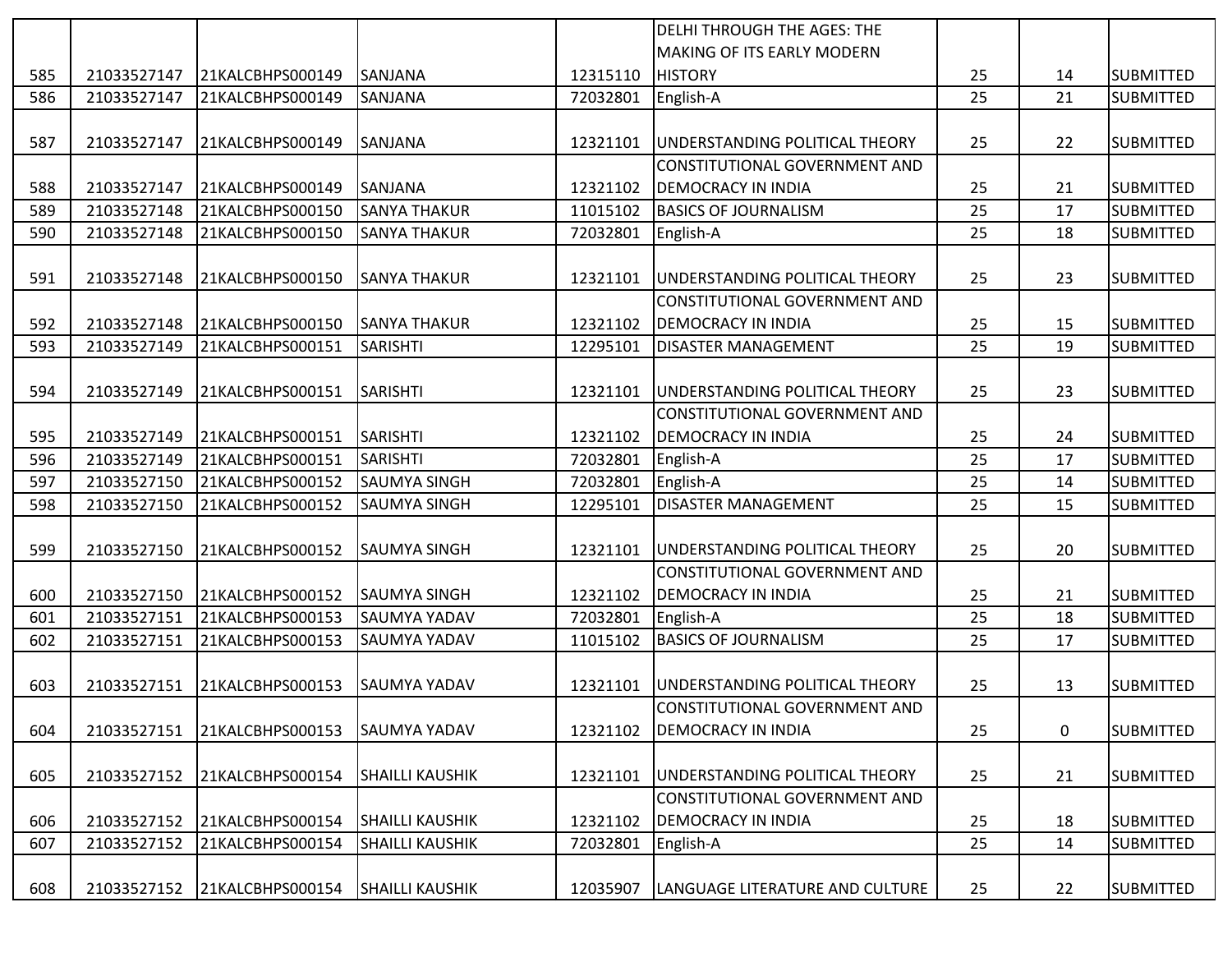|     |             |                  |                        |          | <b>DELHI THROUGH THE AGES: THE</b>   |    |    |                  |
|-----|-------------|------------------|------------------------|----------|--------------------------------------|----|----|------------------|
|     |             |                  |                        |          | <b>MAKING OF ITS EARLY MODERN</b>    |    |    |                  |
| 585 | 21033527147 | 21KALCBHPS000149 | <b>SANJANA</b>         | 12315110 | <b>HISTORY</b>                       | 25 | 14 | <b>SUBMITTED</b> |
| 586 | 21033527147 | 21KALCBHPS000149 | SANJANA                | 72032801 | English-A                            | 25 | 21 | <b>SUBMITTED</b> |
|     |             |                  |                        |          |                                      |    |    |                  |
| 587 | 21033527147 | 21KALCBHPS000149 | <b>SANJANA</b>         | 12321101 | UNDERSTANDING POLITICAL THEORY       | 25 | 22 | <b>SUBMITTED</b> |
|     |             |                  |                        |          | CONSTITUTIONAL GOVERNMENT AND        |    |    |                  |
| 588 | 21033527147 | 21KALCBHPS000149 | <b>SANJANA</b>         | 12321102 | <b>DEMOCRACY IN INDIA</b>            | 25 | 21 | <b>SUBMITTED</b> |
| 589 | 21033527148 | 21KALCBHPS000150 | <b>SANYA THAKUR</b>    | 11015102 | <b>BASICS OF JOURNALISM</b>          | 25 | 17 | <b>SUBMITTED</b> |
| 590 | 21033527148 | 21KALCBHPS000150 | <b>SANYA THAKUR</b>    | 72032801 | English-A                            | 25 | 18 | <b>SUBMITTED</b> |
|     |             |                  |                        |          |                                      |    |    |                  |
| 591 | 21033527148 | 21KALCBHPS000150 | <b>SANYA THAKUR</b>    | 12321101 | UNDERSTANDING POLITICAL THEORY       | 25 | 23 | <b>SUBMITTED</b> |
|     |             |                  |                        |          | CONSTITUTIONAL GOVERNMENT AND        |    |    |                  |
| 592 | 21033527148 | 21KALCBHPS000150 | <b>SANYA THAKUR</b>    | 12321102 | <b>DEMOCRACY IN INDIA</b>            | 25 | 15 | <b>SUBMITTED</b> |
| 593 | 21033527149 | 21KALCBHPS000151 | <b>SARISHTI</b>        | 12295101 | <b>DISASTER MANAGEMENT</b>           | 25 | 19 | <b>SUBMITTED</b> |
|     |             |                  |                        |          |                                      |    |    |                  |
| 594 | 21033527149 | 21KALCBHPS000151 | SARISHTI               | 12321101 | UNDERSTANDING POLITICAL THEORY       | 25 | 23 | <b>SUBMITTED</b> |
|     |             |                  |                        |          | <b>CONSTITUTIONAL GOVERNMENT AND</b> |    |    |                  |
| 595 | 21033527149 | 21KALCBHPS000151 | SARISHTI               | 12321102 | <b>DEMOCRACY IN INDIA</b>            | 25 | 24 | <b>SUBMITTED</b> |
| 596 | 21033527149 | 21KALCBHPS000151 | <b>SARISHTI</b>        | 72032801 | English-A                            | 25 | 17 | <b>SUBMITTED</b> |
| 597 | 21033527150 | 21KALCBHPS000152 | <b>SAUMYA SINGH</b>    | 72032801 | English-A                            | 25 | 14 | <b>SUBMITTED</b> |
| 598 | 21033527150 | 21KALCBHPS000152 | <b>SAUMYA SINGH</b>    | 12295101 | <b>DISASTER MANAGEMENT</b>           | 25 | 15 | <b>SUBMITTED</b> |
|     |             |                  |                        |          |                                      |    |    |                  |
| 599 | 21033527150 | 21KALCBHPS000152 | <b>SAUMYA SINGH</b>    | 12321101 | UNDERSTANDING POLITICAL THEORY       | 25 | 20 | <b>SUBMITTED</b> |
|     |             |                  |                        |          | CONSTITUTIONAL GOVERNMENT AND        |    |    |                  |
| 600 | 21033527150 | 21KALCBHPS000152 | <b>SAUMYA SINGH</b>    | 12321102 | <b>DEMOCRACY IN INDIA</b>            | 25 | 21 | <b>SUBMITTED</b> |
| 601 | 21033527151 | 21KALCBHPS000153 | SAUMYA YADAV           | 72032801 | English-A                            | 25 | 18 | <b>SUBMITTED</b> |
| 602 | 21033527151 | 21KALCBHPS000153 | SAUMYA YADAV           | 11015102 | <b>BASICS OF JOURNALISM</b>          | 25 | 17 | <b>SUBMITTED</b> |
|     |             |                  |                        |          |                                      |    |    |                  |
| 603 | 21033527151 | 21KALCBHPS000153 | <b>SAUMYA YADAV</b>    | 12321101 | UNDERSTANDING POLITICAL THEORY       | 25 | 13 | <b>SUBMITTED</b> |
|     |             |                  |                        |          | CONSTITUTIONAL GOVERNMENT AND        |    |    |                  |
| 604 | 21033527151 | 21KALCBHPS000153 | <b>SAUMYA YADAV</b>    | 12321102 | <b>DEMOCRACY IN INDIA</b>            | 25 | 0  | <b>SUBMITTED</b> |
|     |             |                  |                        |          |                                      |    |    |                  |
| 605 | 21033527152 | 21KALCBHPS000154 | <b>SHAILLI KAUSHIK</b> | 12321101 | UNDERSTANDING POLITICAL THEORY       | 25 | 21 | <b>SUBMITTED</b> |
|     |             |                  |                        |          | CONSTITUTIONAL GOVERNMENT AND        |    |    |                  |
| 606 | 21033527152 | 21KALCBHPS000154 | <b>SHAILLI KAUSHIK</b> | 12321102 | <b>DEMOCRACY IN INDIA</b>            | 25 | 18 | <b>SUBMITTED</b> |
| 607 | 21033527152 | 21KALCBHPS000154 | <b>SHAILLI KAUSHIK</b> | 72032801 | English-A                            | 25 | 14 | <b>SUBMITTED</b> |
|     |             |                  |                        |          |                                      |    |    |                  |
| 608 | 21033527152 | 21KALCBHPS000154 | <b>SHAILLI KAUSHIK</b> | 12035907 | LANGUAGE LITERATURE AND CULTURE      | 25 | 22 | <b>SUBMITTED</b> |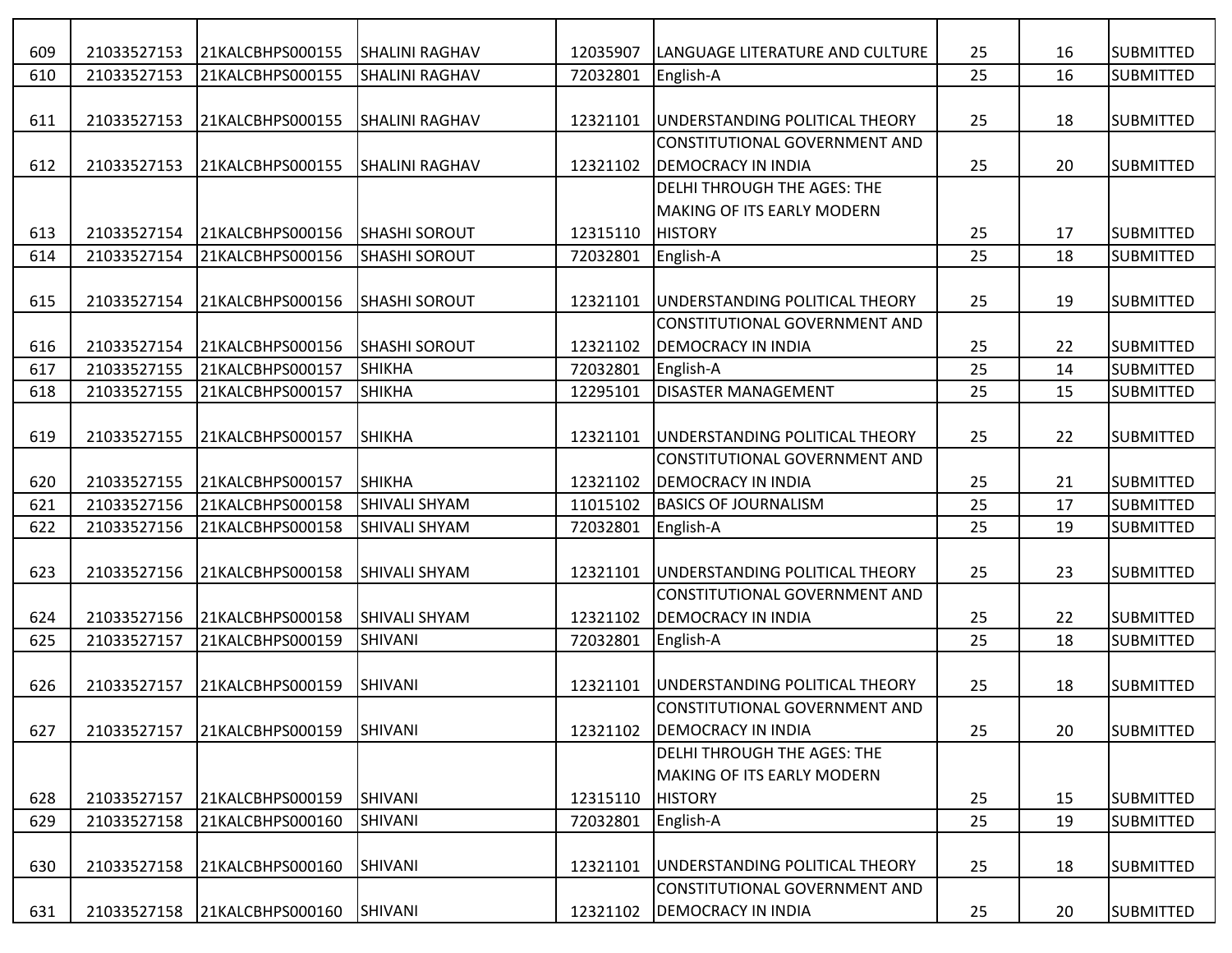| 609 | 21033527153 | 21KALCBHPS000155 | <b>SHALINI RAGHAV</b> | 12035907 | LANGUAGE LITERATURE AND CULTURE    | 25 | 16 | <b>SUBMITTED</b> |
|-----|-------------|------------------|-----------------------|----------|------------------------------------|----|----|------------------|
| 610 | 21033527153 | 21KALCBHPS000155 | <b>SHALINI RAGHAV</b> | 72032801 | English-A                          | 25 | 16 | <b>SUBMITTED</b> |
|     |             |                  |                       |          |                                    |    |    |                  |
| 611 | 21033527153 | 21KALCBHPS000155 | <b>SHALINI RAGHAV</b> | 12321101 | UNDERSTANDING POLITICAL THEORY     | 25 | 18 | <b>SUBMITTED</b> |
|     |             |                  |                       |          | CONSTITUTIONAL GOVERNMENT AND      |    |    |                  |
| 612 | 21033527153 | 21KALCBHPS000155 | <b>SHALINI RAGHAV</b> | 12321102 | <b>DEMOCRACY IN INDIA</b>          | 25 | 20 | <b>SUBMITTED</b> |
|     |             |                  |                       |          | <b>DELHI THROUGH THE AGES: THE</b> |    |    |                  |
|     |             |                  |                       |          | MAKING OF ITS EARLY MODERN         |    |    |                  |
| 613 | 21033527154 | 21KALCBHPS000156 | <b>SHASHI SOROUT</b>  | 12315110 | <b>HISTORY</b>                     | 25 | 17 | <b>SUBMITTED</b> |
| 614 | 21033527154 | 21KALCBHPS000156 | <b>SHASHI SOROUT</b>  | 72032801 | English-A                          | 25 | 18 | <b>SUBMITTED</b> |
|     |             |                  |                       |          |                                    |    |    |                  |
| 615 | 21033527154 | 21KALCBHPS000156 | <b>SHASHI SOROUT</b>  | 12321101 | UNDERSTANDING POLITICAL THEORY     | 25 | 19 | <b>SUBMITTED</b> |
|     |             |                  |                       |          | CONSTITUTIONAL GOVERNMENT AND      |    |    |                  |
| 616 | 21033527154 | 21KALCBHPS000156 | <b>SHASHI SOROUT</b>  | 12321102 | <b>DEMOCRACY IN INDIA</b>          | 25 | 22 | <b>SUBMITTED</b> |
| 617 | 21033527155 | 21KALCBHPS000157 | SHIKHA                | 72032801 | English-A                          | 25 | 14 | <b>SUBMITTED</b> |
| 618 | 21033527155 | 21KALCBHPS000157 | <b>SHIKHA</b>         | 12295101 | <b>DISASTER MANAGEMENT</b>         | 25 | 15 | <b>SUBMITTED</b> |
|     |             |                  |                       |          |                                    |    |    |                  |
| 619 | 21033527155 | 21KALCBHPS000157 | SHIKHA                | 12321101 | UNDERSTANDING POLITICAL THEORY     | 25 | 22 | <b>SUBMITTED</b> |
|     |             |                  |                       |          | CONSTITUTIONAL GOVERNMENT AND      |    |    |                  |
| 620 | 21033527155 | 21KALCBHPS000157 | <b>SHIKHA</b>         | 12321102 | <b>DEMOCRACY IN INDIA</b>          | 25 | 21 | <b>SUBMITTED</b> |
| 621 | 21033527156 | 21KALCBHPS000158 | <b>SHIVALI SHYAM</b>  | 11015102 | <b>BASICS OF JOURNALISM</b>        | 25 | 17 | <b>SUBMITTED</b> |
| 622 | 21033527156 | 21KALCBHPS000158 | <b>SHIVALI SHYAM</b>  | 72032801 | English-A                          | 25 | 19 | <b>SUBMITTED</b> |
|     |             |                  |                       |          |                                    |    |    |                  |
| 623 | 21033527156 | 21KALCBHPS000158 | <b>SHIVALI SHYAM</b>  | 12321101 | UNDERSTANDING POLITICAL THEORY     | 25 | 23 | <b>SUBMITTED</b> |
|     |             |                  |                       |          | CONSTITUTIONAL GOVERNMENT AND      |    |    |                  |
| 624 | 21033527156 | 21KALCBHPS000158 | <b>SHIVALI SHYAM</b>  | 12321102 | <b>DEMOCRACY IN INDIA</b>          | 25 | 22 | <b>SUBMITTED</b> |
| 625 | 21033527157 | 21KALCBHPS000159 | SHIVANI               | 72032801 | English-A                          | 25 | 18 | <b>SUBMITTED</b> |
|     |             |                  |                       |          |                                    |    |    |                  |
| 626 | 21033527157 | 21KALCBHPS000159 | <b>SHIVANI</b>        | 12321101 | UNDERSTANDING POLITICAL THEORY     | 25 | 18 | <b>SUBMITTED</b> |
|     |             |                  |                       |          | CONSTITUTIONAL GOVERNMENT AND      |    |    |                  |
| 627 | 21033527157 | 21KALCBHPS000159 | <b>SHIVANI</b>        | 12321102 | <b>DEMOCRACY IN INDIA</b>          | 25 | 20 | <b>SUBMITTED</b> |
|     |             |                  |                       |          | <b>DELHI THROUGH THE AGES: THE</b> |    |    |                  |
|     |             |                  |                       |          | <b>MAKING OF ITS EARLY MODERN</b>  |    |    |                  |
| 628 | 21033527157 | 21KALCBHPS000159 | <b>SHIVANI</b>        | 12315110 | <b>HISTORY</b>                     | 25 | 15 | <b>SUBMITTED</b> |
| 629 | 21033527158 | 21KALCBHPS000160 | SHIVANI               | 72032801 | English-A                          | 25 | 19 | <b>SUBMITTED</b> |
|     |             |                  |                       |          |                                    |    |    |                  |
| 630 | 21033527158 | 21KALCBHPS000160 | SHIVANI               | 12321101 | UNDERSTANDING POLITICAL THEORY     | 25 | 18 | <b>SUBMITTED</b> |
|     |             |                  |                       |          | CONSTITUTIONAL GOVERNMENT AND      |    |    |                  |
| 631 | 21033527158 | 21KALCBHPS000160 | SHIVANI               | 12321102 | <b>DEMOCRACY IN INDIA</b>          | 25 | 20 | <b>SUBMITTED</b> |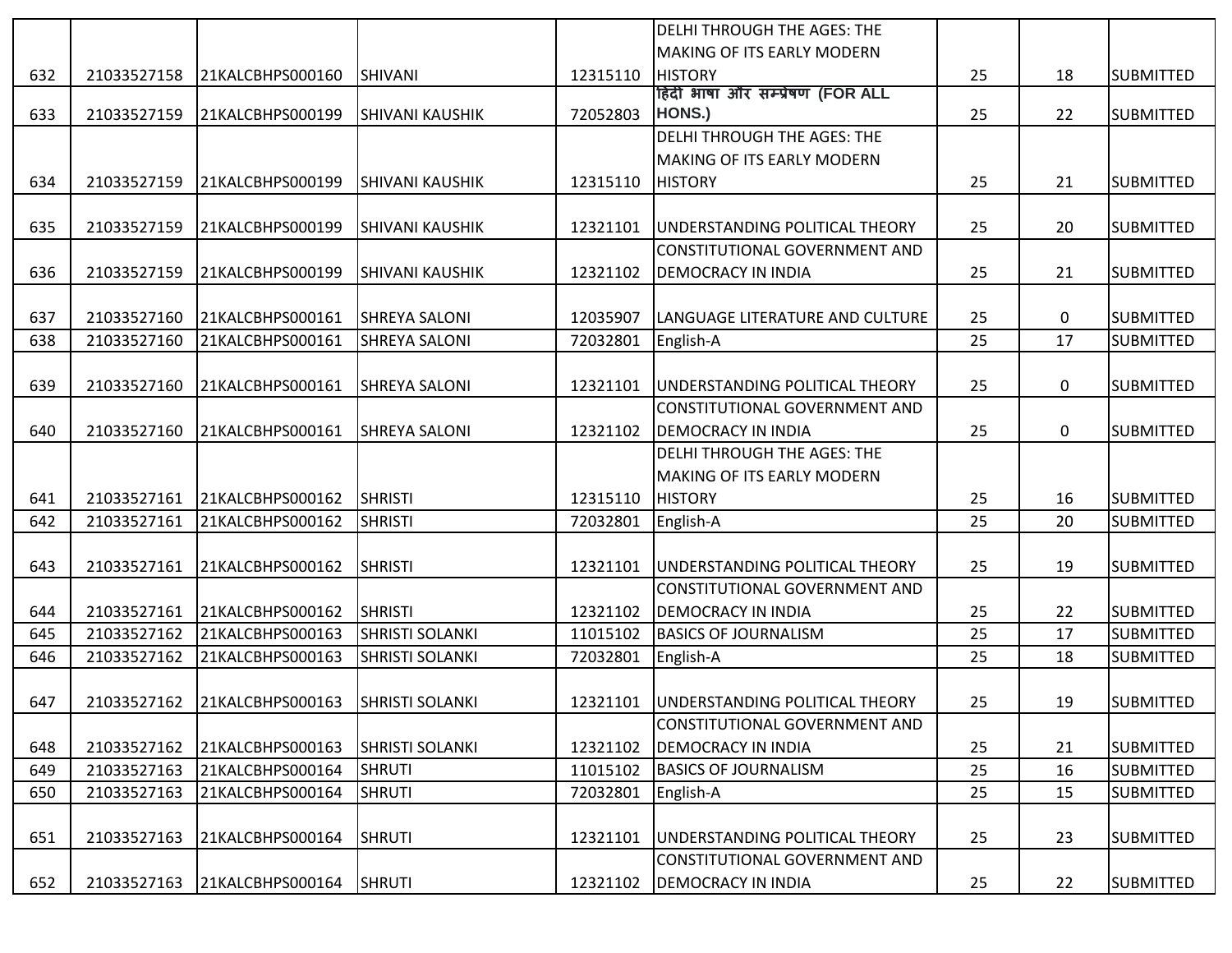|     |             |                  |                        |          | <b>DELHI THROUGH THE AGES: THE</b> |    |    |                  |
|-----|-------------|------------------|------------------------|----------|------------------------------------|----|----|------------------|
|     |             |                  |                        |          | <b>MAKING OF ITS EARLY MODERN</b>  |    |    |                  |
| 632 | 21033527158 | 21KALCBHPS000160 | <b>SHIVANI</b>         | 12315110 | <b>HISTORY</b>                     | 25 | 18 | <b>SUBMITTED</b> |
|     |             |                  |                        |          | हिंदी भाषा और सम्प्रेषण (FOR ALL   |    |    |                  |
| 633 | 21033527159 | 21KALCBHPS000199 | <b>SHIVANI KAUSHIK</b> | 72052803 | HONS.)                             | 25 | 22 | <b>SUBMITTED</b> |
|     |             |                  |                        |          | <b>DELHI THROUGH THE AGES: THE</b> |    |    |                  |
|     |             |                  |                        |          | <b>MAKING OF ITS EARLY MODERN</b>  |    |    |                  |
| 634 | 21033527159 | 21KALCBHPS000199 | <b>SHIVANI KAUSHIK</b> | 12315110 | <b>HISTORY</b>                     | 25 | 21 | <b>SUBMITTED</b> |
|     |             |                  |                        |          |                                    |    |    |                  |
| 635 | 21033527159 | 21KALCBHPS000199 | <b>SHIVANI KAUSHIK</b> | 12321101 | UNDERSTANDING POLITICAL THEORY     | 25 | 20 | <b>SUBMITTED</b> |
|     |             |                  |                        |          | CONSTITUTIONAL GOVERNMENT AND      |    |    |                  |
| 636 | 21033527159 | 21KALCBHPS000199 | <b>SHIVANI KAUSHIK</b> | 12321102 | <b>DEMOCRACY IN INDIA</b>          | 25 | 21 | <b>SUBMITTED</b> |
|     |             |                  |                        |          |                                    |    |    |                  |
| 637 | 21033527160 | 21KALCBHPS000161 | <b>SHREYA SALONI</b>   | 12035907 | LANGUAGE LITERATURE AND CULTURE    | 25 | 0  | <b>SUBMITTED</b> |
| 638 | 21033527160 | 21KALCBHPS000161 | <b>SHREYA SALONI</b>   | 72032801 | English-A                          | 25 | 17 | <b>SUBMITTED</b> |
|     |             |                  |                        |          |                                    |    |    |                  |
| 639 | 21033527160 | 21KALCBHPS000161 | <b>SHREYA SALONI</b>   | 12321101 | UNDERSTANDING POLITICAL THEORY     | 25 | 0  | <b>SUBMITTED</b> |
|     |             |                  |                        |          | CONSTITUTIONAL GOVERNMENT AND      |    |    |                  |
| 640 | 21033527160 | 21KALCBHPS000161 | <b>SHREYA SALONI</b>   | 12321102 | <b>DEMOCRACY IN INDIA</b>          | 25 | 0  | <b>SUBMITTED</b> |
|     |             |                  |                        |          | <b>DELHI THROUGH THE AGES: THE</b> |    |    |                  |
|     |             |                  |                        |          | <b>MAKING OF ITS EARLY MODERN</b>  |    |    |                  |
| 641 | 21033527161 | 21KALCBHPS000162 | SHRISTI                | 12315110 | <b>HISTORY</b>                     | 25 | 16 | <b>SUBMITTED</b> |
| 642 | 21033527161 | 21KALCBHPS000162 | <b>SHRISTI</b>         | 72032801 | English-A                          | 25 | 20 | <b>SUBMITTED</b> |
|     |             |                  |                        |          |                                    |    |    |                  |
| 643 | 21033527161 | 21KALCBHPS000162 | SHRISTI                | 12321101 | UNDERSTANDING POLITICAL THEORY     | 25 | 19 | <b>SUBMITTED</b> |
|     |             |                  |                        |          | CONSTITUTIONAL GOVERNMENT AND      |    |    |                  |
| 644 | 21033527161 | 21KALCBHPS000162 | <b>SHRISTI</b>         | 12321102 | <b>DEMOCRACY IN INDIA</b>          | 25 | 22 | <b>SUBMITTED</b> |
| 645 | 21033527162 | 21KALCBHPS000163 | <b>SHRISTI SOLANKI</b> | 11015102 | <b>BASICS OF JOURNALISM</b>        | 25 | 17 | <b>SUBMITTED</b> |
| 646 | 21033527162 | 21KALCBHPS000163 | <b>SHRISTI SOLANKI</b> | 72032801 | English-A                          | 25 | 18 | <b>SUBMITTED</b> |
|     |             |                  |                        |          |                                    |    |    |                  |
| 647 | 21033527162 | 21KALCBHPS000163 | <b>SHRISTI SOLANKI</b> | 12321101 | UNDERSTANDING POLITICAL THEORY     | 25 | 19 | <b>SUBMITTED</b> |
|     |             |                  |                        |          | CONSTITUTIONAL GOVERNMENT AND      |    |    |                  |
| 648 | 21033527162 | 21KALCBHPS000163 | <b>SHRISTI SOLANKI</b> | 12321102 | <b>DEMOCRACY IN INDIA</b>          | 25 | 21 | <b>SUBMITTED</b> |
| 649 | 21033527163 | 21KALCBHPS000164 | <b>SHRUTI</b>          | 11015102 | <b>BASICS OF JOURNALISM</b>        | 25 | 16 | <b>SUBMITTED</b> |
| 650 | 21033527163 | 21KALCBHPS000164 | <b>SHRUTI</b>          | 72032801 | English-A                          | 25 | 15 | <b>SUBMITTED</b> |
|     |             |                  |                        |          |                                    |    |    |                  |
| 651 | 21033527163 | 21KALCBHPS000164 | <b>SHRUTI</b>          | 12321101 | UNDERSTANDING POLITICAL THEORY     | 25 | 23 | <b>SUBMITTED</b> |
|     |             |                  |                        |          | CONSTITUTIONAL GOVERNMENT AND      |    |    |                  |
| 652 | 21033527163 | 21KALCBHPS000164 | SHRUTI                 | 12321102 | <b>DEMOCRACY IN INDIA</b>          | 25 | 22 | <b>SUBMITTED</b> |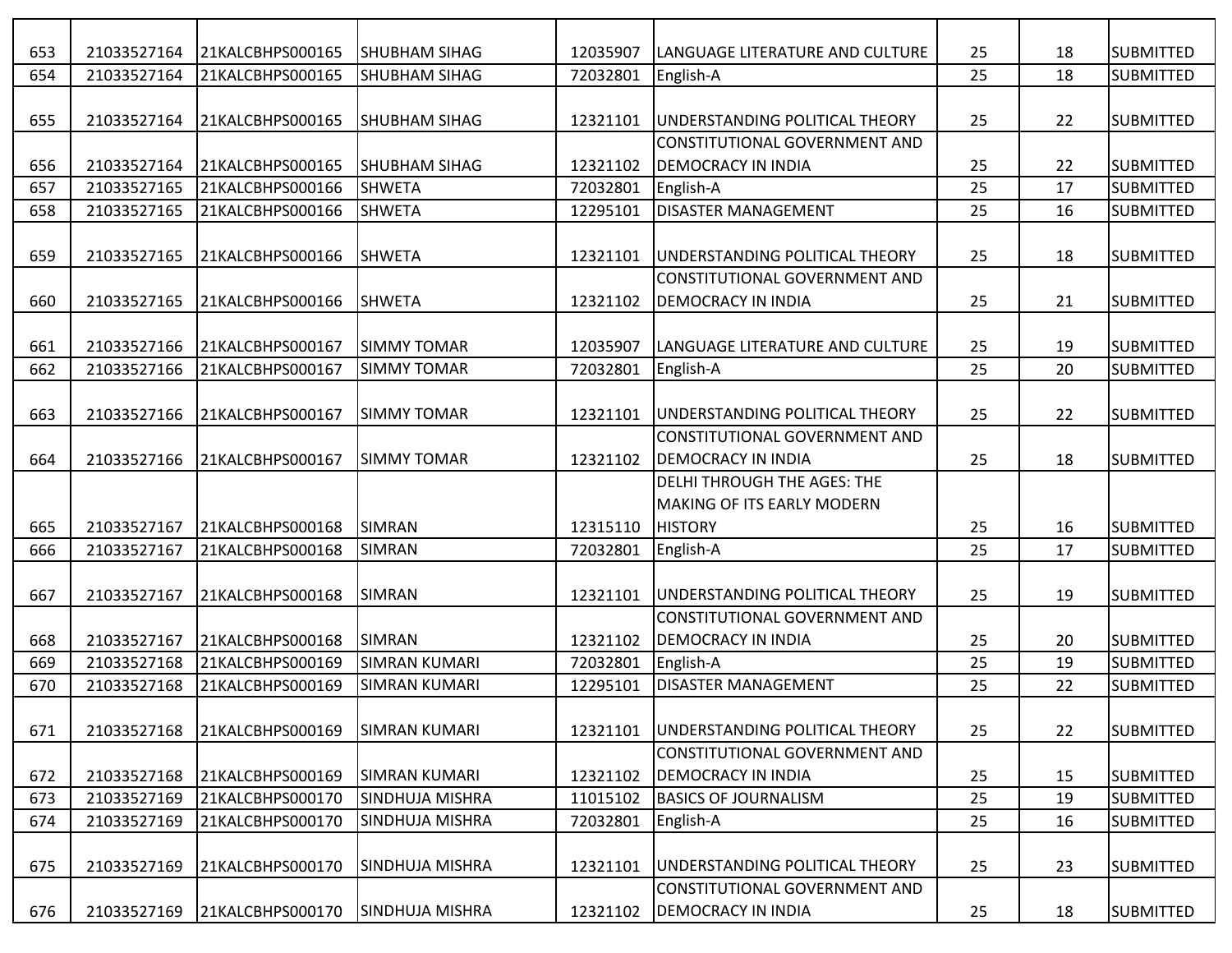| 653 | 21033527164 | 21KALCBHPS000165 | <b>ISHUBHAM SIHAG</b>  | 12035907 | <b>ILANGUAGE LITERATURE AND CULTURE</b> | 25 | 18 | <b>SUBMITTED</b> |
|-----|-------------|------------------|------------------------|----------|-----------------------------------------|----|----|------------------|
| 654 | 21033527164 | 21KALCBHPS000165 | <b>SHUBHAM SIHAG</b>   | 72032801 | English-A                               | 25 | 18 | <b>SUBMITTED</b> |
|     |             |                  |                        |          |                                         |    |    |                  |
| 655 | 21033527164 | 21KALCBHPS000165 | <b>SHUBHAM SIHAG</b>   | 12321101 | UNDERSTANDING POLITICAL THEORY          | 25 | 22 | <b>SUBMITTED</b> |
|     |             |                  |                        |          | CONSTITUTIONAL GOVERNMENT AND           |    |    |                  |
| 656 | 21033527164 | 21KALCBHPS000165 | <b>ISHUBHAM SIHAG</b>  | 12321102 | <b>DEMOCRACY IN INDIA</b>               | 25 | 22 | <b>SUBMITTED</b> |
| 657 | 21033527165 | 21KALCBHPS000166 | <b>SHWETA</b>          | 72032801 | English-A                               | 25 | 17 | <b>SUBMITTED</b> |
| 658 | 21033527165 | 21KALCBHPS000166 | <b>SHWETA</b>          | 12295101 | <b>DISASTER MANAGEMENT</b>              | 25 | 16 | <b>SUBMITTED</b> |
|     |             |                  |                        |          |                                         |    |    |                  |
| 659 | 21033527165 | 21KALCBHPS000166 | <b>SHWETA</b>          | 12321101 | UNDERSTANDING POLITICAL THEORY          | 25 | 18 | <b>SUBMITTED</b> |
|     |             |                  |                        |          | CONSTITUTIONAL GOVERNMENT AND           |    |    |                  |
| 660 | 21033527165 | 21KALCBHPS000166 | <b>SHWETA</b>          | 12321102 | <b>DEMOCRACY IN INDIA</b>               | 25 | 21 | <b>SUBMITTED</b> |
|     |             |                  |                        |          |                                         |    |    |                  |
| 661 | 21033527166 | 21KALCBHPS000167 | <b>SIMMY TOMAR</b>     | 12035907 | LANGUAGE LITERATURE AND CULTURE         | 25 | 19 | <b>SUBMITTED</b> |
| 662 | 21033527166 | 21KALCBHPS000167 | <b>SIMMY TOMAR</b>     | 72032801 | English-A                               | 25 | 20 | <b>SUBMITTED</b> |
|     |             |                  |                        |          |                                         |    |    |                  |
| 663 | 21033527166 | 21KALCBHPS000167 | <b>SIMMY TOMAR</b>     | 12321101 | UNDERSTANDING POLITICAL THEORY          | 25 | 22 | <b>SUBMITTED</b> |
|     |             |                  |                        |          | CONSTITUTIONAL GOVERNMENT AND           |    |    |                  |
| 664 | 21033527166 | 21KALCBHPS000167 | <b>SIMMY TOMAR</b>     | 12321102 | <b>DEMOCRACY IN INDIA</b>               | 25 | 18 | <b>SUBMITTED</b> |
|     |             |                  |                        |          | <b>DELHI THROUGH THE AGES: THE</b>      |    |    |                  |
|     |             |                  |                        |          | <b>MAKING OF ITS EARLY MODERN</b>       |    |    |                  |
| 665 | 21033527167 | 21KALCBHPS000168 | <b>SIMRAN</b>          | 12315110 | <b>HISTORY</b>                          | 25 | 16 | <b>SUBMITTED</b> |
| 666 | 21033527167 | 21KALCBHPS000168 | <b>SIMRAN</b>          | 72032801 | English-A                               | 25 | 17 | <b>SUBMITTED</b> |
|     |             |                  |                        |          |                                         |    |    |                  |
| 667 | 21033527167 | 21KALCBHPS000168 | <b>SIMRAN</b>          | 12321101 | UNDERSTANDING POLITICAL THEORY          | 25 | 19 | <b>SUBMITTED</b> |
|     |             |                  |                        |          | CONSTITUTIONAL GOVERNMENT AND           |    |    |                  |
| 668 | 21033527167 | 21KALCBHPS000168 | SIMRAN                 | 12321102 | <b>DEMOCRACY IN INDIA</b>               | 25 | 20 | <b>SUBMITTED</b> |
| 669 | 21033527168 | 21KALCBHPS000169 | <b>SIMRAN KUMARI</b>   | 72032801 | English-A                               | 25 | 19 | <b>SUBMITTED</b> |
| 670 | 21033527168 | 21KALCBHPS000169 | <b>SIMRAN KUMARI</b>   | 12295101 | <b>DISASTER MANAGEMENT</b>              | 25 | 22 | <b>SUBMITTED</b> |
|     |             |                  |                        |          |                                         |    |    |                  |
| 671 | 21033527168 | 21KALCBHPS000169 | <b>SIMRAN KUMARI</b>   | 12321101 | UNDERSTANDING POLITICAL THEORY          | 25 | 22 | <b>SUBMITTED</b> |
|     |             |                  |                        |          | CONSTITUTIONAL GOVERNMENT AND           |    |    |                  |
| 672 | 21033527168 | 21KALCBHPS000169 | SIMRAN KUMARI          | 12321102 | <b>DEMOCRACY IN INDIA</b>               | 25 | 15 | <b>SUBMITTED</b> |
| 673 | 21033527169 | 21KALCBHPS000170 | <b>SINDHUJA MISHRA</b> | 11015102 | <b>BASICS OF JOURNALISM</b>             | 25 | 19 | <b>SUBMITTED</b> |
| 674 | 21033527169 | 21KALCBHPS000170 | <b>SINDHUJA MISHRA</b> | 72032801 | English-A                               | 25 | 16 | <b>SUBMITTED</b> |
|     |             |                  |                        |          |                                         |    |    |                  |
| 675 | 21033527169 | 21KALCBHPS000170 | SINDHUJA MISHRA        | 12321101 | <b>JUNDERSTANDING POLITICAL THEORY</b>  | 25 | 23 | <b>SUBMITTED</b> |
|     |             |                  |                        |          | CONSTITUTIONAL GOVERNMENT AND           |    |    |                  |
| 676 | 21033527169 | 21KALCBHPS000170 | <b>SINDHUJA MISHRA</b> | 12321102 | <b>DEMOCRACY IN INDIA</b>               | 25 | 18 | <b>SUBMITTED</b> |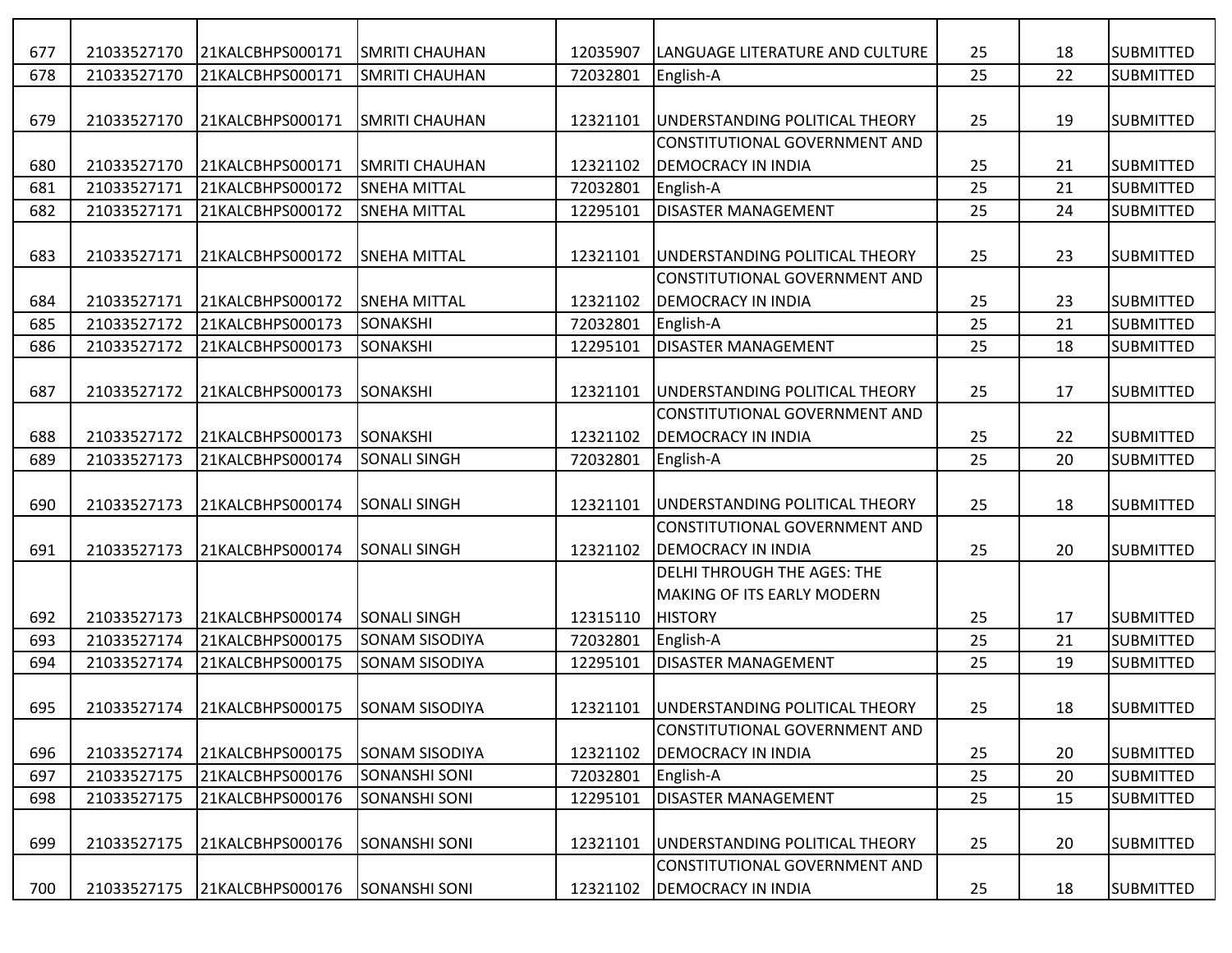| 677 | 21033527170 | 21KALCBHPS000171             | <b>SMRITI CHAUHAN</b> | 12035907 | LANGUAGE LITERATURE AND CULTURE    | 25 | 18 | <b>SUBMITTED</b> |
|-----|-------------|------------------------------|-----------------------|----------|------------------------------------|----|----|------------------|
| 678 | 21033527170 | 21KALCBHPS000171             | <b>SMRITI CHAUHAN</b> | 72032801 | English-A                          | 25 | 22 | <b>SUBMITTED</b> |
|     |             |                              |                       |          |                                    |    |    |                  |
| 679 | 21033527170 | 21KALCBHPS000171             | <b>SMRITI CHAUHAN</b> | 12321101 | UNDERSTANDING POLITICAL THEORY     | 25 | 19 | <b>SUBMITTED</b> |
|     |             |                              |                       |          | CONSTITUTIONAL GOVERNMENT AND      |    |    |                  |
| 680 | 21033527170 | 21KALCBHPS000171             | <b>SMRITI CHAUHAN</b> | 12321102 | <b>DEMOCRACY IN INDIA</b>          | 25 | 21 | <b>SUBMITTED</b> |
| 681 | 21033527171 | 21KALCBHPS000172             | <b>SNEHA MITTAL</b>   | 72032801 | English-A                          | 25 | 21 | <b>SUBMITTED</b> |
| 682 | 21033527171 | 21KALCBHPS000172             | <b>SNEHA MITTAL</b>   | 12295101 | <b>DISASTER MANAGEMENT</b>         | 25 | 24 | <b>SUBMITTED</b> |
|     |             |                              |                       |          |                                    |    |    |                  |
| 683 |             | 21033527171 21KALCBHPS000172 | <b>SNEHA MITTAL</b>   | 12321101 | UNDERSTANDING POLITICAL THEORY     | 25 | 23 | <b>SUBMITTED</b> |
|     |             |                              |                       |          | CONSTITUTIONAL GOVERNMENT AND      |    |    |                  |
| 684 | 21033527171 | 21KALCBHPS000172             | <b>SNEHA MITTAL</b>   | 12321102 | DEMOCRACY IN INDIA                 | 25 | 23 | <b>SUBMITTED</b> |
| 685 | 21033527172 | 21KALCBHPS000173             | SONAKSHI              | 72032801 | English-A                          | 25 | 21 | <b>SUBMITTED</b> |
| 686 | 21033527172 | 21KALCBHPS000173             | SONAKSHI              | 12295101 | <b>DISASTER MANAGEMENT</b>         | 25 | 18 | <b>SUBMITTED</b> |
|     |             |                              |                       |          |                                    |    |    |                  |
| 687 | 21033527172 | 21KALCBHPS000173             | SONAKSHI              | 12321101 | UNDERSTANDING POLITICAL THEORY     | 25 | 17 | <b>SUBMITTED</b> |
|     |             |                              |                       |          | CONSTITUTIONAL GOVERNMENT AND      |    |    |                  |
| 688 | 21033527172 | 21KALCBHPS000173             | SONAKSHI              | 12321102 | <b>DEMOCRACY IN INDIA</b>          | 25 | 22 | <b>SUBMITTED</b> |
| 689 | 21033527173 | 21KALCBHPS000174             | <b>SONALI SINGH</b>   | 72032801 | English-A                          | 25 | 20 | <b>SUBMITTED</b> |
|     |             |                              |                       |          |                                    |    |    |                  |
| 690 | 21033527173 | 21KALCBHPS000174             | <b>SONALI SINGH</b>   | 12321101 | UNDERSTANDING POLITICAL THEORY     | 25 | 18 | <b>SUBMITTED</b> |
|     |             |                              |                       |          | CONSTITUTIONAL GOVERNMENT AND      |    |    |                  |
| 691 | 21033527173 | 21KALCBHPS000174             | <b>SONALI SINGH</b>   | 12321102 | <b>DEMOCRACY IN INDIA</b>          | 25 | 20 | <b>SUBMITTED</b> |
|     |             |                              |                       |          | <b>DELHI THROUGH THE AGES: THE</b> |    |    |                  |
|     |             |                              |                       |          | MAKING OF ITS EARLY MODERN         |    |    |                  |
| 692 | 21033527173 | 21KALCBHPS000174             | <b>SONALI SINGH</b>   | 12315110 | <b>HISTORY</b>                     | 25 | 17 | <b>SUBMITTED</b> |
| 693 | 21033527174 | 21KALCBHPS000175             | SONAM SISODIYA        | 72032801 | English-A                          | 25 | 21 | <b>SUBMITTED</b> |
| 694 | 21033527174 | 21KALCBHPS000175             | SONAM SISODIYA        | 12295101 | <b>DISASTER MANAGEMENT</b>         | 25 | 19 | <b>SUBMITTED</b> |
|     |             |                              |                       |          |                                    |    |    |                  |
| 695 |             | 21033527174 21KALCBHPS000175 | <b>SONAM SISODIYA</b> | 12321101 | UNDERSTANDING POLITICAL THEORY     | 25 | 18 | <b>SUBMITTED</b> |
|     |             |                              |                       |          | CONSTITUTIONAL GOVERNMENT AND      |    |    |                  |
| 696 | 21033527174 | 21KALCBHPS000175             | <b>SONAM SISODIYA</b> | 12321102 | <b>DEMOCRACY IN INDIA</b>          | 25 | 20 | <b>SUBMITTED</b> |
| 697 | 21033527175 | 21KALCBHPS000176             | <b>SONANSHI SONI</b>  | 72032801 | English-A                          | 25 | 20 | <b>SUBMITTED</b> |
| 698 | 21033527175 | 21KALCBHPS000176             | <b>SONANSHI SONI</b>  | 12295101 | <b>DISASTER MANAGEMENT</b>         | 25 | 15 | <b>SUBMITTED</b> |
|     |             |                              |                       |          |                                    |    |    |                  |
| 699 | 21033527175 | 21KALCBHPS000176             | <b>SONANSHI SONI</b>  | 12321101 | UNDERSTANDING POLITICAL THEORY     | 25 | 20 | <b>SUBMITTED</b> |
|     |             |                              |                       |          | CONSTITUTIONAL GOVERNMENT AND      |    |    |                  |
| 700 | 21033527175 | 21KALCBHPS000176             | <b>SONANSHI SONI</b>  | 12321102 | <b>DEMOCRACY IN INDIA</b>          | 25 | 18 | <b>SUBMITTED</b> |
|     |             |                              |                       |          |                                    |    |    |                  |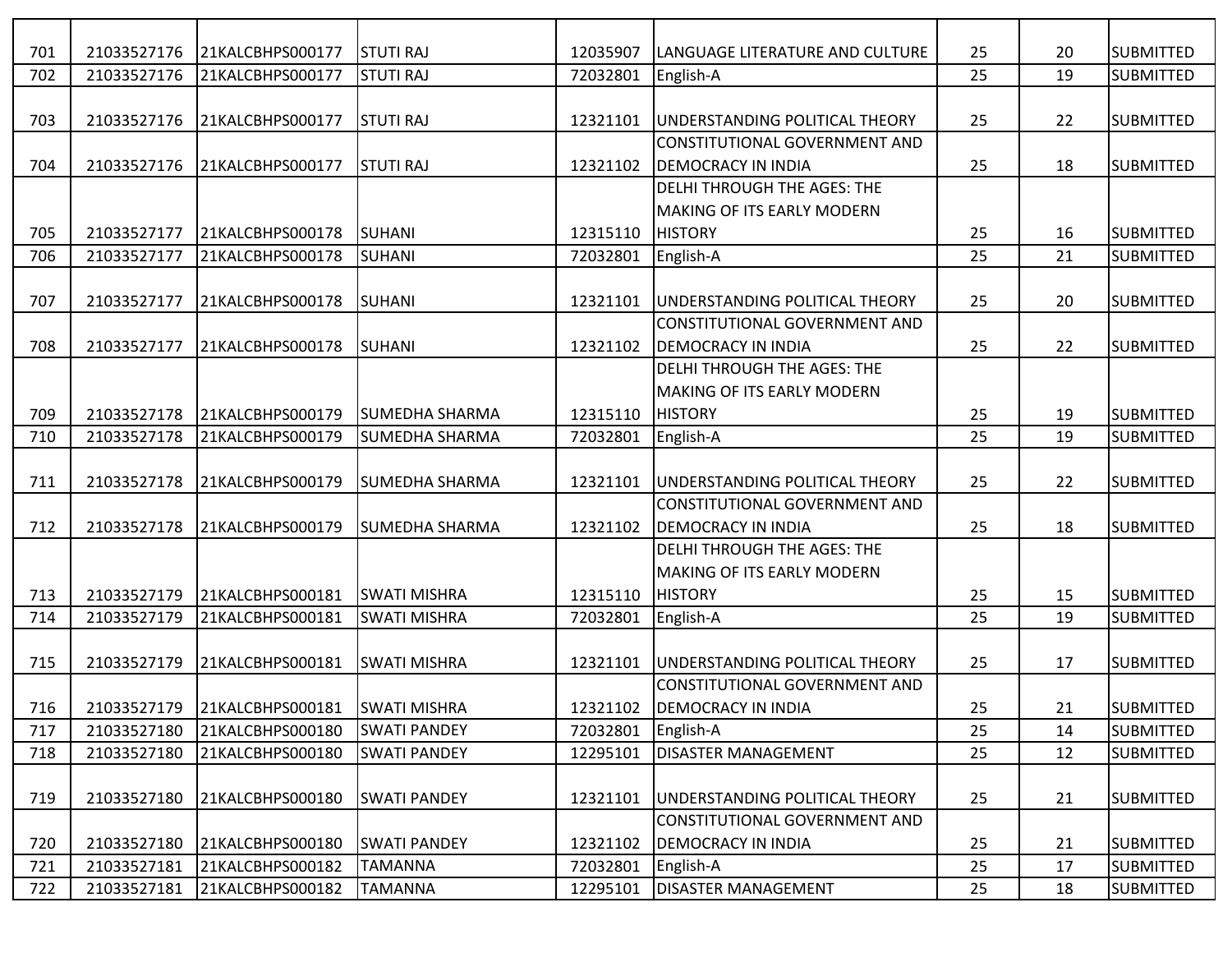| 701 | 21033527176 | 21KALCBHPS000177 | <b>STUTI RAJ</b>      | 12035907 | LANGUAGE LITERATURE AND CULTURE        | 25 | 20 | <b>SUBMITTED</b> |
|-----|-------------|------------------|-----------------------|----------|----------------------------------------|----|----|------------------|
| 702 | 21033527176 | 21KALCBHPS000177 | <b>STUTI RAJ</b>      | 72032801 | English-A                              | 25 | 19 | <b>SUBMITTED</b> |
|     |             |                  |                       |          |                                        |    |    |                  |
| 703 | 21033527176 | 21KALCBHPS000177 | <b>STUTI RAJ</b>      | 12321101 | UNDERSTANDING POLITICAL THEORY         | 25 | 22 | <b>SUBMITTED</b> |
|     |             |                  |                       |          | CONSTITUTIONAL GOVERNMENT AND          |    |    |                  |
| 704 | 21033527176 | 21KALCBHPS000177 | <b>STUTI RAJ</b>      | 12321102 | <b>DEMOCRACY IN INDIA</b>              | 25 | 18 | <b>SUBMITTED</b> |
|     |             |                  |                       |          | <b>DELHI THROUGH THE AGES: THE</b>     |    |    |                  |
|     |             |                  |                       |          | <b>MAKING OF ITS EARLY MODERN</b>      |    |    |                  |
| 705 | 21033527177 | 21KALCBHPS000178 | SUHANI                | 12315110 | <b>HISTORY</b>                         | 25 | 16 | <b>SUBMITTED</b> |
| 706 | 21033527177 | 21KALCBHPS000178 | SUHANI                | 72032801 | English-A                              | 25 | 21 | <b>SUBMITTED</b> |
|     |             |                  |                       |          |                                        |    |    |                  |
| 707 | 21033527177 | 21KALCBHPS000178 | ISUHANI               | 12321101 | UNDERSTANDING POLITICAL THEORY         | 25 | 20 | <b>SUBMITTED</b> |
|     |             |                  |                       |          | CONSTITUTIONAL GOVERNMENT AND          |    |    |                  |
| 708 | 21033527177 | 21KALCBHPS000178 | SUHANI                | 12321102 | <b>DEMOCRACY IN INDIA</b>              | 25 | 22 | <b>SUBMITTED</b> |
|     |             |                  |                       |          | <b>DELHI THROUGH THE AGES: THE</b>     |    |    |                  |
|     |             |                  |                       |          | MAKING OF ITS EARLY MODERN             |    |    |                  |
| 709 | 21033527178 | 21KALCBHPS000179 | SUMEDHA SHARMA        | 12315110 | <b>HISTORY</b>                         | 25 | 19 | <b>SUBMITTED</b> |
| 710 | 21033527178 | 21KALCBHPS000179 | <b>SUMEDHA SHARMA</b> | 72032801 | English-A                              | 25 | 19 | <b>SUBMITTED</b> |
|     |             |                  |                       |          |                                        |    |    |                  |
| 711 | 21033527178 | 21KALCBHPS000179 | SUMEDHA SHARMA        | 12321101 | UNDERSTANDING POLITICAL THEORY         | 25 | 22 | <b>SUBMITTED</b> |
|     |             |                  |                       |          | CONSTITUTIONAL GOVERNMENT AND          |    |    |                  |
| 712 | 21033527178 | 21KALCBHPS000179 | SUMEDHA SHARMA        | 12321102 | <b>DEMOCRACY IN INDIA</b>              | 25 | 18 | <b>SUBMITTED</b> |
|     |             |                  |                       |          | <b>DELHI THROUGH THE AGES: THE</b>     |    |    |                  |
|     |             |                  |                       |          | MAKING OF ITS EARLY MODERN             |    |    |                  |
| 713 | 21033527179 | 21KALCBHPS000181 | <b>SWATI MISHRA</b>   | 12315110 | <b>HISTORY</b>                         | 25 | 15 | <b>SUBMITTED</b> |
| 714 | 21033527179 | 21KALCBHPS000181 | <b>SWATI MISHRA</b>   | 72032801 | English-A                              | 25 | 19 | <b>SUBMITTED</b> |
|     |             |                  |                       |          |                                        |    |    |                  |
| 715 | 21033527179 | 21KALCBHPS000181 | <b>SWATI MISHRA</b>   | 12321101 | <b>JUNDERSTANDING POLITICAL THEORY</b> | 25 | 17 | <b>SUBMITTED</b> |
|     |             |                  |                       |          | CONSTITUTIONAL GOVERNMENT AND          |    |    |                  |
| 716 | 21033527179 | 21KALCBHPS000181 | <b>SWATI MISHRA</b>   | 12321102 | <b>DEMOCRACY IN INDIA</b>              | 25 | 21 | <b>SUBMITTED</b> |
| 717 | 21033527180 | 21KALCBHPS000180 | <b>SWATI PANDEY</b>   | 72032801 | English-A                              | 25 | 14 | <b>SUBMITTED</b> |
| 718 | 21033527180 | 21KALCBHPS000180 | <b>SWATI PANDEY</b>   | 12295101 | <b>DISASTER MANAGEMENT</b>             | 25 | 12 | <b>SUBMITTED</b> |
|     |             |                  |                       |          |                                        |    |    |                  |
| 719 | 21033527180 | 21KALCBHPS000180 | <b>SWATI PANDEY</b>   | 12321101 | UNDERSTANDING POLITICAL THEORY         | 25 | 21 | <b>SUBMITTED</b> |
|     |             |                  |                       |          | CONSTITUTIONAL GOVERNMENT AND          |    |    |                  |
| 720 | 21033527180 | 21KALCBHPS000180 | <b>SWATI PANDEY</b>   | 12321102 | <b>DEMOCRACY IN INDIA</b>              | 25 | 21 | <b>SUBMITTED</b> |
| 721 | 21033527181 | 21KALCBHPS000182 | <b>TAMANNA</b>        | 72032801 | English-A                              | 25 | 17 | <b>SUBMITTED</b> |
| 722 | 21033527181 | 21KALCBHPS000182 | <b>TAMANNA</b>        | 12295101 | <b>DISASTER MANAGEMENT</b>             | 25 | 18 | <b>SUBMITTED</b> |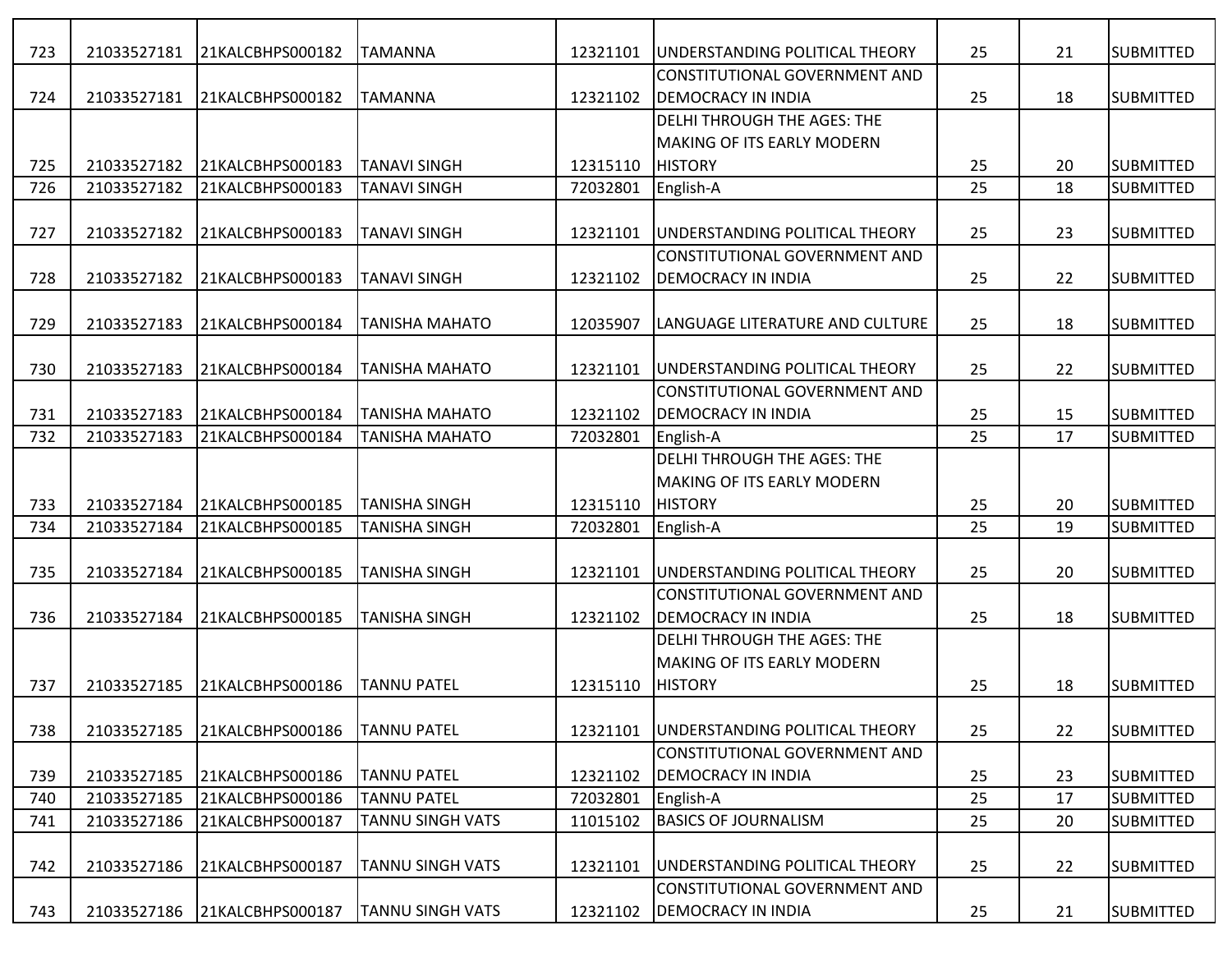| 723 | 21033527181 | 21KALCBHPS000182 | <b>TAMANNA</b>          | 12321101 | UNDERSTANDING POLITICAL THEORY                      | 25 | 21 | <b>SUBMITTED</b>  |
|-----|-------------|------------------|-------------------------|----------|-----------------------------------------------------|----|----|-------------------|
|     |             |                  |                         |          | CONSTITUTIONAL GOVERNMENT AND                       |    |    |                   |
| 724 | 21033527181 | 21KALCBHPS000182 | <b>ITAMANNA</b>         | 12321102 | <b>DEMOCRACY IN INDIA</b>                           | 25 | 18 | <b>SUBMITTED</b>  |
|     |             |                  |                         |          | <b>DELHI THROUGH THE AGES: THE</b>                  |    |    |                   |
|     |             |                  |                         |          | <b>MAKING OF ITS EARLY MODERN</b>                   |    |    |                   |
| 725 | 21033527182 | 21KALCBHPS000183 | <b>TANAVI SINGH</b>     | 12315110 | <b>HISTORY</b>                                      | 25 | 20 | <b>SUBMITTED</b>  |
| 726 | 21033527182 | 21KALCBHPS000183 | <b>TANAVI SINGH</b>     | 72032801 | English-A                                           | 25 | 18 | <b>SUBMITTED</b>  |
|     |             |                  |                         |          |                                                     |    |    |                   |
| 727 | 21033527182 | 21KALCBHPS000183 | <b>TANAVI SINGH</b>     | 12321101 | <b>JUNDERSTANDING POLITICAL THEORY</b>              | 25 | 23 | <b>SUBMITTED</b>  |
|     |             |                  |                         |          | <b>CONSTITUTIONAL GOVERNMENT AND</b>                |    |    |                   |
| 728 | 21033527182 | 21KALCBHPS000183 | <b>TANAVI SINGH</b>     | 12321102 | <b>DEMOCRACY IN INDIA</b>                           | 25 | 22 | <b>SUBMITTED</b>  |
|     |             |                  |                         |          |                                                     |    |    |                   |
| 729 | 21033527183 | 21KALCBHPS000184 | <b>TANISHA MAHATO</b>   | 12035907 | ILANGUAGE LITERATURE AND CULTURE                    | 25 | 18 | <b>SUBMITTED</b>  |
|     |             |                  |                         |          |                                                     |    |    |                   |
| 730 | 21033527183 | 21KALCBHPS000184 | TANISHA MAHATO          | 12321101 | <b>JUNDERSTANDING POLITICAL THEORY</b>              | 25 | 22 | <b>SUBMITTED</b>  |
|     |             |                  |                         |          | CONSTITUTIONAL GOVERNMENT AND                       |    |    |                   |
| 731 | 21033527183 | 21KALCBHPS000184 | <b>TANISHA MAHATO</b>   | 12321102 | <b>DEMOCRACY IN INDIA</b>                           | 25 | 15 | <b>SUBMITTED</b>  |
| 732 | 21033527183 | 21KALCBHPS000184 | <b>TANISHA MAHATO</b>   | 72032801 | English-A                                           | 25 | 17 | <b>SUBMITTED</b>  |
|     |             |                  |                         |          | <b>DELHI THROUGH THE AGES: THE</b>                  |    |    |                   |
|     |             |                  |                         |          | <b>MAKING OF ITS EARLY MODERN</b>                   |    |    |                   |
| 733 | 21033527184 | 21KALCBHPS000185 | <b>TANISHA SINGH</b>    | 12315110 | <b>HISTORY</b>                                      | 25 | 20 | <b>SUBMITTED</b>  |
| 734 | 21033527184 | 21KALCBHPS000185 | <b>TANISHA SINGH</b>    | 72032801 | English-A                                           | 25 | 19 | <b>SUBMITTED</b>  |
|     |             |                  |                         |          |                                                     |    |    |                   |
| 735 | 21033527184 | 21KALCBHPS000185 | <b>TANISHA SINGH</b>    | 12321101 | UNDERSTANDING POLITICAL THEORY                      | 25 | 20 | <b>SUBMITTED</b>  |
|     |             |                  |                         |          | CONSTITUTIONAL GOVERNMENT AND                       |    |    |                   |
| 736 | 21033527184 | 21KALCBHPS000185 | <b>TANISHA SINGH</b>    | 12321102 | <b>DEMOCRACY IN INDIA</b>                           | 25 | 18 | <b>SUBMITTED</b>  |
|     |             |                  |                         |          | <b>DELHI THROUGH THE AGES: THE</b>                  |    |    |                   |
|     |             |                  |                         | 12315110 | <b>MAKING OF ITS EARLY MODERN</b><br><b>HISTORY</b> |    | 18 | <b>ISUBMITTED</b> |
| 737 | 21033527185 | 21KALCBHPS000186 | <b>TANNU PATEL</b>      |          |                                                     | 25 |    |                   |
| 738 | 21033527185 | 21KALCBHPS000186 | <b>TANNU PATEL</b>      | 12321101 | UNDERSTANDING POLITICAL THEORY                      | 25 | 22 | <b>SUBMITTED</b>  |
|     |             |                  |                         |          | CONSTITUTIONAL GOVERNMENT AND                       |    |    |                   |
| 739 | 21033527185 | 21KALCBHPS000186 | <b>TANNU PATEL</b>      | 12321102 | <b>DEMOCRACY IN INDIA</b>                           | 25 | 23 | <b>SUBMITTED</b>  |
| 740 | 21033527185 | 21KALCBHPS000186 | <b>TANNU PATEL</b>      | 72032801 | English-A                                           | 25 | 17 | <b>SUBMITTED</b>  |
| 741 | 21033527186 | 21KALCBHPS000187 | <b>TANNU SINGH VATS</b> | 11015102 | <b>BASICS OF JOURNALISM</b>                         | 25 | 20 | <b>SUBMITTED</b>  |
|     |             |                  |                         |          |                                                     |    |    |                   |
| 742 | 21033527186 | 21KALCBHPS000187 | <b>TANNU SINGH VATS</b> | 12321101 | UNDERSTANDING POLITICAL THEORY                      | 25 | 22 | <b>SUBMITTED</b>  |
|     |             |                  |                         |          | CONSTITUTIONAL GOVERNMENT AND                       |    |    |                   |
| 743 | 21033527186 | 21KALCBHPS000187 | <b>TANNU SINGH VATS</b> | 12321102 | <b>DEMOCRACY IN INDIA</b>                           | 25 | 21 | <b>SUBMITTED</b>  |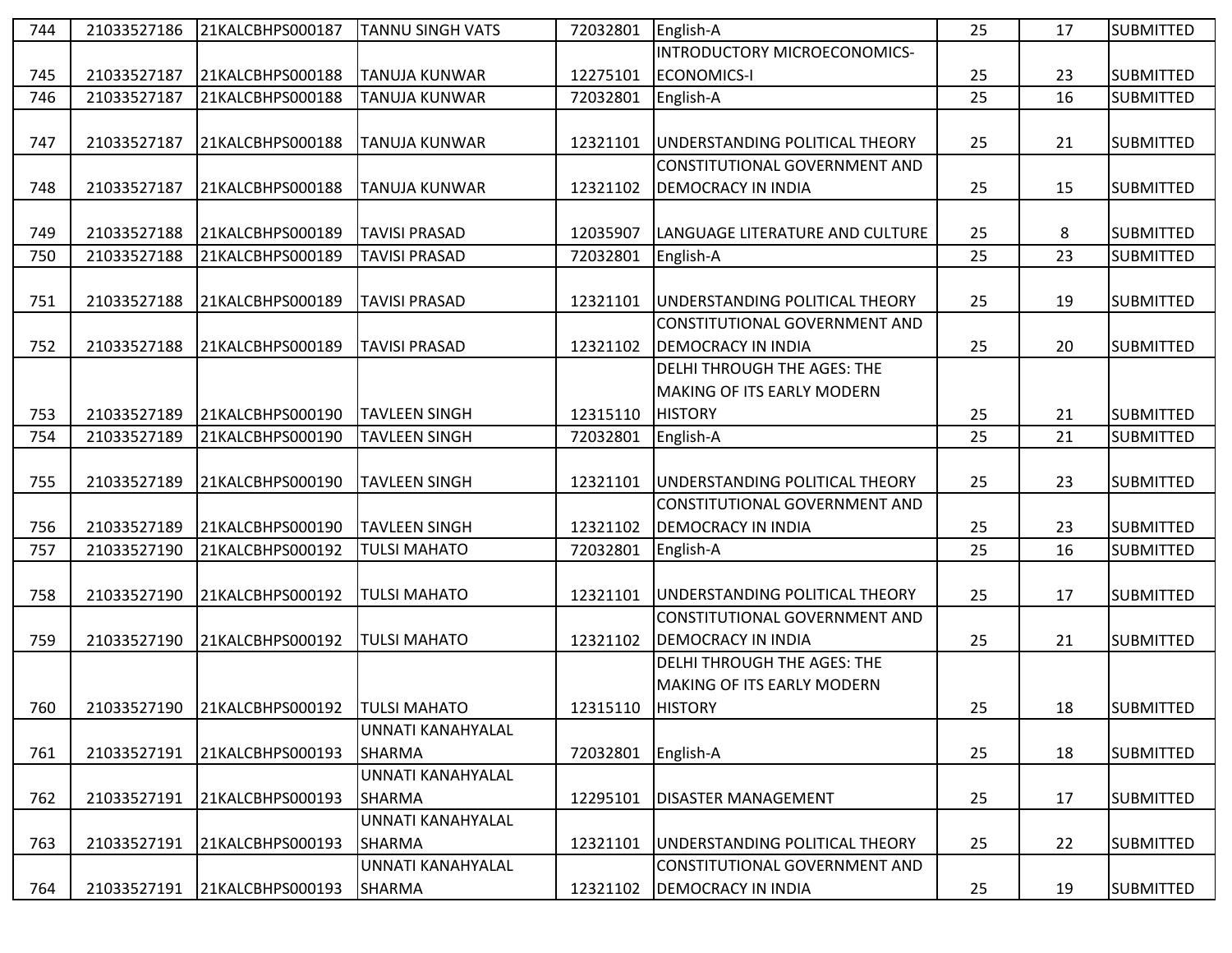| 744 | 21033527186 | 21KALCBHPS000187 | <b>TANNU SINGH VATS</b>  | 72032801 | English-A                          | 25 | 17 | <b>SUBMITTED</b> |
|-----|-------------|------------------|--------------------------|----------|------------------------------------|----|----|------------------|
|     |             |                  |                          |          | INTRODUCTORY MICROECONOMICS-       |    |    |                  |
| 745 | 21033527187 | 21KALCBHPS000188 | <b>TANUJA KUNWAR</b>     | 12275101 | <b>ECONOMICS-I</b>                 | 25 | 23 | <b>SUBMITTED</b> |
| 746 | 21033527187 | 21KALCBHPS000188 | <b>TANUJA KUNWAR</b>     | 72032801 | English-A                          | 25 | 16 | <b>SUBMITTED</b> |
|     |             |                  |                          |          |                                    |    |    |                  |
| 747 | 21033527187 | 21KALCBHPS000188 | <b>TANUJA KUNWAR</b>     | 12321101 | UNDERSTANDING POLITICAL THEORY     | 25 | 21 | <b>SUBMITTED</b> |
|     |             |                  |                          |          | CONSTITUTIONAL GOVERNMENT AND      |    |    |                  |
| 748 | 21033527187 | 21KALCBHPS000188 | <b>TANUJA KUNWAR</b>     | 12321102 | <b>DEMOCRACY IN INDIA</b>          | 25 | 15 | <b>SUBMITTED</b> |
|     |             |                  |                          |          |                                    |    |    |                  |
| 749 | 21033527188 | 21KALCBHPS000189 | <b>TAVISI PRASAD</b>     | 12035907 | LANGUAGE LITERATURE AND CULTURE    | 25 | 8  | <b>SUBMITTED</b> |
| 750 | 21033527188 | 21KALCBHPS000189 | <b>TAVISI PRASAD</b>     | 72032801 | English-A                          | 25 | 23 | <b>SUBMITTED</b> |
|     |             |                  |                          |          |                                    |    |    |                  |
| 751 | 21033527188 | 21KALCBHPS000189 | <b>TAVISI PRASAD</b>     | 12321101 | UNDERSTANDING POLITICAL THEORY     | 25 | 19 | <b>SUBMITTED</b> |
|     |             |                  |                          |          | CONSTITUTIONAL GOVERNMENT AND      |    |    |                  |
| 752 | 21033527188 | 21KALCBHPS000189 | <b>TAVISI PRASAD</b>     | 12321102 | <b>DEMOCRACY IN INDIA</b>          | 25 | 20 | <b>SUBMITTED</b> |
|     |             |                  |                          |          | DELHI THROUGH THE AGES: THE        |    |    |                  |
|     |             |                  |                          |          | MAKING OF ITS EARLY MODERN         |    |    |                  |
| 753 | 21033527189 | 21KALCBHPS000190 | <b>TAVLEEN SINGH</b>     | 12315110 | <b>HISTORY</b>                     | 25 | 21 | <b>SUBMITTED</b> |
| 754 | 21033527189 | 21KALCBHPS000190 | <b>TAVLEEN SINGH</b>     | 72032801 | English-A                          | 25 | 21 | <b>SUBMITTED</b> |
|     |             |                  |                          |          |                                    |    |    |                  |
| 755 | 21033527189 | 21KALCBHPS000190 | <b>TAVLEEN SINGH</b>     | 12321101 | UNDERSTANDING POLITICAL THEORY     | 25 | 23 | <b>SUBMITTED</b> |
|     |             |                  |                          |          | CONSTITUTIONAL GOVERNMENT AND      |    |    |                  |
| 756 | 21033527189 | 21KALCBHPS000190 | <b>TAVLEEN SINGH</b>     | 12321102 | <b>DEMOCRACY IN INDIA</b>          | 25 | 23 | <b>SUBMITTED</b> |
| 757 | 21033527190 | 21KALCBHPS000192 | <b>TULSI MAHATO</b>      | 72032801 | English-A                          | 25 | 16 | <b>SUBMITTED</b> |
|     |             |                  |                          |          |                                    |    |    |                  |
| 758 | 21033527190 | 21KALCBHPS000192 | <b>TULSI MAHATO</b>      | 12321101 | UNDERSTANDING POLITICAL THEORY     | 25 | 17 | <b>SUBMITTED</b> |
|     |             |                  |                          |          | CONSTITUTIONAL GOVERNMENT AND      |    |    |                  |
| 759 | 21033527190 | 21KALCBHPS000192 | <b>TULSI MAHATO</b>      | 12321102 | <b>DEMOCRACY IN INDIA</b>          | 25 | 21 | <b>SUBMITTED</b> |
|     |             |                  |                          |          | <b>DELHI THROUGH THE AGES: THE</b> |    |    |                  |
|     |             |                  |                          |          | <b>MAKING OF ITS EARLY MODERN</b>  |    |    |                  |
| 760 | 21033527190 | 21KALCBHPS000192 | <b>TULSI MAHATO</b>      | 12315110 | <b>HISTORY</b>                     | 25 | 18 | <b>SUBMITTED</b> |
|     |             |                  | UNNATI KANAHYALAL        |          |                                    |    |    |                  |
| 761 | 21033527191 | 21KALCBHPS000193 | SHARMA                   | 72032801 | English-A                          | 25 | 18 | <b>SUBMITTED</b> |
|     |             |                  | <b>UNNATI KANAHYALAL</b> |          |                                    |    |    |                  |
| 762 | 21033527191 | 21KALCBHPS000193 | <b>SHARMA</b>            | 12295101 | <b>DISASTER MANAGEMENT</b>         | 25 | 17 | <b>SUBMITTED</b> |
|     |             |                  | UNNATI KANAHYALAL        |          |                                    |    |    |                  |
| 763 | 21033527191 | 21KALCBHPS000193 | SHARMA                   | 12321101 | UNDERSTANDING POLITICAL THEORY     | 25 | 22 | <b>SUBMITTED</b> |
|     |             |                  | UNNATI KANAHYALAL        |          | CONSTITUTIONAL GOVERNMENT AND      |    |    |                  |
| 764 | 21033527191 | 21KALCBHPS000193 | <b>SHARMA</b>            | 12321102 | <b>DEMOCRACY IN INDIA</b>          | 25 | 19 | <b>SUBMITTED</b> |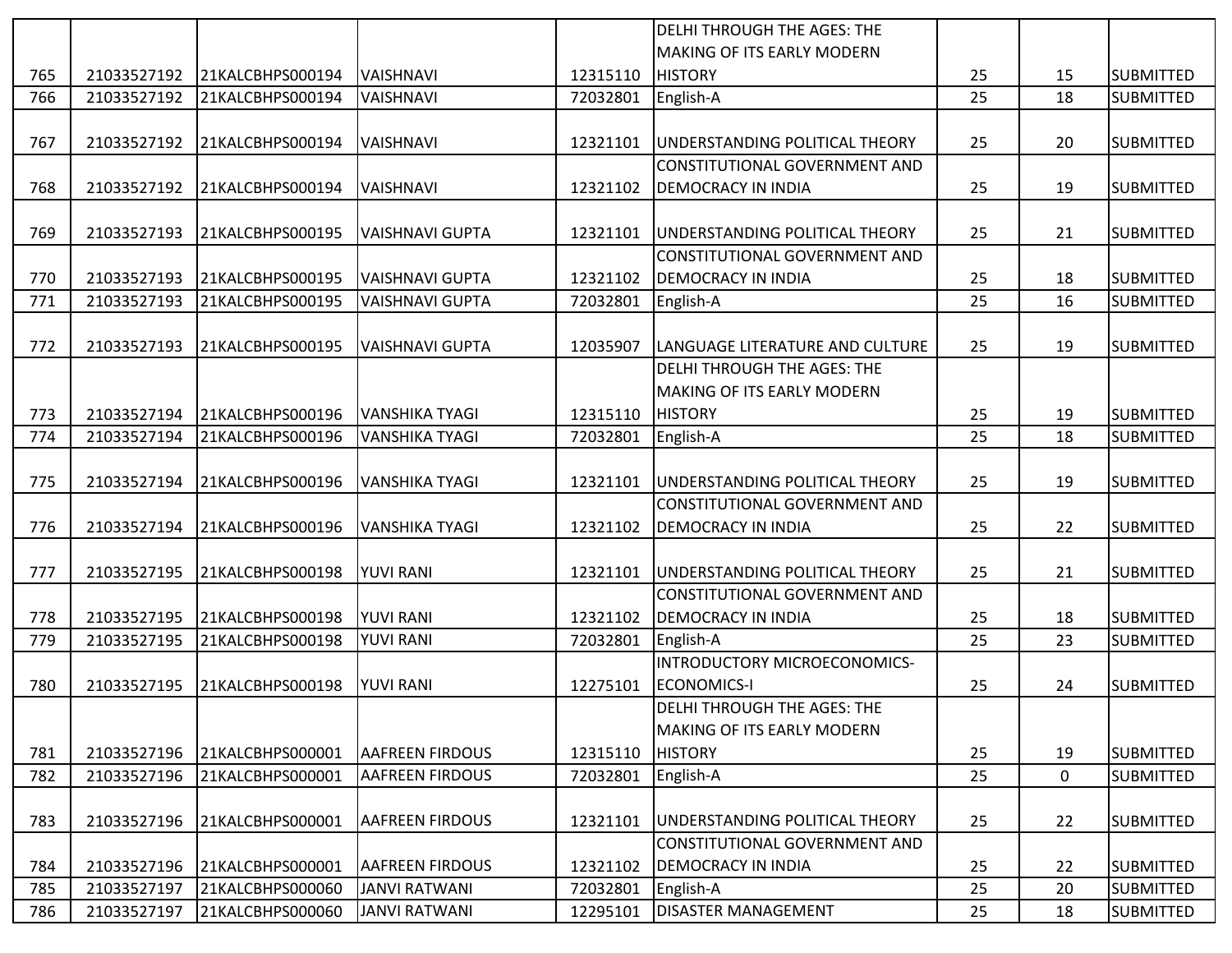|     |             |                  |                        |          | <b>DELHI THROUGH THE AGES: THE</b> |    |             |                  |
|-----|-------------|------------------|------------------------|----------|------------------------------------|----|-------------|------------------|
|     |             |                  |                        |          | <b>MAKING OF ITS EARLY MODERN</b>  |    |             |                  |
| 765 | 21033527192 | 21KALCBHPS000194 | <b>VAISHNAVI</b>       | 12315110 | <b>HISTORY</b>                     | 25 | 15          | <b>SUBMITTED</b> |
| 766 | 21033527192 | 21KALCBHPS000194 | VAISHNAVI              | 72032801 | English-A                          | 25 | 18          | <b>SUBMITTED</b> |
|     |             |                  |                        |          |                                    |    |             |                  |
| 767 | 21033527192 | 21KALCBHPS000194 | <b>VAISHNAVI</b>       | 12321101 | UNDERSTANDING POLITICAL THEORY     | 25 | 20          | <b>SUBMITTED</b> |
|     |             |                  |                        |          | CONSTITUTIONAL GOVERNMENT AND      |    |             |                  |
| 768 | 21033527192 | 21KALCBHPS000194 | <b>VAISHNAVI</b>       | 12321102 | <b>DEMOCRACY IN INDIA</b>          | 25 | 19          | <b>SUBMITTED</b> |
|     |             |                  |                        |          |                                    |    |             |                  |
| 769 | 21033527193 | 21KALCBHPS000195 | VAISHNAVI GUPTA        | 12321101 | UNDERSTANDING POLITICAL THEORY     | 25 | 21          | <b>SUBMITTED</b> |
|     |             |                  |                        |          | CONSTITUTIONAL GOVERNMENT AND      |    |             |                  |
| 770 | 21033527193 | 21KALCBHPS000195 | VAISHNAVI GUPTA        | 12321102 | <b>DEMOCRACY IN INDIA</b>          | 25 | 18          | <b>SUBMITTED</b> |
| 771 | 21033527193 | 21KALCBHPS000195 | <b>VAISHNAVI GUPTA</b> | 72032801 | English-A                          | 25 | 16          | <b>SUBMITTED</b> |
|     |             |                  |                        |          |                                    |    |             |                  |
| 772 | 21033527193 | 21KALCBHPS000195 | <b>VAISHNAVI GUPTA</b> | 12035907 | LANGUAGE LITERATURE AND CULTURE    | 25 | 19          | <b>SUBMITTED</b> |
|     |             |                  |                        |          | DELHI THROUGH THE AGES: THE        |    |             |                  |
|     |             |                  |                        |          | <b>MAKING OF ITS EARLY MODERN</b>  |    |             |                  |
| 773 | 21033527194 | 21KALCBHPS000196 | VANSHIKA TYAGI         | 12315110 | <b>HISTORY</b>                     | 25 | 19          | <b>SUBMITTED</b> |
| 774 | 21033527194 | 21KALCBHPS000196 | VANSHIKA TYAGI         | 72032801 | English-A                          | 25 | 18          | <b>SUBMITTED</b> |
|     |             |                  |                        |          |                                    |    |             |                  |
| 775 | 21033527194 | 21KALCBHPS000196 | VANSHIKA TYAGI         | 12321101 | UNDERSTANDING POLITICAL THEORY     | 25 | 19          | <b>SUBMITTED</b> |
|     |             |                  |                        |          | CONSTITUTIONAL GOVERNMENT AND      |    |             |                  |
| 776 | 21033527194 | 21KALCBHPS000196 | <b>VANSHIKA TYAGI</b>  | 12321102 | <b>DEMOCRACY IN INDIA</b>          | 25 | 22          | <b>SUBMITTED</b> |
|     |             |                  |                        |          |                                    |    |             |                  |
| 777 | 21033527195 | 21KALCBHPS000198 | <b>YUVI RANI</b>       | 12321101 | UNDERSTANDING POLITICAL THEORY     | 25 | 21          | <b>SUBMITTED</b> |
|     |             |                  |                        |          | CONSTITUTIONAL GOVERNMENT AND      |    |             |                  |
| 778 | 21033527195 | 21KALCBHPS000198 | <b>YUVI RANI</b>       | 12321102 | <b>DEMOCRACY IN INDIA</b>          | 25 | 18          | <b>SUBMITTED</b> |
| 779 | 21033527195 | 21KALCBHPS000198 | <b>YUVI RANI</b>       | 72032801 | English-A                          | 25 | 23          | <b>SUBMITTED</b> |
|     |             |                  |                        |          | INTRODUCTORY MICROECONOMICS-       |    |             |                  |
| 780 | 21033527195 | 21KALCBHPS000198 | <b>YUVI RANI</b>       | 12275101 | <b>ECONOMICS-I</b>                 | 25 | 24          | <b>SUBMITTED</b> |
|     |             |                  |                        |          | <b>DELHI THROUGH THE AGES: THE</b> |    |             |                  |
|     |             |                  |                        |          | <b>MAKING OF ITS EARLY MODERN</b>  |    |             |                  |
| 781 | 21033527196 | 21KALCBHPS000001 | <b>AAFREEN FIRDOUS</b> | 12315110 | <b>HISTORY</b>                     | 25 | 19          | <b>SUBMITTED</b> |
| 782 | 21033527196 | 21KALCBHPS000001 | <b>AAFREEN FIRDOUS</b> | 72032801 | English-A                          | 25 | $\mathbf 0$ | <b>SUBMITTED</b> |
|     |             |                  |                        |          |                                    |    |             |                  |
| 783 | 21033527196 | 21KALCBHPS000001 | <b>AAFREEN FIRDOUS</b> | 12321101 | UNDERSTANDING POLITICAL THEORY     | 25 | 22          | <b>SUBMITTED</b> |
|     |             |                  |                        |          | CONSTITUTIONAL GOVERNMENT AND      |    |             |                  |
| 784 | 21033527196 | 21KALCBHPS000001 | <b>AAFREEN FIRDOUS</b> | 12321102 | <b>DEMOCRACY IN INDIA</b>          | 25 | 22          | <b>SUBMITTED</b> |
| 785 | 21033527197 | 21KALCBHPS000060 | <b>JANVI RATWANI</b>   | 72032801 | English-A                          | 25 | 20          | <b>SUBMITTED</b> |
| 786 | 21033527197 | 21KALCBHPS000060 | JANVI RATWANI          | 12295101 | <b>DISASTER MANAGEMENT</b>         | 25 | 18          | <b>SUBMITTED</b> |